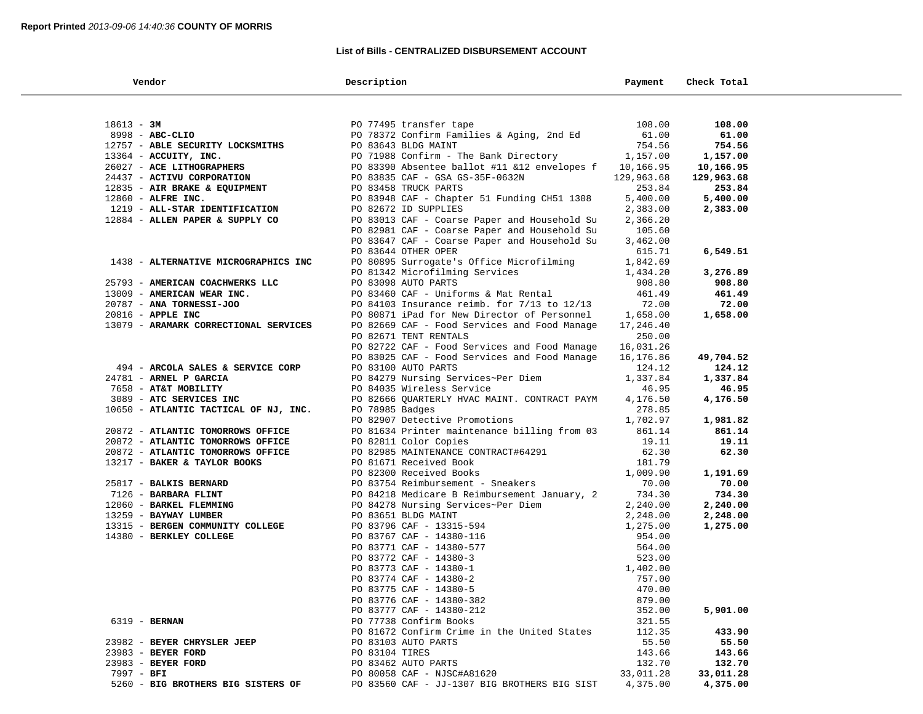## **List of Bills - CENTRALIZED DISBURSEMENT ACCOUNT**

| Vendor                                | Description                                      | Payment            | Check Total |  |
|---------------------------------------|--------------------------------------------------|--------------------|-------------|--|
|                                       |                                                  |                    |             |  |
| $18613 - 3M$                          | PO 77495 transfer tape                           | 108.00             | 108.00      |  |
| 8998 - ABC-CLIO                       | PO 78372 Confirm Families & Aging, 2nd Ed        | 61.00              | 61.00       |  |
| 12757 - ABLE SECURITY LOCKSMITHS      | PO 83643 BLDG MAINT                              | 754.56             | 754.56      |  |
| 13364 - ACCUITY, INC.                 | PO 71988 Confirm - The Bank Directory            | 1,157.00           | 1,157.00    |  |
| 26027 - ACE LITHOGRAPHERS             | PO 83390 Absentee ballot #11 &12 envelopes f     | 10,166.95          | 10,166.95   |  |
| 24437 - ACTIVU CORPORATION            | PO 83835 CAF - GSA GS-35F-0632N                  | 129,963.68         | 129,963.68  |  |
| 12835 - AIR BRAKE & EQUIPMENT         | PO 83458 TRUCK PARTS                             | 253.84             | 253.84      |  |
| $12860$ - ALFRE INC.                  | PO 83948 CAF - Chapter 51 Funding CH51 1308      | 5,400.00           | 5,400.00    |  |
| 1219 - ALL-STAR IDENTIFICATION        | PO 82672 ID SUPPLIES                             | 2,383.00           | 2,383.00    |  |
| 12884 - ALLEN PAPER & SUPPLY CO       | PO 83013 CAF - Coarse Paper and Household Su     | 2,366.20           |             |  |
|                                       | PO 82981 CAF - Coarse Paper and Household Su     | 105.60             |             |  |
|                                       | PO 83647 CAF - Coarse Paper and Household Su     | 3,462.00           |             |  |
|                                       | PO 83644 OTHER OPER                              | 615.71             | 6,549.51    |  |
| 1438 - ALTERNATIVE MICROGRAPHICS INC  | PO 80895 Surrogate's Office Microfilming         | 1,842.69           |             |  |
|                                       | PO 81342 Microfilming Services                   | 1,434.20           | 3,276.89    |  |
| 25793 - AMERICAN COACHWERKS LLC       | PO 83098 AUTO PARTS                              | 908.80             | 908.80      |  |
| 13009 - AMERICAN WEAR INC.            | PO 83460 CAF - Uniforms & Mat Rental             | 461.49             | 461.49      |  |
| 20787 - ANA TORNESSI-JOO              | PO 84103 Insurance reimb. for $7/13$ to $12/13$  | 72.00              | 72.00       |  |
| 20816 - APPLE INC                     | PO 80871 iPad for New Director of Personnel      | 1,658.00           | 1,658.00    |  |
| 13079 - ARAMARK CORRECTIONAL SERVICES | PO 82669 CAF - Food Services and Food Manage     | 17,246.40          |             |  |
|                                       | PO 82671 TENT RENTALS                            | 250.00             |             |  |
|                                       | PO 82722 CAF - Food Services and Food Manage     | 16,031.26          |             |  |
|                                       | PO 83025 CAF - Food Services and Food Manage     | 16,176.86          | 49,704.52   |  |
| 494 - ARCOLA SALES & SERVICE CORP     | PO 83100 AUTO PARTS                              | 124.12             | 124.12      |  |
| 24781 - ARNEL P GARCIA                | PO 84279 Nursing Services~Per Diem               | 1,337.84           | 1,337.84    |  |
| 7658 - AT&T MOBILITY                  | PO 84035 Wireless Service                        | 46.95              | 46.95       |  |
| 3089 - ATC SERVICES INC               | PO 82666 QUARTERLY HVAC MAINT. CONTRACT PAYM     | 4,176.50           | 4,176.50    |  |
| 10650 - ATLANTIC TACTICAL OF NJ, INC. | PO 78985 Badges<br>PO 82907 Detective Promotions | 278.85<br>1,702.97 | 1,981.82    |  |
| 20872 - ATLANTIC TOMORROWS OFFICE     | PO 81634 Printer maintenance billing from 03     | 861.14             | 861.14      |  |
| 20872 - ATLANTIC TOMORROWS OFFICE     | PO 82811 Color Copies                            | 19.11              | 19.11       |  |
| 20872 - ATLANTIC TOMORROWS OFFICE     | PO 82985 MAINTENANCE CONTRACT#64291              | 62.30              | 62.30       |  |
| 13217 - BAKER & TAYLOR BOOKS          | PO 81671 Received Book                           | 181.79             |             |  |
|                                       | PO 82300 Received Books                          | 1,009.90           | 1,191.69    |  |
| 25817 - BALKIS BERNARD                | PO 83754 Reimbursement - Sneakers                | 70.00              | 70.00       |  |
| 7126 - BARBARA FLINT                  | PO 84218 Medicare B Reimbursement January, 2     | 734.30             | 734.30      |  |
| 12060 - BARKEL FLEMMING               | PO 84278 Nursing Services~Per Diem               | 2,240.00           | 2,240.00    |  |
| 13259 - BAYWAY LUMBER                 | PO 83651 BLDG MAINT                              | 2,248.00           | 2,248.00    |  |
| 13315 - BERGEN COMMUNITY COLLEGE      | PO 83796 CAF - 13315-594                         | 1,275.00           | 1,275.00    |  |
| 14380 - BERKLEY COLLEGE               | PO 83767 CAF - 14380-116                         | 954.00             |             |  |
|                                       | PO 83771 CAF - 14380-577                         | 564.00             |             |  |
|                                       | PO 83772 CAF - 14380-3                           | 523.00             |             |  |
|                                       | PO 83773 CAF - 14380-1                           | 1,402.00           |             |  |
|                                       | PO 83774 CAF - 14380-2                           | 757.00             |             |  |
|                                       | PO 83775 CAF - 14380-5                           | 470.00             |             |  |
|                                       | PO 83776 CAF - 14380-382                         | 879.00             |             |  |
|                                       | PO 83777 CAF - 14380-212                         | 352.00             | 5,901.00    |  |
| 6319 - BERNAN                         | PO 77738 Confirm Books                           | 321.55             |             |  |
|                                       | PO 81672 Confirm Crime in the United States      | 112.35             | 433.90      |  |
| 23982 - BEYER CHRYSLER JEEP           | PO 83103 AUTO PARTS                              | 55.50              | 55.50       |  |
| 23983 - BEYER FORD                    | PO 83104 TIRES                                   | 143.66             | 143.66      |  |
| 23983 - BEYER FORD                    | PO 83462 AUTO PARTS                              | 132.70             | 132.70      |  |
| $7997 - BFI$                          | PO 80058 CAF - NJSC#A81620                       | 33,011.28          | 33,011.28   |  |
| 5260 - BIG BROTHERS BIG SISTERS OF    | PO 83560 CAF - JJ-1307 BIG BROTHERS BIG SIST     | 4,375.00           | 4,375.00    |  |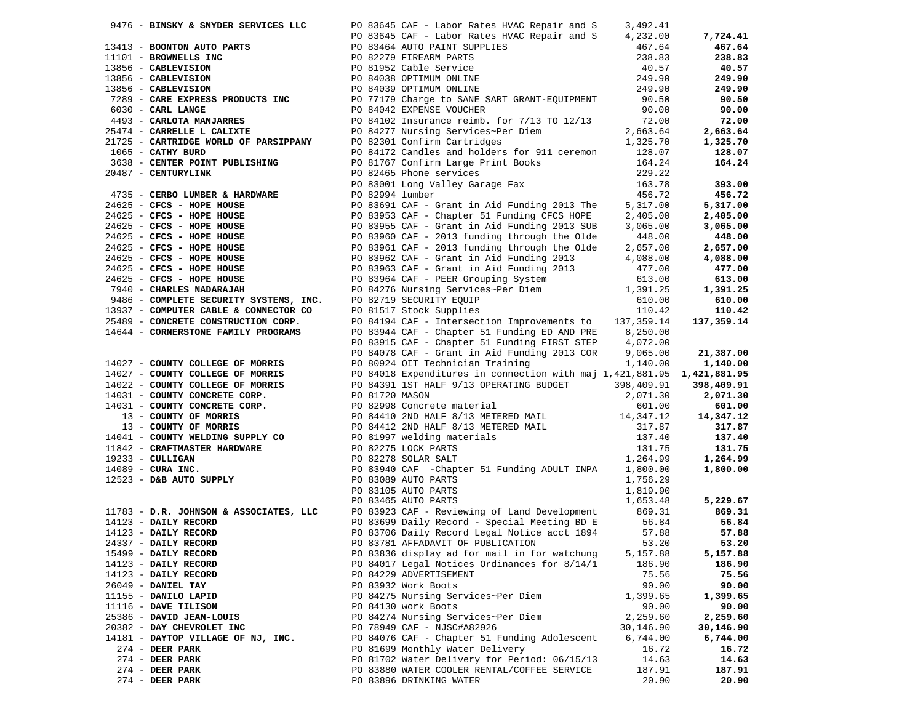| 9476 - BINSKY & SNYDER SERVICES LLC                                                                                           |                 | PO 83645 CAF - Labor Rates HVAC Repair and S                                                                                                                                                                                                                                             | 3,492.41  |            |
|-------------------------------------------------------------------------------------------------------------------------------|-----------------|------------------------------------------------------------------------------------------------------------------------------------------------------------------------------------------------------------------------------------------------------------------------------------------|-----------|------------|
|                                                                                                                               |                 | 9476 - BINSKY & SNYDER SERVICES LLC<br>PO 83645 CAF - Labor Rates HVAC Repair and S<br>13413 - BOONTON AUTO PARTS<br>1101 - BRONNELLS INC<br>13456 - CABLEVISION<br>13856 - CABLEVISION<br>PO 821952 Cable Service<br>PO 821952 Cable Servi                                              |           | 7,724.41   |
|                                                                                                                               |                 |                                                                                                                                                                                                                                                                                          |           | 467.64     |
|                                                                                                                               |                 |                                                                                                                                                                                                                                                                                          |           | 238.83     |
|                                                                                                                               |                 |                                                                                                                                                                                                                                                                                          |           | 40.57      |
|                                                                                                                               |                 |                                                                                                                                                                                                                                                                                          |           |            |
|                                                                                                                               |                 |                                                                                                                                                                                                                                                                                          |           | 249.90     |
|                                                                                                                               |                 |                                                                                                                                                                                                                                                                                          |           | 249.90     |
|                                                                                                                               |                 |                                                                                                                                                                                                                                                                                          |           | 90.50      |
|                                                                                                                               |                 |                                                                                                                                                                                                                                                                                          |           | 90.00      |
|                                                                                                                               |                 |                                                                                                                                                                                                                                                                                          |           | 72.00      |
|                                                                                                                               |                 |                                                                                                                                                                                                                                                                                          |           | 2,663.64   |
|                                                                                                                               |                 |                                                                                                                                                                                                                                                                                          |           | 1,325.70   |
|                                                                                                                               |                 |                                                                                                                                                                                                                                                                                          |           | 128.07     |
|                                                                                                                               |                 |                                                                                                                                                                                                                                                                                          |           |            |
| 3638 - CENTER POINT PUBLISHING                                                                                                |                 |                                                                                                                                                                                                                                                                                          |           | 164.24     |
| 20487 - CENTURYLINK                                                                                                           |                 | PO 81767 Confirm Large Print Books 164.24<br>PO 82465 Phone services 229.22                                                                                                                                                                                                              |           |            |
|                                                                                                                               |                 | PO 83001 Long Valley Garage Fax<br>PO 82994 lumber                                                                                                                                                                                                                                       | 163.78    | 393.00     |
| 4735 - CERBO LUMBER & HARDWARE                                                                                                | PO 82994 lumber |                                                                                                                                                                                                                                                                                          | 456.72    | 456.72     |
|                                                                                                                               |                 |                                                                                                                                                                                                                                                                                          |           | 5,317.00   |
|                                                                                                                               |                 |                                                                                                                                                                                                                                                                                          |           | 2,405.00   |
|                                                                                                                               |                 |                                                                                                                                                                                                                                                                                          |           | 3,065.00   |
|                                                                                                                               |                 |                                                                                                                                                                                                                                                                                          |           |            |
|                                                                                                                               |                 |                                                                                                                                                                                                                                                                                          |           | 448.00     |
|                                                                                                                               |                 |                                                                                                                                                                                                                                                                                          |           | 2,657.00   |
|                                                                                                                               |                 |                                                                                                                                                                                                                                                                                          |           | 4,088.00   |
|                                                                                                                               |                 |                                                                                                                                                                                                                                                                                          |           | 477.00     |
|                                                                                                                               |                 |                                                                                                                                                                                                                                                                                          |           | 613.00     |
|                                                                                                                               |                 |                                                                                                                                                                                                                                                                                          |           | 1,391.25   |
|                                                                                                                               |                 | 4735 <b>- CERSO LUMBER &amp; HARDWARE</b><br>24625 <b>- CFCS - HOPE HOUSE</b><br>24625 <b>- CFCS - HOPE HOUSE</b><br>24625 <b>- CFCS - HOPE HOUSE</b><br>24625 <b>- CFCS - HOPE HOUSE</b><br>24625 <b>- CFCS - HOPE HOUSE</b><br>24625 <b>- CFCS - HOPE HOUSE</b><br>24625 <b>- CFCS</b> |           | 610.00     |
|                                                                                                                               |                 |                                                                                                                                                                                                                                                                                          |           | 110.42     |
| 13937 - COMPUTER CABLE & CONNECTOR CO PO 81517 Stock Supplies<br>25489 - CONCRETE CONSTRUCTION CORP. PO 84194 CAF - Intersect |                 | PO 84194 CAF - Intersection Improvements to 137,359.14                                                                                                                                                                                                                                   |           | 137,359.14 |
|                                                                                                                               |                 |                                                                                                                                                                                                                                                                                          |           |            |
| 14644 - CORNERSTONE FAMILY PROGRAMS                                                                                           |                 | PO 83944 CAF - Chapter 51 Funding ED AND PRE 8,250.00<br>PO 83915 CAF - Chapter 51 Funding FIRST STEP 4,072.00                                                                                                                                                                           |           |            |
|                                                                                                                               |                 |                                                                                                                                                                                                                                                                                          |           |            |
|                                                                                                                               |                 | PO 83315 CAR - Chant in Aid Funding 2013 COR 9,065.00<br>PO 84078 CAF - Grant in Aid Funding 2013 COR 9,065.00                                                                                                                                                                           |           | 21,387.00  |
| 14027 - COUNTY COLLEGE OF MORRIS                                                                                              |                 | PO 80924 OIT Technician Training                                                                                                                                                                                                                                                         |           | 1,140.00   |
|                                                                                                                               |                 | 14027 - <b>COUNTY COLLEGE OF MORRIS</b><br>14027 - <b>COUNTY COLLEGE OF MORRIS</b><br>14022 - <b>COUNTY COLLEGE OF MORRIS</b><br>14022 - <b>COUNTY COLLEGE OF MORRIS</b><br>14031 - <b>COUNTY CONCRETE CORP.</b><br>14031 - <b>COUNTY CONCRETE CORP.</b><br>14031 - <b>CO</b>            |           |            |
|                                                                                                                               |                 |                                                                                                                                                                                                                                                                                          |           |            |
|                                                                                                                               |                 |                                                                                                                                                                                                                                                                                          |           |            |
|                                                                                                                               |                 |                                                                                                                                                                                                                                                                                          |           |            |
|                                                                                                                               |                 |                                                                                                                                                                                                                                                                                          |           |            |
|                                                                                                                               |                 |                                                                                                                                                                                                                                                                                          |           |            |
|                                                                                                                               |                 |                                                                                                                                                                                                                                                                                          |           |            |
|                                                                                                                               |                 |                                                                                                                                                                                                                                                                                          |           |            |
|                                                                                                                               |                 |                                                                                                                                                                                                                                                                                          |           |            |
|                                                                                                                               |                 |                                                                                                                                                                                                                                                                                          |           |            |
|                                                                                                                               |                 |                                                                                                                                                                                                                                                                                          |           |            |
|                                                                                                                               |                 |                                                                                                                                                                                                                                                                                          |           |            |
|                                                                                                                               |                 |                                                                                                                                                                                                                                                                                          |           |            |
|                                                                                                                               |                 |                                                                                                                                                                                                                                                                                          |           | 5,229.67   |
|                                                                                                                               |                 | PO 83105 AUTO PARTS<br>PO 83105 AUTO PARTS<br>PO 83465 AUTO PARTS<br>1,653.48<br>PO 83923 CAF - Reviewing of Land Development<br>PO 83699 Daily Record - Special Meeting BD E 56.84<br>PO 83699 Daily Record - Special Meeting BD E 56.84<br>FO 836                                      | 1,653.48  | 869.31     |
|                                                                                                                               |                 |                                                                                                                                                                                                                                                                                          |           |            |
| 14123 - DAILY RECORD<br>14123 - DAILY RECORD<br>24337 - DAILY RECORD                                                          |                 | PO 83699 Daily Record - Special Meeting BD E 56.84<br>PO 83706 Daily Record Legal Notice acct 1894 57.88                                                                                                                                                                                 |           | 56.84      |
|                                                                                                                               |                 |                                                                                                                                                                                                                                                                                          |           | 57.88      |
|                                                                                                                               |                 | PO 83781 AFFADAVIT OF PUBLICATION                                                                                                                                                                                                                                                        | 53.20     | 53.20      |
| 15499 - DAILY RECORD                                                                                                          |                 | PO 83836 display ad for mail in for watchung                                                                                                                                                                                                                                             | 5,157.88  | 5,157.88   |
| 14123 - DAILY RECORD                                                                                                          |                 | PO 84017 Legal Notices Ordinances for 8/14/1                                                                                                                                                                                                                                             | 186.90    | 186.90     |
| 14123 - DAILY RECORD                                                                                                          |                 | PO 84229 ADVERTISEMENT                                                                                                                                                                                                                                                                   | 75.56     | 75.56      |
| 26049 - DANIEL TAY                                                                                                            |                 | PO 83932 Work Boots                                                                                                                                                                                                                                                                      | 90.00     | 90.00      |
| 11155 - DANILO LAPID                                                                                                          |                 | PO 84275 Nursing Services~Per Diem                                                                                                                                                                                                                                                       | 1,399.65  | 1,399.65   |
|                                                                                                                               |                 |                                                                                                                                                                                                                                                                                          |           |            |
| 11116 - DAVE TILISON                                                                                                          |                 | PO 84130 work Boots                                                                                                                                                                                                                                                                      | 90.00     | 90.00      |
| 25386 - DAVID JEAN-LOUIS                                                                                                      |                 | PO 84274 Nursing Services~Per Diem                                                                                                                                                                                                                                                       | 2,259.60  | 2,259.60   |
| 20382 - DAY CHEVROLET INC                                                                                                     |                 | PO 78949 CAF - NJSC#A82926                                                                                                                                                                                                                                                               | 30,146.90 | 30,146.90  |
| 14181 - DAYTOP VILLAGE OF NJ, INC.                                                                                            |                 | PO 84076 CAF - Chapter 51 Funding Adolescent                                                                                                                                                                                                                                             | 6,744.00  | 6,744.00   |
| $274$ - DEER PARK                                                                                                             |                 | PO 81699 Monthly Water Delivery                                                                                                                                                                                                                                                          | 16.72     | 16.72      |
| $274$ - DEER PARK                                                                                                             |                 | PO 81702 Water Delivery for Period: 06/15/13                                                                                                                                                                                                                                             | 14.63     | 14.63      |
| $274$ - DEER PARK                                                                                                             |                 | PO 83880 WATER COOLER RENTAL/COFFEE SERVICE                                                                                                                                                                                                                                              | 187.91    | 187.91     |
| $274$ - DEER PARK                                                                                                             |                 | PO 83896 DRINKING WATER                                                                                                                                                                                                                                                                  | 20.90     | 20.90      |
|                                                                                                                               |                 |                                                                                                                                                                                                                                                                                          |           |            |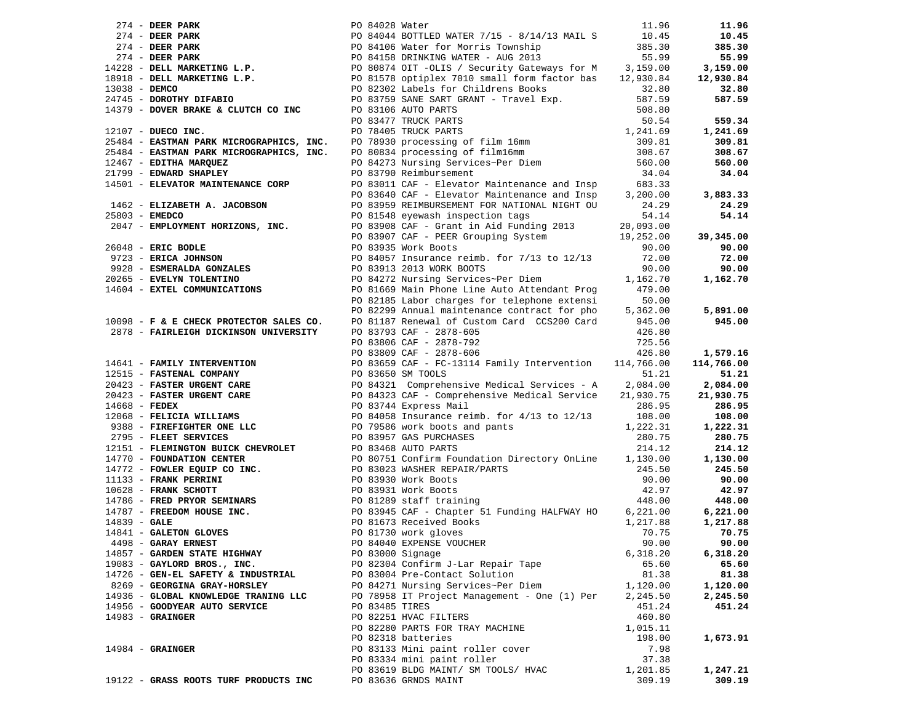|                                                                                    |                  |                                                                                                                                                                                                                                                     |          | 11.96      |
|------------------------------------------------------------------------------------|------------------|-----------------------------------------------------------------------------------------------------------------------------------------------------------------------------------------------------------------------------------------------------|----------|------------|
|                                                                                    |                  |                                                                                                                                                                                                                                                     |          | 10.45      |
|                                                                                    |                  |                                                                                                                                                                                                                                                     |          | 385.30     |
|                                                                                    |                  |                                                                                                                                                                                                                                                     |          | 55.99      |
|                                                                                    |                  | 274 - DEER PARK<br>274 - DEER PARK<br>274 - DEER PARK<br>274 - DEER PARK<br>274 - DEER PARK<br>274 - DEER PARK<br>274 - DEER PARK<br>274 - DEER PARK<br>274 - DEER PARK<br>28 - DELL MARKETING L.P.<br>29 - DELL MARKETING L.P.<br>29 - DELL MARKET |          | 3,159.00   |
|                                                                                    |                  |                                                                                                                                                                                                                                                     |          | 12,930.84  |
|                                                                                    |                  |                                                                                                                                                                                                                                                     |          | 32.80      |
|                                                                                    |                  |                                                                                                                                                                                                                                                     |          | 587.59     |
|                                                                                    |                  |                                                                                                                                                                                                                                                     |          |            |
|                                                                                    |                  |                                                                                                                                                                                                                                                     |          | 559.34     |
|                                                                                    |                  |                                                                                                                                                                                                                                                     |          | 1,241.69   |
|                                                                                    |                  |                                                                                                                                                                                                                                                     |          |            |
|                                                                                    |                  |                                                                                                                                                                                                                                                     |          | 309.81     |
|                                                                                    |                  |                                                                                                                                                                                                                                                     |          | 308.67     |
|                                                                                    |                  |                                                                                                                                                                                                                                                     |          | 560.00     |
| 21799 - EDWARD SHAPLEY                                                             |                  | PO 83790 Reimbursement                                                                                                                                                                                                                              | 34.04    | 34.04      |
| 14501 - ELEVATOR MAINTENANCE CORP                                                  |                  | PO 83011 CAF - Elevator Maintenance and Insp 683.33<br>PO 83640 CAF - Elevator Maintenance and Insp 3,200.00                                                                                                                                        |          |            |
|                                                                                    |                  |                                                                                                                                                                                                                                                     |          | 3,883.33   |
|                                                                                    |                  | PO 83959 REIMBURSEMENT FOR NATIONAL NIGHT OU                                                                                                                                                                                                        | 24.29    | 24.29      |
| 25803 - EMEDCO                                                                     |                  | PO 81548 eyewash inspection tags                                                                                                                                                                                                                    | 54.14    | 54.14      |
|                                                                                    |                  |                                                                                                                                                                                                                                                     |          |            |
| 1462 - ELIZABETH A. JACOBSON<br>25803 - EMEDCO<br>2047 - EMPLOYMENT HORIZONS, INC. |                  | PO 83908 CAF - Grant in Aid Funding 2013<br>PO 83907 CAF - PEER Grouping System<br>PO 83935 Work Boots<br>PO 83935 Work Boots<br>90.00                                                                                                              |          | 39,345.00  |
|                                                                                    |                  |                                                                                                                                                                                                                                                     |          | 90.00      |
|                                                                                    |                  |                                                                                                                                                                                                                                                     |          | 72.00      |
|                                                                                    |                  |                                                                                                                                                                                                                                                     |          | 90.00      |
|                                                                                    |                  | 26048 - ERIC BODLE<br>9723 - ERICA JOHNSON<br>9723 - ERICA JOHNSON<br>9723 - ERICA JOHNSON<br>9928 - ESMERALDA GONZALES<br>20265 - EVELYN TOLENTINO<br>20265 - EVELYN TOLENTINO<br>20265 - EVELYN TOLENTINO<br>9928 - EXTEL COMMUNICATIONS<br>20    |          | 1,162.70   |
|                                                                                    |                  |                                                                                                                                                                                                                                                     |          |            |
|                                                                                    |                  | PO 82185 Labor charges for telephone extensi                                                                                                                                                                                                        | 50.00    |            |
|                                                                                    |                  |                                                                                                                                                                                                                                                     | 5,362.00 | 5,891.00   |
| 10098 - F & E CHECK PROTECTOR SALES CO.                                            |                  | PO 82299 Annual maintenance contract for pho 5,<br>PO 81187 Renewal of Custom Card CCS200 Card                                                                                                                                                      | 945.00   | 945.00     |
| 2878 - FAIRLEIGH DICKINSON UNIVERSITY                                              |                  | PO 83793 CAF - 2878-605                                                                                                                                                                                                                             | 426.80   |            |
|                                                                                    |                  | PO 83806 CAF - 2878-792                                                                                                                                                                                                                             |          |            |
|                                                                                    |                  |                                                                                                                                                                                                                                                     | 725.56   |            |
|                                                                                    |                  |                                                                                                                                                                                                                                                     |          | 1,579.16   |
|                                                                                    |                  |                                                                                                                                                                                                                                                     |          | 114,766.00 |
|                                                                                    |                  |                                                                                                                                                                                                                                                     |          | 51.21      |
|                                                                                    |                  |                                                                                                                                                                                                                                                     |          | 2,084.00   |
|                                                                                    |                  |                                                                                                                                                                                                                                                     |          | 21,930.75  |
|                                                                                    |                  |                                                                                                                                                                                                                                                     |          | 286.95     |
|                                                                                    |                  |                                                                                                                                                                                                                                                     |          | 108.00     |
|                                                                                    |                  |                                                                                                                                                                                                                                                     |          | 1,222.31   |
|                                                                                    |                  |                                                                                                                                                                                                                                                     |          | 280.75     |
|                                                                                    |                  |                                                                                                                                                                                                                                                     |          | 214.12     |
|                                                                                    |                  |                                                                                                                                                                                                                                                     |          | 1,130.00   |
|                                                                                    |                  |                                                                                                                                                                                                                                                     |          | 245.50     |
|                                                                                    |                  |                                                                                                                                                                                                                                                     |          | 90.00      |
|                                                                                    |                  |                                                                                                                                                                                                                                                     |          | 42.97      |
|                                                                                    |                  |                                                                                                                                                                                                                                                     |          | 448.00     |
|                                                                                    |                  |                                                                                                                                                                                                                                                     |          | 6,221.00   |
|                                                                                    |                  |                                                                                                                                                                                                                                                     |          | 1,217.88   |
|                                                                                    |                  |                                                                                                                                                                                                                                                     |          | 70.75      |
|                                                                                    |                  |                                                                                                                                                                                                                                                     |          | 90.00      |
| 14857 - GARDEN STATE HIGHWAY                                                       | PO 83000 Signage |                                                                                                                                                                                                                                                     | 6,318.20 | 6,318.20   |
| 19083 - GAYLORD BROS., INC.                                                        |                  | PO 82304 Confirm J-Lar Repair Tape                                                                                                                                                                                                                  | 65.60    | 65.60      |
| 14726 - GEN-EL SAFETY & INDUSTRIAL                                                 |                  | PO 83004 Pre-Contact Solution                                                                                                                                                                                                                       | 81.38    | 81.38      |
| 8269 - GEORGINA GRAY-HORSLEY                                                       |                  | PO 84271 Nursing Services~Per Diem                                                                                                                                                                                                                  | 1,120.00 | 1,120.00   |
| 14936 - GLOBAL KNOWLEDGE TRANING LLC                                               |                  | PO 78958 IT Project Management - One (1) Per                                                                                                                                                                                                        | 2,245.50 | 2,245.50   |
| 14956 - GOODYEAR AUTO SERVICE                                                      | PO 83485 TIRES   |                                                                                                                                                                                                                                                     | 451.24   | 451.24     |
| $14983 -$ GRAINGER                                                                 |                  | PO 82251 HVAC FILTERS                                                                                                                                                                                                                               | 460.80   |            |
|                                                                                    |                  | PO 82280 PARTS FOR TRAY MACHINE                                                                                                                                                                                                                     | 1,015.11 |            |
|                                                                                    |                  | PO 82318 batteries                                                                                                                                                                                                                                  | 198.00   | 1,673.91   |
|                                                                                    |                  |                                                                                                                                                                                                                                                     |          |            |
| $14984$ - GRAINGER                                                                 |                  | PO 83133 Mini paint roller cover                                                                                                                                                                                                                    | 7.98     |            |
|                                                                                    |                  | PO 83334 mini paint roller                                                                                                                                                                                                                          | 37.38    |            |
|                                                                                    |                  | PO 83619 BLDG MAINT/ SM TOOLS/ HVAC                                                                                                                                                                                                                 | 1,201.85 | 1,247.21   |
| 19122 - GRASS ROOTS TURF PRODUCTS INC                                              |                  | PO 83636 GRNDS MAINT                                                                                                                                                                                                                                | 309.19   | 309.19     |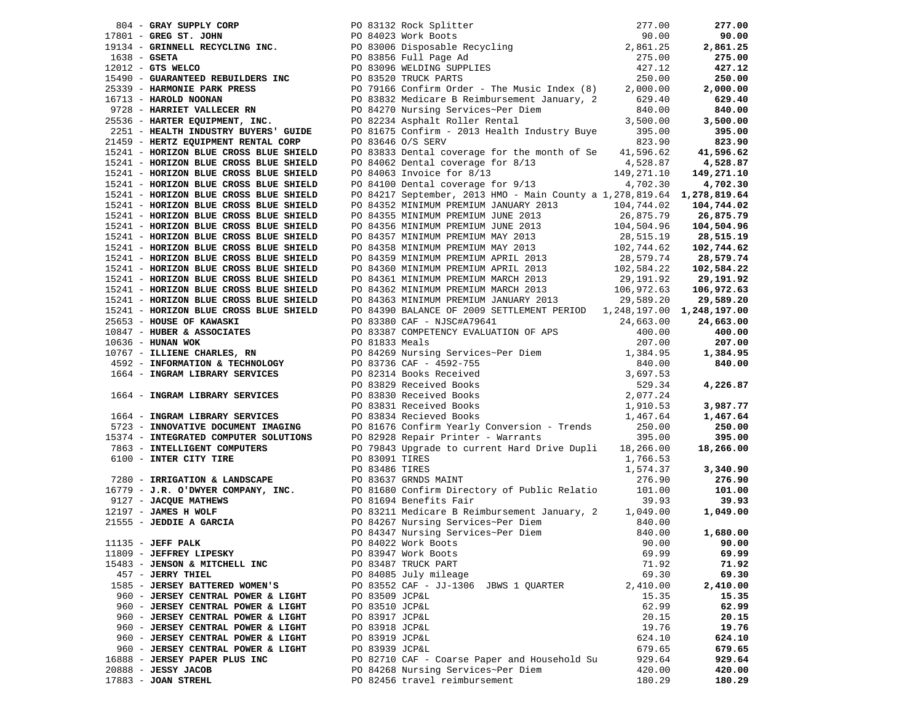|                                                                               |  |                                                                                                                                                                                                                                               |          | 277.00   |
|-------------------------------------------------------------------------------|--|-----------------------------------------------------------------------------------------------------------------------------------------------------------------------------------------------------------------------------------------------|----------|----------|
|                                                                               |  | 804 - GRAY SUPPLY CORP<br>17801 - GRES ST. JOHN<br>19134 - GRENNELL RECYCLING INC.<br>19134 - GRENNELL RECYCLING INC.<br>19134 - GRENNELL RECYCLING INC.<br>1922 - GTS WELCO<br>1922 - GTS WELCO<br>1922 - GTS WELCO<br>1922 - GUARANTEED REB |          | 90.00    |
|                                                                               |  |                                                                                                                                                                                                                                               |          | 2,861.25 |
|                                                                               |  |                                                                                                                                                                                                                                               |          | 275.00   |
|                                                                               |  |                                                                                                                                                                                                                                               |          | 427.12   |
|                                                                               |  |                                                                                                                                                                                                                                               |          |          |
|                                                                               |  |                                                                                                                                                                                                                                               |          | 250.00   |
|                                                                               |  |                                                                                                                                                                                                                                               |          | 2,000.00 |
|                                                                               |  |                                                                                                                                                                                                                                               |          | 629.40   |
|                                                                               |  |                                                                                                                                                                                                                                               |          | 840.00   |
|                                                                               |  |                                                                                                                                                                                                                                               |          | 3,500.00 |
|                                                                               |  |                                                                                                                                                                                                                                               |          | 395.00   |
| 21459 - HERTZ EQUIPMENT RENTAL CORP<br>15241 - HORIZON BLUE CROSS BLUE SHIELD |  | PO 83646 O/S SERV                                                                                                                                                                                                                             | 823.90   | 823.90   |
|                                                                               |  | PO 83833 Dental coverage for the month of Se 41,596.62 41,596.62                                                                                                                                                                              |          |          |
| 15241 - HORIZON BLUE CROSS BLUE SHIELD                                        |  |                                                                                                                                                                                                                                               |          |          |
| 15241 - HORIZON BLUE CROSS BLUE SHIELD                                        |  | PO 84062 Dental coverage for 8/13<br>PO 84063 Invoice for 8/13<br>PO 84100 Dental coverage for 9/13<br>PO 84100 Dental coverage for 9/13<br>PO 84100 Dental coverage for 9/13<br>PO 84100 Dental coverage for 9/13<br>PO 84100 Dental cove    |          |          |
|                                                                               |  |                                                                                                                                                                                                                                               |          |          |
| 15241 - HORIZON BLUE CROSS BLUE SHIELD                                        |  |                                                                                                                                                                                                                                               |          |          |
| 15241 - HORIZON BLUE CROSS BLUE SHIELD                                        |  | PO 84217 September, 2013 HMO - Main County a 1,278,819.64 1,278,819.64                                                                                                                                                                        |          |          |
|                                                                               |  |                                                                                                                                                                                                                                               |          |          |
|                                                                               |  |                                                                                                                                                                                                                                               |          |          |
|                                                                               |  |                                                                                                                                                                                                                                               |          |          |
|                                                                               |  |                                                                                                                                                                                                                                               |          |          |
|                                                                               |  |                                                                                                                                                                                                                                               |          |          |
|                                                                               |  |                                                                                                                                                                                                                                               |          |          |
|                                                                               |  |                                                                                                                                                                                                                                               |          |          |
|                                                                               |  |                                                                                                                                                                                                                                               |          |          |
|                                                                               |  |                                                                                                                                                                                                                                               |          |          |
|                                                                               |  |                                                                                                                                                                                                                                               |          |          |
|                                                                               |  |                                                                                                                                                                                                                                               |          |          |
|                                                                               |  |                                                                                                                                                                                                                                               |          |          |
|                                                                               |  |                                                                                                                                                                                                                                               |          |          |
|                                                                               |  |                                                                                                                                                                                                                                               |          |          |
|                                                                               |  |                                                                                                                                                                                                                                               |          |          |
|                                                                               |  |                                                                                                                                                                                                                                               |          |          |
|                                                                               |  |                                                                                                                                                                                                                                               |          |          |
|                                                                               |  |                                                                                                                                                                                                                                               |          |          |
|                                                                               |  |                                                                                                                                                                                                                                               |          |          |
|                                                                               |  |                                                                                                                                                                                                                                               |          |          |
|                                                                               |  |                                                                                                                                                                                                                                               |          |          |
|                                                                               |  |                                                                                                                                                                                                                                               |          |          |
|                                                                               |  |                                                                                                                                                                                                                                               |          |          |
|                                                                               |  |                                                                                                                                                                                                                                               |          |          |
|                                                                               |  |                                                                                                                                                                                                                                               |          |          |
|                                                                               |  |                                                                                                                                                                                                                                               |          |          |
|                                                                               |  |                                                                                                                                                                                                                                               |          |          |
|                                                                               |  |                                                                                                                                                                                                                                               |          | 3,340.90 |
|                                                                               |  |                                                                                                                                                                                                                                               |          |          |
|                                                                               |  |                                                                                                                                                                                                                                               |          |          |
|                                                                               |  | 19241 NORTZON MUUE CROSS BUUE SHELE DE S4107 Denicula Coverage Cro $9111$ (1972) 1931 1934. 1935 1138. 1947 1138. 1947 1138. 1947 1138. 1947 1138. 1947 1138. 1948. 1948. 1948. 1948. 1948. 1948. 1948. 1948. 1948. 1948. 1948                |          |          |
|                                                                               |  |                                                                                                                                                                                                                                               |          |          |
|                                                                               |  |                                                                                                                                                                                                                                               |          |          |
|                                                                               |  |                                                                                                                                                                                                                                               |          |          |
|                                                                               |  |                                                                                                                                                                                                                                               |          |          |
| 11809 - JEFFREY LIPESKY                                                       |  | PO 83947 Work Boots                                                                                                                                                                                                                           | 69.99    | 69.99    |
| 15483 - JENSON & MITCHELL INC                                                 |  | PO 83487 TRUCK PART                                                                                                                                                                                                                           | 71.92    | 71.92    |
| 457 - JERRY THIEL                                                             |  | PO 84085 July mileage                                                                                                                                                                                                                         | 69.30    | 69.30    |
| 1585 - JERSEY BATTERED WOMEN'S                                                |  | PO 83552 CAF - JJ-1306 JBWS 1 QUARTER                                                                                                                                                                                                         | 2,410.00 | 2,410.00 |
| 960 - JERSEY CENTRAL POWER & LIGHT                                            |  | PO 83509 JCP&L                                                                                                                                                                                                                                | 15.35    | 15.35    |
|                                                                               |  |                                                                                                                                                                                                                                               |          |          |
| 960 - JERSEY CENTRAL POWER & LIGHT                                            |  | PO 83510 JCP&L                                                                                                                                                                                                                                | 62.99    | 62.99    |
| 960 - JERSEY CENTRAL POWER & LIGHT                                            |  | PO 83917 JCP&L                                                                                                                                                                                                                                | 20.15    | 20.15    |
| 960 - JERSEY CENTRAL POWER & LIGHT                                            |  | PO 83918 JCP&L                                                                                                                                                                                                                                | 19.76    | 19.76    |
| 960 - JERSEY CENTRAL POWER & LIGHT                                            |  | PO 83919 JCP&L                                                                                                                                                                                                                                | 624.10   | 624.10   |
| 960 - JERSEY CENTRAL POWER & LIGHT                                            |  | PO 83939 JCP&L                                                                                                                                                                                                                                | 679.65   | 679.65   |
| 16888 - JERSEY PAPER PLUS INC                                                 |  | PO 82710 CAF - Coarse Paper and Household Su                                                                                                                                                                                                  | 929.64   | 929.64   |
| 20888 - JESSY JACOB                                                           |  | PO 84268 Nursing Services~Per Diem                                                                                                                                                                                                            | 420.00   | 420.00   |
| 17883 - JOAN STREHL                                                           |  | PO 82456 travel reimbursement                                                                                                                                                                                                                 | 180.29   | 180.29   |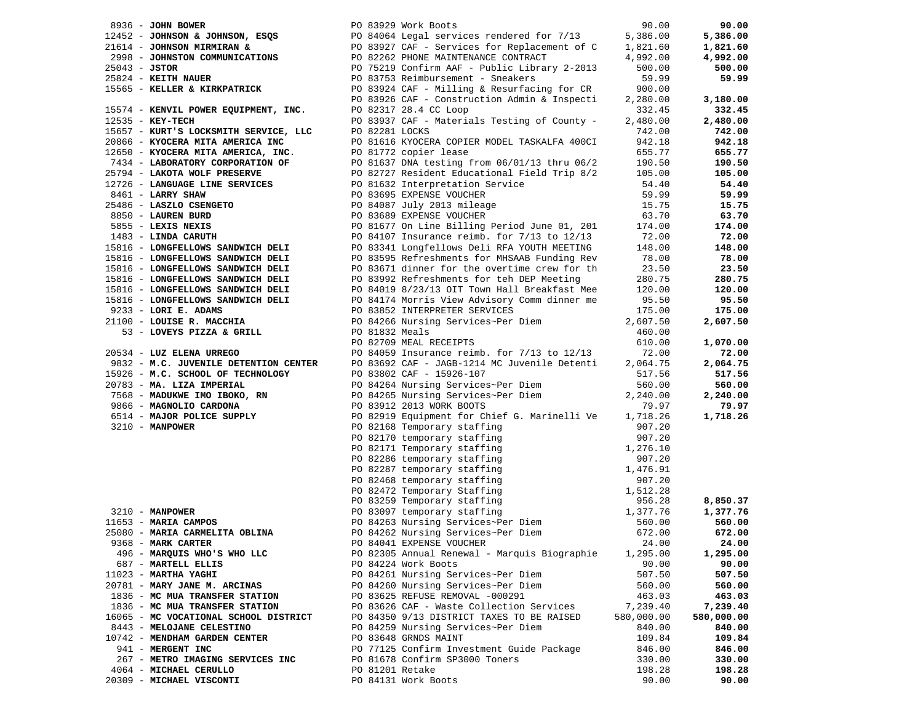| 8936 - JOHN BOWER                                                                          |                 | PO 83929 Work Boots                                                                                                                                                                                                                        | 90.00      | 90.00      |
|--------------------------------------------------------------------------------------------|-----------------|--------------------------------------------------------------------------------------------------------------------------------------------------------------------------------------------------------------------------------------------|------------|------------|
|                                                                                            |                 |                                                                                                                                                                                                                                            |            | 5,386.00   |
|                                                                                            |                 | 298 - JOHNSON & JOHNSON, ESQS<br>298 - JOHNSON MIRMIRAN & PO 84064 Legal services rendered for 7/13 5,386.00<br>2998 - JOHNSON MIRMIRAN & PO 83927 CAF - Services for Replacement of C 1,821.60<br>2998 - JOHNSTON COMMUNICATIONS PO 82    |            | 1,821.60   |
|                                                                                            |                 |                                                                                                                                                                                                                                            |            | 4,992.00   |
|                                                                                            |                 |                                                                                                                                                                                                                                            |            | 500.00     |
| 25824 - KEITH NAUER                                                                        |                 | PO 83753 Reimbursement - Sneakers                                                                                                                                                                                                          | 59.99      | 59.99      |
| 15565 - KELLER & KIRKPATRICK                                                               |                 | PO 83924 CAF - Milling & Resurfacing for CR                                                                                                                                                                                                | 900.00     |            |
|                                                                                            |                 | PO 83926 CAF - Construction Admin & Inspecti                                                                                                                                                                                               | 2,280.00   | 3,180.00   |
| 15574 - KENVIL POWER EQUIPMENT, INC.                                                       |                 | PO 82317 28.4 CC Loop                                                                                                                                                                                                                      | 332.45     | 332.45     |
|                                                                                            |                 |                                                                                                                                                                                                                                            |            |            |
| $12535 - KEV - TECH$                                                                       |                 | PO 83937 CAF - Materials Testing of County -                                                                                                                                                                                               | 2,480.00   | 2,480.00   |
| 15657 - KURT'S LOCKSMITH SERVICE, LLC                                                      | PO 82281 LOCKS  |                                                                                                                                                                                                                                            | 742.00     | 742.00     |
| 20866 - KYOCERA MITA AMERICA INC                                                           |                 | PO 81616 KYOCERA COPIER MODEL TASKALFA 400CI                                                                                                                                                                                               | 942.18     | 942.18     |
| 12650 - KYOCERA MITA AMERICA, INC.                                                         |                 | PO 81772 copier lease                                                                                                                                                                                                                      | 655.77     | 655.77     |
| 7434 - LABORATORY CORPORATION OF                                                           |                 | PO 81637 DNA testing from 06/01/13 thru 06/2                                                                                                                                                                                               | 190.50     | 190.50     |
| 25794 - LAKOTA WOLF PRESERVE                                                               |                 | PO 82727 Resident Educational Field Trip 8/2                                                                                                                                                                                               | 105.00     | 105.00     |
| 12726 - LANGUAGE LINE SERVICES                                                             |                 | PO 81632 Interpretation Service                                                                                                                                                                                                            | 54.40      | 54.40      |
| 8461 - LARRY SHAW                                                                          |                 | PO 83695 EXPENSE VOUCHER                                                                                                                                                                                                                   | 59.99      | 59.99      |
| 25486 - LASZLO CSENGETO<br>8850 - LAUREN BURD<br>5855 - LEXIS NEXIS<br>1483 - LINDA CARUTH |                 | PO 84087 July 2013 mileage                                                                                                                                                                                                                 | 15.75      | 15.75      |
|                                                                                            |                 | PO 83689 EXPENSE VOUCHER                                                                                                                                                                                                                   | 63.70      | 63.70      |
|                                                                                            |                 | PO 81677 On Line Billing Period June 01, 201                                                                                                                                                                                               | 174.00     | 174.00     |
|                                                                                            |                 | PO 84107 Insurance reimb. for $7/13$ to $12/13$                                                                                                                                                                                            | 72.00      | 72.00      |
| 15816 - LONGFELLOWS SANDWICH DELI                                                          |                 | PO 83341 Longfellows Deli RFA YOUTH MEETING                                                                                                                                                                                                | 148.00     | 148.00     |
| 15816 - LONGFELLOWS SANDWICH DELI                                                          |                 | PO 83595 Refreshments for MHSAAB Funding Rev                                                                                                                                                                                               | 78.00      | 78.00      |
|                                                                                            |                 |                                                                                                                                                                                                                                            |            |            |
| 15816 - LONGFELLOWS SANDWICH DELI                                                          |                 | PO 83671 dinner for the overtime crew for th                                                                                                                                                                                               | 23.50      | 23.50      |
| 15816 - LONGFELLOWS SANDWICH DELI                                                          |                 | PO 83992 Refreshments for teh DEP Meeting                                                                                                                                                                                                  | 280.75     | 280.75     |
| 15816 - LONGFELLOWS SANDWICH DELI                                                          |                 | PO 84019 8/23/13 OIT Town Hall Breakfast Mee                                                                                                                                                                                               | 120.00     | 120.00     |
| 15816 - LONGFELLOWS SANDWICH DELI                                                          |                 | PO 84174 Morris View Advisory Comm dinner me                                                                                                                                                                                               | 95.50      | 95.50      |
| $9233 -$ LORI E. ADAMS                                                                     |                 | PO 83852 INTERPRETER SERVICES                                                                                                                                                                                                              | 175.00     | 175.00     |
| 21100 - LOUISE R. MACCHIA                                                                  |                 | PO 84266 Nursing Services~Per Diem                                                                                                                                                                                                         | 2,607.50   | 2,607.50   |
| 53 - LOVEYS PIZZA & GRILL                                                                  | PO 81832 Meals  |                                                                                                                                                                                                                                            | 460.00     |            |
|                                                                                            |                 | PO 82709 MEAL RECEIPTS                                                                                                                                                                                                                     | 610.00     | 1,070.00   |
| 20534 - LUZ ELENA URREGO                                                                   |                 | PO 84059 Insurance reimb. for 7/13 to 12/13                                                                                                                                                                                                | 72.00      | 72.00      |
| 9832 - M.C. JUVENILE DETENTION CENTER                                                      |                 | PO 83692 CAF - JAGB-1214 MC Juvenile Detenti                                                                                                                                                                                               | 2,064.75   | 2,064.75   |
| 15926 - M.C. SCHOOL OF TECHNOLOGY                                                          |                 | PO 83802 CAF - 15926-107                                                                                                                                                                                                                   | 517.56     | 517.56     |
| 20783 - MA. LIZA IMPERIAL                                                                  |                 | PO 84264 Nursing Services~Per Diem                                                                                                                                                                                                         | 560.00     | 560.00     |
| 7568 - MADUKWE IMO IBOKO, RN                                                               |                 | PO 84265 Nursing Services~Per Diem                                                                                                                                                                                                         | 2,240.00   | 2,240.00   |
| 9866 - MAGNOLIO CARDONA                                                                    |                 | PO 83912 2013 WORK BOOTS                                                                                                                                                                                                                   | 79.97      | 79.97      |
| 6514 - MAJOR POLICE SUPPLY                                                                 |                 | PO 82919 Equipment for Chief G. Marinelli Ve                                                                                                                                                                                               | 1,718.26   | 1,718.26   |
| $3210$ - MANPOWER                                                                          |                 | PO 82168 Temporary staffing                                                                                                                                                                                                                | 907.20     |            |
|                                                                                            |                 |                                                                                                                                                                                                                                            |            |            |
|                                                                                            |                 |                                                                                                                                                                                                                                            |            |            |
|                                                                                            |                 |                                                                                                                                                                                                                                            |            |            |
|                                                                                            |                 |                                                                                                                                                                                                                                            |            |            |
|                                                                                            |                 |                                                                                                                                                                                                                                            |            |            |
|                                                                                            |                 |                                                                                                                                                                                                                                            |            |            |
|                                                                                            |                 |                                                                                                                                                                                                                                            |            |            |
| 3210 - MANPOWER<br>11653 - MARTA CAMPOS                                                    |                 | PO 82168 Temporary staffing 907.20<br>PO 82170 temporary staffing 907.20<br>PO 82171 Temporary staffing 1,276.10<br>PO 82286 temporary staffing 907.20<br>PO 82468 temporary staffing 1,476.91<br>PO 82472 Temporary staffing 907.20<br>PO |            | 8,850.37   |
|                                                                                            |                 |                                                                                                                                                                                                                                            |            | 1,377.76   |
| 11653 - MARIA CAMPOS                                                                       |                 |                                                                                                                                                                                                                                            |            | 560.00     |
| 25080 - MARIA CARMELITA OBLINA                                                             |                 | PO 84262 Nursing Services~Per Diem                                                                                                                                                                                                         | 672.00     | 672.00     |
| 9368 - MARK CARTER                                                                         |                 | PO 84041 EXPENSE VOUCHER                                                                                                                                                                                                                   | 24.00      | 24.00      |
| 496 - MARQUIS WHO'S WHO LLC                                                                |                 | PO 82305 Annual Renewal - Marquis Biographie                                                                                                                                                                                               | 1,295.00   | 1,295.00   |
| 687 - MARTELL ELLIS                                                                        |                 | PO 84224 Work Boots                                                                                                                                                                                                                        | 90.00      | 90.00      |
| 11023 - MARTHA YAGHI                                                                       |                 | PO 84261 Nursing Services~Per Diem                                                                                                                                                                                                         | 507.50     | 507.50     |
| 20781 - MARY JANE M. ARCINAS                                                               |                 | PO 84260 Nursing Services~Per Diem                                                                                                                                                                                                         | 560.00     | 560.00     |
| 1836 - MC MUA TRANSFER STATION                                                             |                 | PO 83625 REFUSE REMOVAL -000291                                                                                                                                                                                                            | 463.03     | 463.03     |
| 1836 - MC MUA TRANSFER STATION                                                             |                 | PO 83626 CAF - Waste Collection Services                                                                                                                                                                                                   | 7,239.40   | 7,239.40   |
| 16065 - MC VOCATIONAL SCHOOL DISTRICT                                                      |                 | PO 84350 9/13 DISTRICT TAXES TO BE RAISED                                                                                                                                                                                                  | 580,000.00 | 580,000.00 |
| 8443 - MELOJANE CELESTINO                                                                  |                 | PO 84259 Nursing Services~Per Diem                                                                                                                                                                                                         | 840.00     | 840.00     |
| 10742 - MENDHAM GARDEN CENTER                                                              |                 | PO 83648 GRNDS MAINT                                                                                                                                                                                                                       | 109.84     | 109.84     |
|                                                                                            |                 |                                                                                                                                                                                                                                            |            |            |
| 941 - MERGENT INC                                                                          |                 | PO 77125 Confirm Investment Guide Package                                                                                                                                                                                                  | 846.00     | 846.00     |
| 267 - METRO IMAGING SERVICES INC                                                           |                 | PO 81678 Confirm SP3000 Toners                                                                                                                                                                                                             | 330.00     | 330.00     |
| 4064 - MICHAEL CERULLO                                                                     | PO 81201 Retake |                                                                                                                                                                                                                                            | 198.28     | 198.28     |
| 20309 - MICHAEL VISCONTI                                                                   |                 | PO 84131 Work Boots                                                                                                                                                                                                                        | 90.00      | 90.00      |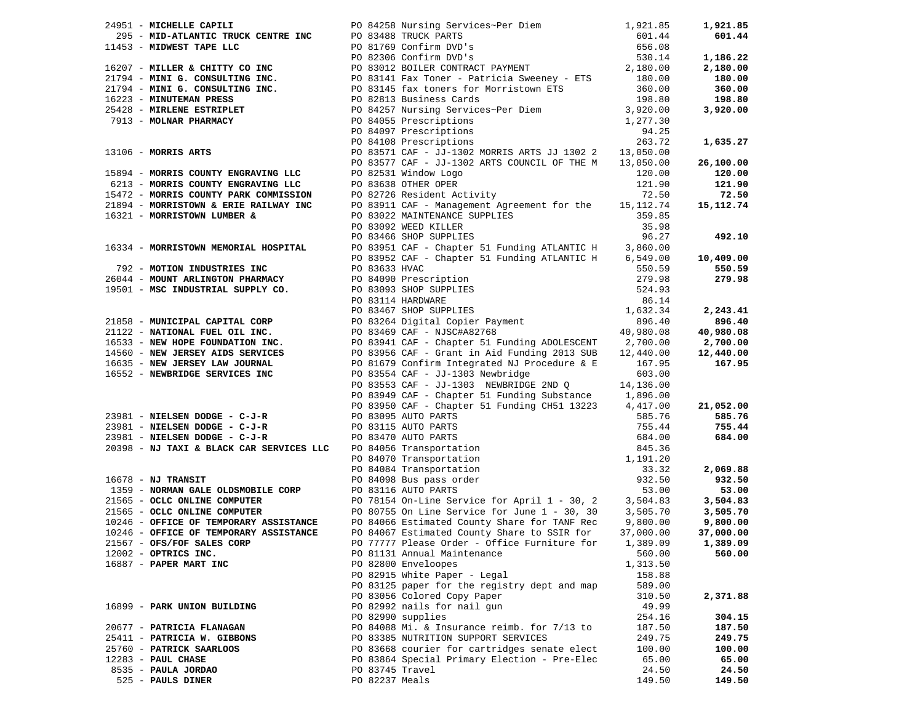|                      | 24951 - MICHELLE CAPILI                                                                                                               |                 | PO 84258 Nursing Services~Per Diem 1,921.85                                                                                                                                                                                                                 |           | 1,921.85  |
|----------------------|---------------------------------------------------------------------------------------------------------------------------------------|-----------------|-------------------------------------------------------------------------------------------------------------------------------------------------------------------------------------------------------------------------------------------------------------|-----------|-----------|
|                      |                                                                                                                                       |                 | 24951 - MICHELLE CAPILI PO 84258 Nursing Services-Per Diem<br>2955 - MID-ATLANTIC TRUCK CENTRE INC PO 83488 TRUCK PARTS<br>2955 - MID-ATLANTIC TRUCK CENTRE INC PO 83149 CONTRACT PAYMENT 566.08<br>21794 - MINI G. CONSULTING INC.                         |           | 601.44    |
|                      |                                                                                                                                       |                 |                                                                                                                                                                                                                                                             |           |           |
|                      |                                                                                                                                       |                 |                                                                                                                                                                                                                                                             |           | 1,186.22  |
|                      |                                                                                                                                       |                 |                                                                                                                                                                                                                                                             |           | 2,180.00  |
|                      |                                                                                                                                       |                 |                                                                                                                                                                                                                                                             |           | 180.00    |
|                      |                                                                                                                                       |                 |                                                                                                                                                                                                                                                             |           | 360.00    |
|                      |                                                                                                                                       |                 |                                                                                                                                                                                                                                                             |           | 198.80    |
|                      |                                                                                                                                       |                 |                                                                                                                                                                                                                                                             |           | 3,920.00  |
|                      |                                                                                                                                       |                 | PO 84055 Prescriptions<br>PO 84097 Prescriptions<br>PO 84108 Prescriptions                                                                                                                                                                                  |           |           |
|                      |                                                                                                                                       |                 |                                                                                                                                                                                                                                                             |           |           |
|                      |                                                                                                                                       |                 |                                                                                                                                                                                                                                                             | 263.72    | 1,635.27  |
|                      | 13106 - MORRIS ARTS                                                                                                                   |                 | PO 83571 CAF - JJ-1302 MORRIS ARTS JJ 1302 2 13,050.00                                                                                                                                                                                                      |           |           |
|                      |                                                                                                                                       |                 | PO 83577 CAF - JJ-1302 ARTS COUNCIL OF THE M 13,050.00                                                                                                                                                                                                      |           | 26,100.00 |
|                      | 15894 - MORRIS COUNTY ENGRAVING LLC                                                                                                   |                 | PO 82531 Window Logo                                                                                                                                                                                                                                        | 120.00    | 120.00    |
|                      |                                                                                                                                       |                 |                                                                                                                                                                                                                                                             | 121.90    | 121.90    |
|                      | 5894 - MORRIS COUNTI ENGRAVING LLC<br>6213 - MORRIS COUNTY ENGRAVING LLC<br>ELLER COMMISSION<br>15472 - MORRIS COUNTY PARK COMMISSION |                 | PO 82531 Window Logo<br>PO 83638 OTHER OPER<br>PO 82726 Resident Activity                                                                                                                                                                                   | 72.50     | 72.50     |
|                      | 21894 - MORRISTOWN & ERIE RAILWAY INC                                                                                                 |                 | PO 83911 CAF - Management Agreement for the 15,112.74                                                                                                                                                                                                       |           | 15,112.74 |
|                      | 16321 - MORRISTOWN LUMBER &                                                                                                           |                 |                                                                                                                                                                                                                                                             | 359.85    |           |
|                      |                                                                                                                                       |                 |                                                                                                                                                                                                                                                             | 35.98     |           |
|                      |                                                                                                                                       |                 | PO 83022 MAINTENANCE SUPPLIES<br>PO 83092 WEED KILLER<br>PO 83466 SHOP SUPPLIES<br>PO 83466 SHOP SUPPLIES                                                                                                                                                   | 96.27     | 492.10    |
|                      | 16334 - MORRISTOWN MEMORIAL HOSPITAL                                                                                                  |                 | PO 83951 CAF - Chapter 51 Funding ATLANTIC H 3,860.00<br>PO 83952 CAF - Chapter 51 Funding ATLANTIC H 6,549.00                                                                                                                                              |           |           |
|                      |                                                                                                                                       |                 |                                                                                                                                                                                                                                                             |           | 10,409.00 |
|                      |                                                                                                                                       |                 |                                                                                                                                                                                                                                                             |           | 550.59    |
|                      |                                                                                                                                       |                 |                                                                                                                                                                                                                                                             |           | 279.98    |
|                      |                                                                                                                                       |                 |                                                                                                                                                                                                                                                             |           |           |
|                      |                                                                                                                                       |                 | 792 - MOTION INDUSTRIES INC<br>26044 - MOUNT ARLINGTON PHARMACY<br>19501 - MSC INDUSTRIAL SUPPLY CO.<br>279.98<br>19501 - MSC INDUSTRIAL SUPPLY CO.<br>279.98<br>279.98<br>279.98<br>279.98<br>279.98<br>279.98<br>279.98<br>279.98<br>279.98<br>279.98<br> |           |           |
|                      |                                                                                                                                       |                 |                                                                                                                                                                                                                                                             |           | 2,243.41  |
|                      |                                                                                                                                       |                 |                                                                                                                                                                                                                                                             |           | 896.40    |
|                      |                                                                                                                                       |                 |                                                                                                                                                                                                                                                             |           | 40,980.08 |
|                      |                                                                                                                                       |                 |                                                                                                                                                                                                                                                             |           | 2,700.00  |
|                      |                                                                                                                                       |                 |                                                                                                                                                                                                                                                             |           | 12,440.00 |
|                      |                                                                                                                                       |                 |                                                                                                                                                                                                                                                             |           | 167.95    |
|                      | 16552 - NEWBRIDGE SERVICES INC PO 83554 CAF - JJ-1303 Newbridge                                                                       |                 |                                                                                                                                                                                                                                                             | 603.00    |           |
|                      |                                                                                                                                       |                 | PO 83553 CAF - JJ-1303 NEWBRIDGE 2ND Q 14,136.00                                                                                                                                                                                                            |           |           |
|                      |                                                                                                                                       |                 | PO 83949 CAF - Chapter 51 Funding Substance 1,896.00                                                                                                                                                                                                        |           |           |
|                      |                                                                                                                                       |                 | PO 83950 CAF - Chapter 51 Funding CH51 13223 4,417.00                                                                                                                                                                                                       |           | 21,052.00 |
|                      | 23981 - NIELSEN DODGE - C-J-R                                                                                                         |                 | PO 83095 AUTO PARTS                                                                                                                                                                                                                                         |           | 585.76    |
|                      | 23981 - NIELSEN DODGE - C-J-R                                                                                                         |                 |                                                                                                                                                                                                                                                             |           | 755.44    |
|                      | $23981$ - NIELSEN DODGE - C-J-R                                                                                                       |                 |                                                                                                                                                                                                                                                             |           | 684.00    |
|                      | 20398 - NJ TAXI & BLACK CAR SERVICES LLC                                                                                              |                 |                                                                                                                                                                                                                                                             |           |           |
|                      |                                                                                                                                       |                 |                                                                                                                                                                                                                                                             |           |           |
|                      |                                                                                                                                       |                 |                                                                                                                                                                                                                                                             |           | 2,069.88  |
| $16678$ - NJ TRANSIT |                                                                                                                                       |                 | PO 83095 AUTO PARTS<br>PO 83115 AUTO PARTS<br>PO 83470 AUTO PARTS<br>PO 84056 Transportation<br>PO 84070 Transportation<br>PO 84070 Transportation<br>PO 84084 Transportation<br>PO 84084 Transportation<br>PO 84088 Bus pass order<br>PO 83116             |           | 932.50    |
|                      |                                                                                                                                       |                 | PO 83116 AUTO PARTS                                                                                                                                                                                                                                         | 53.00     | 53.00     |
|                      | 1359 - NORMAN GALE OLDSMOBILE CORP<br>21565 - OCLC ONLINE COMPUTER<br>21565 - OCLC ONLINE COMPUTER                                    |                 |                                                                                                                                                                                                                                                             |           | 3,504.83  |
|                      |                                                                                                                                       |                 | PO 78154 On-Line Service for April 1 - 30, 2 3, 504.83<br>PO 80755 On Line Service for June 1 - 30, 30 3, 505.70<br>PO 84066 Estimated County Share for TANF Rec 9,800.00                                                                                   |           | 3,505.70  |
|                      | 10246 - OFFICE OF TEMPORARY ASSISTANCE                                                                                                |                 |                                                                                                                                                                                                                                                             |           | 9,800.00  |
|                      | 10246 - OFFICE OF TEMPORARY ASSISTANCE                                                                                                |                 |                                                                                                                                                                                                                                                             |           | 37,000.00 |
|                      | 21567 - OFS/FOF SALES CORP                                                                                                            |                 | PO 84067 Estimated County Share to SSIR for                                                                                                                                                                                                                 | 37,000.00 |           |
|                      |                                                                                                                                       |                 | PO 77777 Please Order - Office Furniture for 1,389.09                                                                                                                                                                                                       |           | 1,389.09  |
|                      | 12002 - OPTRICS INC.                                                                                                                  |                 | PO 81131 Annual Maintenance                                                                                                                                                                                                                                 | 560.00    | 560.00    |
|                      | 16887 - PAPER MART INC                                                                                                                |                 | PO 82800 Enveloopes                                                                                                                                                                                                                                         | 1,313.50  |           |
|                      |                                                                                                                                       |                 | PO 82915 White Paper - Legal                                                                                                                                                                                                                                | 158.88    |           |
|                      |                                                                                                                                       |                 | PO 83125 paper for the registry dept and map                                                                                                                                                                                                                | 589.00    |           |
|                      |                                                                                                                                       |                 | PO 83056 Colored Copy Paper                                                                                                                                                                                                                                 | 310.50    | 2,371.88  |
|                      | 16899 - PARK UNION BUILDING                                                                                                           |                 | PO 82992 nails for nail gun                                                                                                                                                                                                                                 | 49.99     |           |
|                      |                                                                                                                                       |                 | PO 82990 supplies                                                                                                                                                                                                                                           | 254.16    | 304.15    |
|                      | 20677 - PATRICIA FLANAGAN                                                                                                             |                 | PO 84088 Mi. & Insurance reimb. for 7/13 to                                                                                                                                                                                                                 | 187.50    | 187.50    |
|                      | 25411 - PATRICIA W. GIBBONS                                                                                                           |                 | PO 83385 NUTRITION SUPPORT SERVICES                                                                                                                                                                                                                         | 249.75    | 249.75    |
|                      | 25760 - PATRICK SAARLOOS                                                                                                              |                 | PO 83668 courier for cartridges senate elect                                                                                                                                                                                                                | 100.00    | 100.00    |
| $12283$ - PAUL CHASE |                                                                                                                                       |                 | PO 83864 Special Primary Election - Pre-Elec                                                                                                                                                                                                                | 65.00     | 65.00     |
|                      | 8535 - PAULA JORDAO                                                                                                                   | PO 83745 Travel |                                                                                                                                                                                                                                                             | 24.50     | 24.50     |
|                      | 525 - PAULS DINER                                                                                                                     | PO 82237 Meals  |                                                                                                                                                                                                                                                             | 149.50    | 149.50    |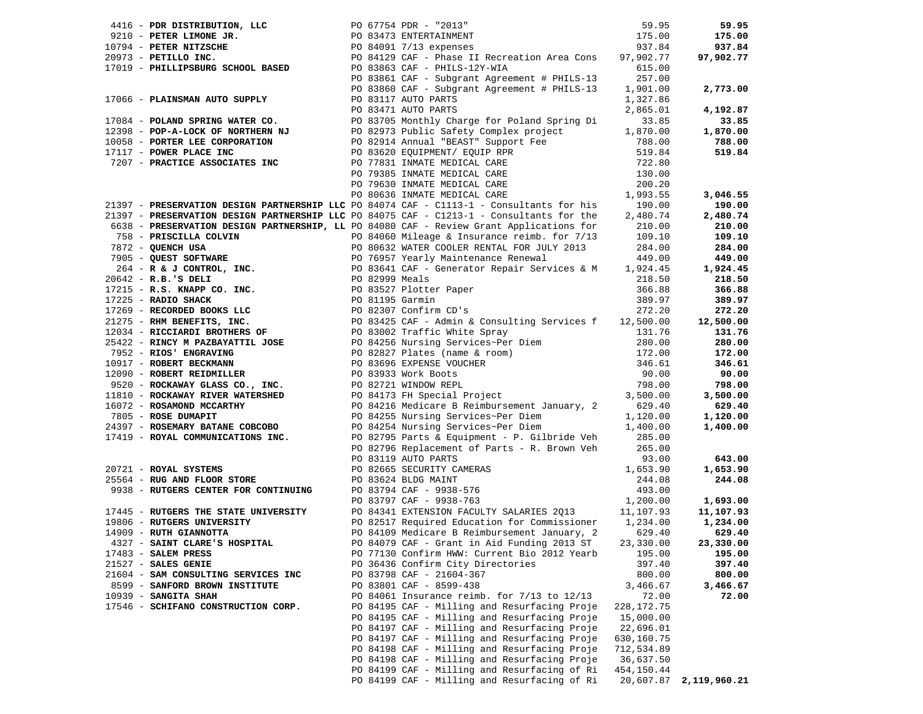|                                     |                                                                                                                                                                                                                                                     |              | 59.95                  |
|-------------------------------------|-----------------------------------------------------------------------------------------------------------------------------------------------------------------------------------------------------------------------------------------------------|--------------|------------------------|
|                                     | 4416 - PDR DISTRIBUTION, LLC 59.95<br>1991 - PETER MIXISURE TREE AND 1200 - THIS-1013-1 - 12013-12<br>1795.00<br>1795.00<br>1795.00<br>20973 - PETILLO INC.<br>20973 - PETILLO INC.<br>20973 - PETILLO INC.<br>20973 - PETILLO INC.<br>20973 -      |              | 175.00                 |
|                                     |                                                                                                                                                                                                                                                     |              | 937.84                 |
|                                     |                                                                                                                                                                                                                                                     |              | 97,902.77              |
|                                     |                                                                                                                                                                                                                                                     |              |                        |
|                                     |                                                                                                                                                                                                                                                     |              |                        |
|                                     |                                                                                                                                                                                                                                                     |              |                        |
|                                     |                                                                                                                                                                                                                                                     |              | 2,773.00               |
|                                     |                                                                                                                                                                                                                                                     |              |                        |
|                                     |                                                                                                                                                                                                                                                     |              | 4,192.87               |
|                                     |                                                                                                                                                                                                                                                     |              | 33.85                  |
|                                     |                                                                                                                                                                                                                                                     |              | 1,870.00               |
|                                     |                                                                                                                                                                                                                                                     |              | 788.00                 |
|                                     |                                                                                                                                                                                                                                                     |              | 519.84                 |
|                                     |                                                                                                                                                                                                                                                     |              |                        |
|                                     |                                                                                                                                                                                                                                                     |              |                        |
|                                     |                                                                                                                                                                                                                                                     |              |                        |
|                                     |                                                                                                                                                                                                                                                     |              |                        |
|                                     |                                                                                                                                                                                                                                                     |              | 3,046.55               |
|                                     |                                                                                                                                                                                                                                                     |              | 190.00                 |
|                                     |                                                                                                                                                                                                                                                     |              | 2,480.74               |
|                                     |                                                                                                                                                                                                                                                     |              | 210.00                 |
|                                     |                                                                                                                                                                                                                                                     |              | 109.10                 |
|                                     |                                                                                                                                                                                                                                                     |              | 284.00                 |
|                                     |                                                                                                                                                                                                                                                     |              |                        |
|                                     |                                                                                                                                                                                                                                                     |              | 449.00                 |
|                                     |                                                                                                                                                                                                                                                     |              | 1,924.45               |
|                                     |                                                                                                                                                                                                                                                     |              | 218.50                 |
|                                     |                                                                                                                                                                                                                                                     |              | 366.88                 |
|                                     |                                                                                                                                                                                                                                                     |              | 389.97                 |
|                                     |                                                                                                                                                                                                                                                     |              | 272.20                 |
|                                     |                                                                                                                                                                                                                                                     |              | 12,500.00              |
|                                     |                                                                                                                                                                                                                                                     |              | 131.76                 |
|                                     |                                                                                                                                                                                                                                                     |              | 280.00                 |
|                                     |                                                                                                                                                                                                                                                     |              |                        |
|                                     |                                                                                                                                                                                                                                                     |              | 172.00                 |
|                                     |                                                                                                                                                                                                                                                     |              | 346.61                 |
|                                     |                                                                                                                                                                                                                                                     |              | 90.00                  |
|                                     |                                                                                                                                                                                                                                                     |              | 798.00                 |
|                                     |                                                                                                                                                                                                                                                     |              | 3,500.00               |
|                                     |                                                                                                                                                                                                                                                     |              | 629.40                 |
|                                     | 21397 - <b>PRESERVATION DESIGN EXAMPERENTIP LC</b> F 00 2007 - C1213-1 - Consultains for the 2,450.74<br>21397 - <b>PRESERVATION DESIGN PARTNERSHIP</b> , LCF 00 60000 CAF - Review Grant Applies for the 2,450.74<br>752 - <b>OUBSE SOUTABLE 2</b> |              | 1,120.00               |
|                                     |                                                                                                                                                                                                                                                     |              |                        |
|                                     |                                                                                                                                                                                                                                                     |              |                        |
|                                     |                                                                                                                                                                                                                                                     |              |                        |
|                                     |                                                                                                                                                                                                                                                     |              |                        |
|                                     |                                                                                                                                                                                                                                                     |              |                        |
|                                     |                                                                                                                                                                                                                                                     |              |                        |
|                                     |                                                                                                                                                                                                                                                     |              |                        |
|                                     |                                                                                                                                                                                                                                                     |              |                        |
|                                     | 20721 - ROYAL SYSTEMS<br>20721 - ROYAL SYSTEMS<br>20721 - ROYAL SYSTEMS<br>20196 Replacement of Parts - R. Brown Veh 265.00<br>20196 Replacement of Parts - R. Brown Veh 265.00<br>20206 - 20196 REPLACEMENT CANNERS<br>20206 - 20196 REPL          |              |                        |
|                                     |                                                                                                                                                                                                                                                     |              |                        |
|                                     |                                                                                                                                                                                                                                                     |              |                        |
|                                     |                                                                                                                                                                                                                                                     |              |                        |
|                                     |                                                                                                                                                                                                                                                     |              |                        |
|                                     |                                                                                                                                                                                                                                                     |              |                        |
| 21527 - SALES GENIE                 | PO 36436 Confirm City Directories                                                                                                                                                                                                                   | 397.40       | 397.40                 |
| 21604 - SAM CONSULTING SERVICES INC | PO 83798 CAF - 21604-367                                                                                                                                                                                                                            | 800.00       | 800.00                 |
|                                     |                                                                                                                                                                                                                                                     |              |                        |
| 8599 - SANFORD BROWN INSTITUTE      | PO 83801 CAF - 8599-438                                                                                                                                                                                                                             | 3,466.67     | 3,466.67               |
| $10939$ - SANGITA SHAH              | PO 84061 Insurance reimb. for $7/13$ to $12/13$                                                                                                                                                                                                     | 72.00        | 72.00                  |
| 17546 - SCHIFANO CONSTRUCTION CORP. | PO 84195 CAF - Milling and Resurfacing Proje                                                                                                                                                                                                        | 228, 172. 75 |                        |
|                                     | PO 84195 CAF - Milling and Resurfacing Proje                                                                                                                                                                                                        | 15,000.00    |                        |
|                                     | PO 84197 CAF - Milling and Resurfacing Proje                                                                                                                                                                                                        | 22,696.01    |                        |
|                                     | PO 84197 CAF - Milling and Resurfacing Proje                                                                                                                                                                                                        | 630,160.75   |                        |
|                                     | PO 84198 CAF - Milling and Resurfacing Proje                                                                                                                                                                                                        | 712,534.89   |                        |
|                                     | PO 84198 CAF - Milling and Resurfacing Proje                                                                                                                                                                                                        | 36,637.50    |                        |
|                                     | PO 84199 CAF - Milling and Resurfacing of Ri                                                                                                                                                                                                        | 454,150.44   |                        |
|                                     | PO 84199 CAF - Milling and Resurfacing of Ri                                                                                                                                                                                                        |              |                        |
|                                     |                                                                                                                                                                                                                                                     |              | 20,607.87 2,119,960.21 |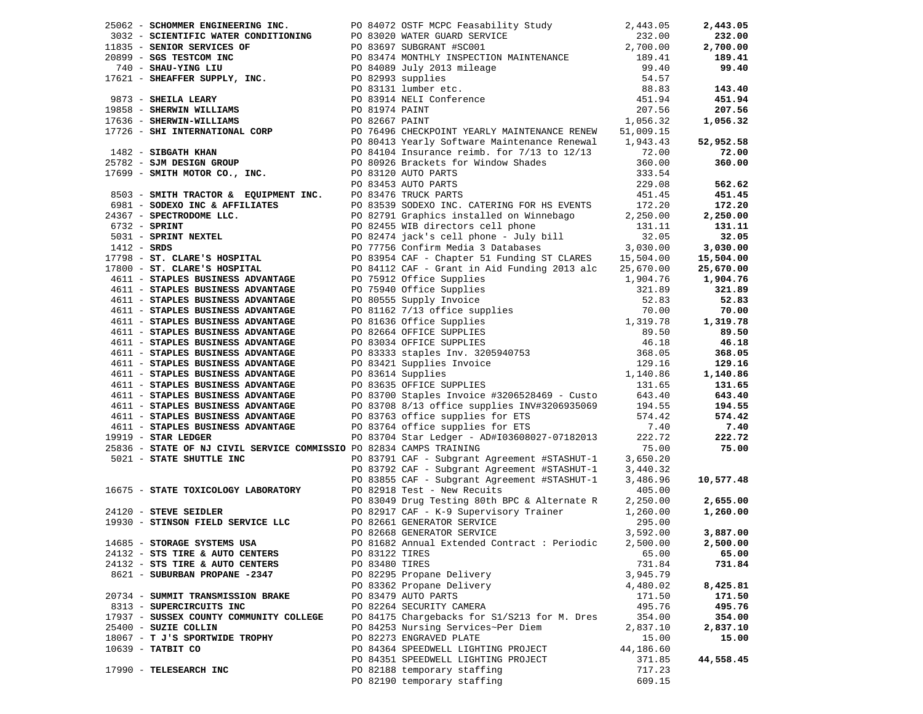|                                                                     |  | 26062 - SCHOMMER ENGINERING INC.<br>1833 - SCHOMMER ENGINERING INC.<br>1833 - SCHOMMER ENGINER CONDITIONING PO 83020 WATER GURD SERVICE (1936 2011) 2013<br>1939 - SCHOMER HOW INC.<br>1938 - SERVICES OF PO 8345 2012 101 MILE (1938                     |           | 2,443.05  |
|---------------------------------------------------------------------|--|-----------------------------------------------------------------------------------------------------------------------------------------------------------------------------------------------------------------------------------------------------------|-----------|-----------|
|                                                                     |  |                                                                                                                                                                                                                                                           |           | 232.00    |
|                                                                     |  |                                                                                                                                                                                                                                                           |           | 2,700.00  |
|                                                                     |  |                                                                                                                                                                                                                                                           |           | 189.41    |
|                                                                     |  |                                                                                                                                                                                                                                                           |           | 99.40     |
|                                                                     |  |                                                                                                                                                                                                                                                           |           |           |
|                                                                     |  |                                                                                                                                                                                                                                                           |           | 143.40    |
|                                                                     |  |                                                                                                                                                                                                                                                           |           | 451.94    |
|                                                                     |  |                                                                                                                                                                                                                                                           |           | 207.56    |
|                                                                     |  |                                                                                                                                                                                                                                                           |           | 1,056.32  |
|                                                                     |  |                                                                                                                                                                                                                                                           |           |           |
|                                                                     |  |                                                                                                                                                                                                                                                           |           | 52,952.58 |
|                                                                     |  |                                                                                                                                                                                                                                                           |           |           |
|                                                                     |  |                                                                                                                                                                                                                                                           |           | 72.00     |
|                                                                     |  |                                                                                                                                                                                                                                                           |           | 360.00    |
|                                                                     |  |                                                                                                                                                                                                                                                           |           |           |
|                                                                     |  |                                                                                                                                                                                                                                                           |           | 562.62    |
|                                                                     |  |                                                                                                                                                                                                                                                           |           | 451.45    |
|                                                                     |  |                                                                                                                                                                                                                                                           |           | 172.20    |
|                                                                     |  |                                                                                                                                                                                                                                                           |           | 2,250.00  |
|                                                                     |  |                                                                                                                                                                                                                                                           |           | 131.11    |
|                                                                     |  |                                                                                                                                                                                                                                                           |           | 32.05     |
|                                                                     |  |                                                                                                                                                                                                                                                           |           | 3,030.00  |
|                                                                     |  |                                                                                                                                                                                                                                                           |           | 15,504.00 |
|                                                                     |  |                                                                                                                                                                                                                                                           |           | 25,670.00 |
|                                                                     |  |                                                                                                                                                                                                                                                           |           | 1,904.76  |
|                                                                     |  |                                                                                                                                                                                                                                                           |           | 321.89    |
|                                                                     |  |                                                                                                                                                                                                                                                           |           | 52.83     |
|                                                                     |  |                                                                                                                                                                                                                                                           |           | 70.00     |
|                                                                     |  |                                                                                                                                                                                                                                                           |           | 1,319.78  |
|                                                                     |  |                                                                                                                                                                                                                                                           |           | 89.50     |
|                                                                     |  |                                                                                                                                                                                                                                                           |           | 46.18     |
|                                                                     |  |                                                                                                                                                                                                                                                           |           | 368.05    |
|                                                                     |  |                                                                                                                                                                                                                                                           |           | 129.16    |
|                                                                     |  |                                                                                                                                                                                                                                                           |           | 1,140.86  |
|                                                                     |  |                                                                                                                                                                                                                                                           |           |           |
|                                                                     |  |                                                                                                                                                                                                                                                           |           | 131.65    |
|                                                                     |  |                                                                                                                                                                                                                                                           |           | 643.40    |
|                                                                     |  |                                                                                                                                                                                                                                                           |           |           |
|                                                                     |  |                                                                                                                                                                                                                                                           |           |           |
| 4611 - STAPLES BUSINESS ADVANTAGE<br>9919 - STAR LEDGER             |  |                                                                                                                                                                                                                                                           | 7.40      | 7.40      |
| $19919$ - STAR LEDGER                                               |  | PO 83704 Star Ledger - AD#I03608027-07182013 222.72                                                                                                                                                                                                       |           | 222.72    |
| 25836 - STATE OF NJ CIVIL SERVICE COMMISSIO PO 82834 CAMPS TRAINING |  |                                                                                                                                                                                                                                                           | 75.00     | 75.00     |
| 5021 - STATE SHUTTLE INC                                            |  | PO 83791 CAF - Subgrant Agreement #STASHUT-1 3,650.20                                                                                                                                                                                                     |           |           |
|                                                                     |  | PO 83792 CAF – Subgrant Agreement #STASHUT-1      3,440.32<br>PO 83855 CAF – Subgrant Agreement #STASHUT-1      3,486.96                                                                                                                                  |           |           |
|                                                                     |  |                                                                                                                                                                                                                                                           |           | 10,577.48 |
|                                                                     |  |                                                                                                                                                                                                                                                           |           |           |
|                                                                     |  | 16675 - <b>STATE TOXICOLOGY LABORATORY</b> PO 82918 Test - New Recuits 405.00<br>24120 - <b>STEVE SEIDLER</b> PO 82918 Test - New Recuits 405.00<br>24120 - <b>STEVE SEIDLER</b> PO 82668 GENERATOR SERVICE 1,260.00<br>2930 - <b>STINSON FIELD SERVI</b> |           | 2,655.00  |
|                                                                     |  |                                                                                                                                                                                                                                                           |           | 1,260.00  |
|                                                                     |  |                                                                                                                                                                                                                                                           |           |           |
|                                                                     |  |                                                                                                                                                                                                                                                           |           | 3,887.00  |
| 14685 - STORAGE SYSTEMS USA                                         |  | PO 81682 Annual Extended Contract: Periodic 2,500.00 2,500.00                                                                                                                                                                                             |           |           |
| 24132 - STS TIRE & AUTO CENTERS                                     |  | PO 83122 TIRES                                                                                                                                                                                                                                            | 65.00     | 65.00     |
| 24132 - STS TIRE & AUTO CENTERS                                     |  | PO 83480 TIRES                                                                                                                                                                                                                                            | 731.84    | 731.84    |
| 8621 - SUBURBAN PROPANE -2347                                       |  | PO 82295 Propane Delivery                                                                                                                                                                                                                                 | 3,945.79  |           |
|                                                                     |  | PO 83362 Propane Delivery                                                                                                                                                                                                                                 | 4,480.02  | 8,425.81  |
| 20734 - SUMMIT TRANSMISSION BRAKE                                   |  | PO 83479 AUTO PARTS                                                                                                                                                                                                                                       | 171.50    | 171.50    |
| 8313 - SUPERCIRCUITS INC                                            |  | PO 82264 SECURITY CAMERA                                                                                                                                                                                                                                  | 495.76    | 495.76    |
| 17937 - SUSSEX COUNTY COMMUNITY COLLEGE                             |  | PO 84175 Chargebacks for S1/S213 for M. Dres                                                                                                                                                                                                              | 354.00    | 354.00    |
| 25400 - SUZIE COLLIN                                                |  | PO 84253 Nursing Services~Per Diem                                                                                                                                                                                                                        | 2,837.10  | 2,837.10  |
| 18067 - T J'S SPORTWIDE TROPHY                                      |  | PO 82273 ENGRAVED PLATE                                                                                                                                                                                                                                   | 15.00     | 15.00     |
| 10639 - TATBIT CO                                                   |  | PO 84364 SPEEDWELL LIGHTING PROJECT                                                                                                                                                                                                                       | 44,186.60 |           |
|                                                                     |  | PO 84351 SPEEDWELL LIGHTING PROJECT                                                                                                                                                                                                                       | 371.85    | 44,558.45 |
| 17990 - TELESEARCH INC                                              |  | PO 82188 temporary staffing                                                                                                                                                                                                                               | 717.23    |           |
|                                                                     |  | PO 82190 temporary staffing                                                                                                                                                                                                                               | 609.15    |           |
|                                                                     |  |                                                                                                                                                                                                                                                           |           |           |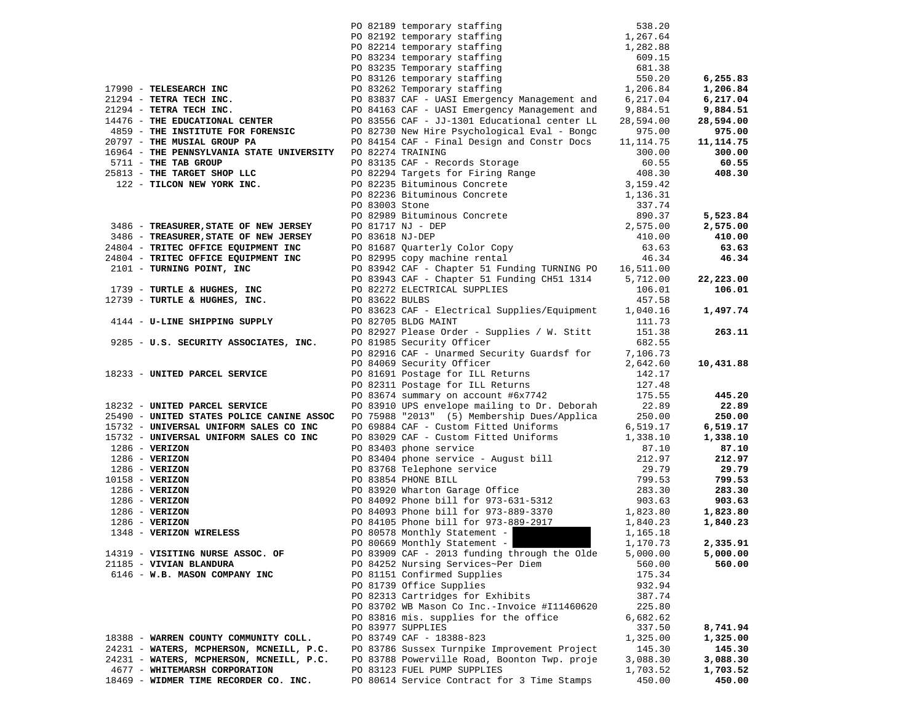|                                                             |                 | PO 82189 temporary staffing 538.20<br>PO 82192 temporary staffing 1,267.64<br>PO 82214 temporary staffing 1,282.88      |           |                    |
|-------------------------------------------------------------|-----------------|-------------------------------------------------------------------------------------------------------------------------|-----------|--------------------|
|                                                             |                 |                                                                                                                         |           |                    |
|                                                             |                 |                                                                                                                         |           |                    |
|                                                             |                 | PO 83234 temporary staffing<br>PO 83235 Temporary staffing                                                              | 609.15    |                    |
|                                                             |                 |                                                                                                                         | 681.38    |                    |
|                                                             |                 |                                                                                                                         | 550.20    | 6,255.83           |
| 17990 - TELESEARCH INC                                      |                 | PO 83235 Temporary staffing<br>PO 83126 temporary staffing<br>Coloral Temporary staffing<br>PO 83262 Temporary staffing | 1,206.84  | 1,206.84           |
| 21294 - TETRA TECH INC.                                     |                 | PO 83837 CAF - UASI Emergency Management and 6,217.04                                                                   |           | 6,217.04           |
| 21294 - TETRA TECH INC.                                     |                 | PO 84163 CAF - UASI Emergency Management and                                                                            | 9,884.51  | 9,884.51           |
| 14476 - THE EDUCATIONAL CENTER                              |                 | PO 83556 CAF - JJ-1301 Educational center LL                                                                            | 28,594.00 | 28,594.00          |
| 4859 - THE INSTITUTE FOR FORENSIC                           |                 | PO 82730 New Hire Psychological Eval - Bongc                                                                            | 975.00    | 975.00             |
| 20797 - THE MUSIAL GROUP PA                                 |                 | PO 84154 CAF - Final Design and Constr Docs                                                                             | 11,114.75 | 11, 114.75         |
| 16964 - THE PENNSYLVANIA STATE UNIVERSITY PO 82274 TRAINING |                 |                                                                                                                         | 300.00    | 300.00             |
| 5711 - THE TAB GROUP                                        |                 | PO 83135 CAF - Records Storage                                                                                          | 60.55     | 60.55              |
| 25813 - THE TARGET SHOP LLC                                 |                 |                                                                                                                         | 408.30    | 408.30             |
| 122 - TILCON NEW YORK INC.                                  |                 | PO 82294 Targets for Firing Range<br>PO 82235 Bituminous Concrete                                                       | 3,159.42  |                    |
|                                                             |                 | PO 82236 Bituminous Concrete                                                                                            | 1,136.31  |                    |
|                                                             |                 |                                                                                                                         | 337.74    |                    |
|                                                             |                 | PO 82989 Bituminous Concrete<br>PO 81717 NJ - DEP                                                                       | 890.37    | 5,523.84           |
| 3486 - TREASURER, STATE OF NEW JERSEY                       |                 |                                                                                                                         | 2,575.00  |                    |
| 3486 - TREASURER, STATE OF NEW JERSEY                       | PO 83618 NJ-DEP |                                                                                                                         | 410.00    | 2,575.00<br>410.00 |
| 24804 - TRITEC OFFICE EQUIPMENT INC                         |                 |                                                                                                                         |           |                    |
|                                                             |                 | PO 81687 Quarterly Color Copy<br>PO 82995 copy machine rental                                                           | 63.63     | 63.63              |
| 24804 - TRITEC OFFICE EQUIPMENT INC                         |                 |                                                                                                                         | 46.34     | 46.34              |
| 2101 - TURNING POINT, INC                                   |                 | PO 83942 CAF - Chapter 51 Funding TURNING PO                                                                            | 16,511.00 |                    |
|                                                             |                 | PO 83943 CAF - Chapter 51 Funding CH51 1314                                                                             | 5,712.00  | 22,223.00          |
| 1739 - TURTLE & HUGHES, INC                                 |                 | PO 82272 ELECTRICAL SUPPLIES                                                                                            | 106.01    | 106.01             |
| 12739 - TURTLE & HUGHES, INC.                               | PO 83622 BULBS  |                                                                                                                         | 457.58    |                    |
| 4144 - U-LINE SHIPPING SUPPLY                               |                 | PO 83623 CAF - Electrical Supplies/Equipment                                                                            | 1,040.16  | 1,497.74           |
|                                                             |                 | PO 82705 BLDG MAINT                                                                                                     | 111.73    |                    |
|                                                             |                 | PO 82927 Please Order - Supplies / W. Stitt                                                                             | 151.38    | 263.11             |
| 9285 - U.S. SECURITY ASSOCIATES, INC.                       |                 | PO 81985 Security Officer                                                                                               | 682.55    |                    |
|                                                             |                 | PO 82916 CAF - Unarmed Security Guardsf for                                                                             | 7,106.73  |                    |
|                                                             |                 | PO 84069 Security Officer<br>PO 81691 Postage for ILL Returns                                                           | 2,642.60  | 10,431.88          |
| 18233 - UNITED PARCEL SERVICE                               |                 |                                                                                                                         | 142.17    |                    |
|                                                             |                 | PO 82311 Postage for ILL Returns<br>$P0$ 83674 summary on account $#6x7742$                                             | 127.48    |                    |
|                                                             |                 |                                                                                                                         | 175.55    | 445.20             |
| 18232 - UNITED PARCEL SERVICE                               |                 | PO 83910 UPS envelope mailing to Dr. Deborah                                                                            | 22.89     | 22.89              |
| 25490 - UNITED STATES POLICE CANINE ASSOC                   |                 | PO 75988 "2013" (5) Membership Dues/Applica                                                                             | 250.00    | 250.00             |
| 15732 - UNIVERSAL UNIFORM SALES CO INC                      |                 | PO 69884 CAF - Custom Fitted Uniforms                                                                                   | 6,519.17  | 6,519.17           |
| 15732 - UNIVERSAL UNIFORM SALES CO INC                      |                 | PO 83029 CAF - Custom Fitted Uniforms                                                                                   | 1,338.10  | 1,338.10           |
| $1286$ - VERIZON                                            |                 | PO 83403 phone service                                                                                                  | 87.10     | 87.10              |
| $1286$ - VERIZON                                            |                 | PO 83404 phone service - August bill                                                                                    | 212.97    | 212.97             |
| $1286 - VERIZON$                                            |                 | PO 83768 Telephone service                                                                                              | 29.79     | 29.79              |
| $10158 - VERIZON$                                           |                 | PO 83854 PHONE BILL                                                                                                     | 799.53    | 799.53             |
| $1286 - VERIZON$                                            |                 | PO 83920 Wharton Garage Office                                                                                          | 283.30    | 283.30             |
| $1286$ - VERIZON                                            |                 | PO 84092 Phone bill for 973-631-5312                                                                                    | 903.63    | 903.63             |
| $1286$ - VERIZON                                            |                 | PO 84093 Phone bill for 973-889-3370                                                                                    | 1,823.80  | 1,823.80           |
| $1286$ - VERIZON                                            |                 | PO 84105 Phone bill for 973-889-2917                                                                                    | 1,840.23  | 1,840.23           |
| 1348 - VERIZON WIRELESS                                     |                 | PO 80578 Monthly Statement -                                                                                            | 1,165.18  |                    |
|                                                             |                 | PO 80669 Monthly Statement -                                                                                            | 1,170.73  | 2,335.91           |
| 14319 - VISITING NURSE ASSOC. OF                            |                 | PO 83909 CAF - 2013 funding through the Olde                                                                            | 5,000.00  | 5,000.00           |
| 21185 - VIVIAN BLANDURA                                     |                 | PO 84252 Nursing Services~Per Diem                                                                                      | 560.00    | 560.00             |
| 6146 - W.B. MASON COMPANY INC                               |                 | PO 81151 Confirmed Supplies                                                                                             | 175.34    |                    |
|                                                             |                 | PO 81739 Office Supplies                                                                                                | 932.94    |                    |
|                                                             |                 | PO 82313 Cartridges for Exhibits                                                                                        | 387.74    |                    |
|                                                             |                 | PO 83702 WB Mason Co Inc.-Invoice #I11460620                                                                            | 225.80    |                    |
|                                                             |                 | PO 83816 mis. supplies for the office                                                                                   | 6,682.62  |                    |
|                                                             |                 | PO 83977 SUPPLIES                                                                                                       | 337.50    | 8,741.94           |
| 18388 - WARREN COUNTY COMMUNITY COLL.                       |                 | PO 83749 CAF - 18388-823                                                                                                | 1,325.00  | 1,325.00           |
| 24231 - WATERS, MCPHERSON, MCNEILL, P.C.                    |                 | PO 83786 Sussex Turnpike Improvement Project                                                                            | 145.30    | 145.30             |
| 24231 - WATERS, MCPHERSON, MCNEILL, P.C.                    |                 | PO 83788 Powerville Road, Boonton Twp. proje                                                                            | 3,088.30  | 3,088.30           |
| 4677 - WHITEMARSH CORPORATION                               |                 | PO 83123 FUEL PUMP SUPPLIES                                                                                             | 1,703.52  | 1,703.52           |
| 18469 - WIDMER TIME RECORDER CO. INC.                       |                 | PO 80614 Service Contract for 3 Time Stamps                                                                             | 450.00    | 450.00             |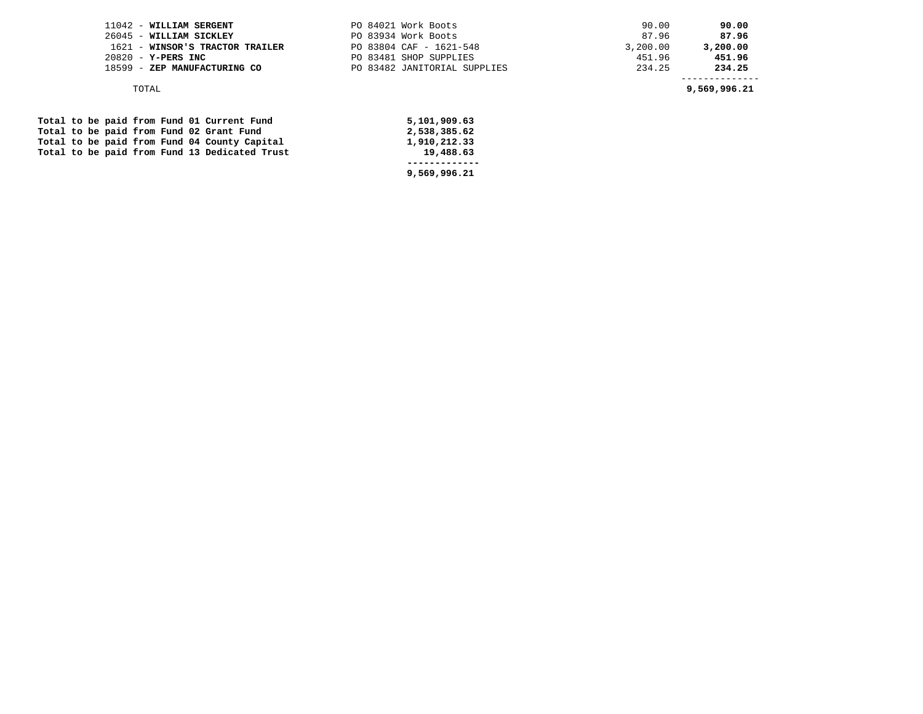| 11042 - WILLIAM SERGENT         | PO 84021 Work Boots          | 90.00    | 90.00    |
|---------------------------------|------------------------------|----------|----------|
| 26045 - WILLIAM SICKLEY         | PO 83934 Work Boots          | 87.96    | 87.96    |
| 1621 - WINSOR'S TRACTOR TRAILER | PO 83804 CAF - 1621-548      | 3,200.00 | 3,200.00 |
| 20820 - Y-PERS INC              | PO 83481 SHOP SUPPLIES       | 451.96   | 451.96   |
| 18599 - ZEP MANUFACTURING CO    | PO 83482 JANITORIAL SUPPLIES | 234.25   | 234.25   |
|                                 |                              |          |          |

TOTAL **9,569,996.21** 

|  |  |  |  | Total to be paid from Fund 01 Current Fund    | 5,101,909.63 |
|--|--|--|--|-----------------------------------------------|--------------|
|  |  |  |  | Total to be paid from Fund 02 Grant Fund      | 2,538,385.62 |
|  |  |  |  | Total to be paid from Fund 04 County Capital  | 1,910,212.33 |
|  |  |  |  | Total to be paid from Fund 13 Dedicated Trust | 19,488.63    |
|  |  |  |  |                                               |              |
|  |  |  |  |                                               | 9,569,996.21 |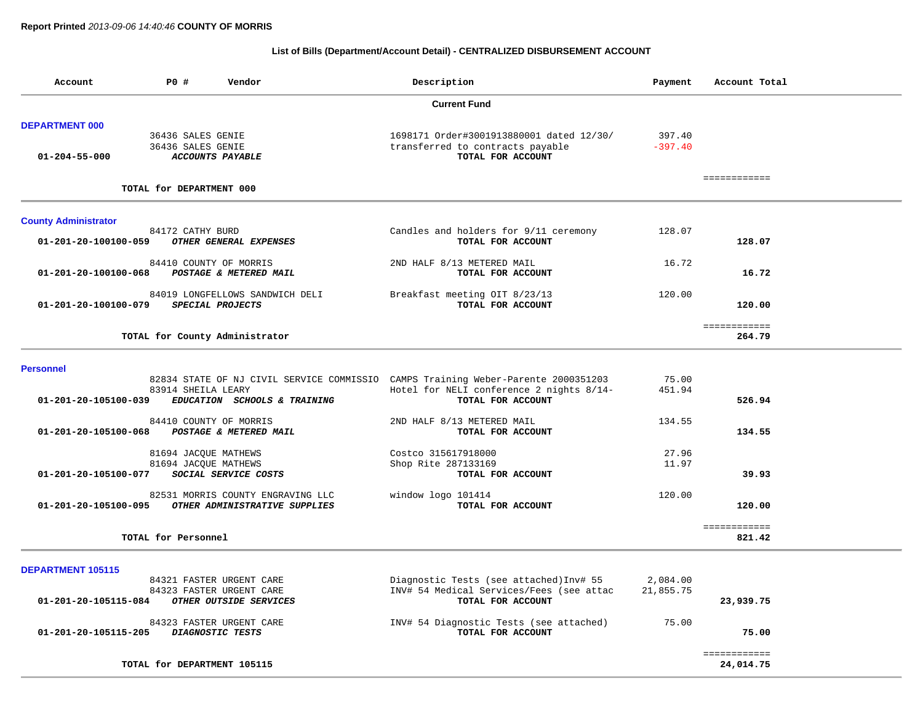# **List of Bills (Department/Account Detail) - CENTRALIZED DISBURSEMENT ACCOUNT**

| Account                     | P0 #                        | Vendor                            | Description                                                                       | Payment   | Account Total |  |
|-----------------------------|-----------------------------|-----------------------------------|-----------------------------------------------------------------------------------|-----------|---------------|--|
|                             |                             |                                   | <b>Current Fund</b>                                                               |           |               |  |
| <b>DEPARTMENT 000</b>       |                             |                                   |                                                                                   |           |               |  |
|                             | 36436 SALES GENIE           |                                   | 1698171 Order#3001913880001 dated 12/30/                                          | 397.40    |               |  |
|                             | 36436 SALES GENIE           |                                   | transferred to contracts payable                                                  | $-397.40$ |               |  |
| $01 - 204 - 55 - 000$       |                             | <b>ACCOUNTS PAYABLE</b>           | TOTAL FOR ACCOUNT                                                                 |           |               |  |
|                             |                             |                                   |                                                                                   |           | ============  |  |
|                             | TOTAL for DEPARTMENT 000    |                                   |                                                                                   |           |               |  |
| <b>County Administrator</b> |                             |                                   |                                                                                   |           |               |  |
|                             | 84172 CATHY BURD            |                                   | Candles and holders for 9/11 ceremony                                             | 128.07    |               |  |
| 01-201-20-100100-059        |                             | OTHER GENERAL EXPENSES            | TOTAL FOR ACCOUNT                                                                 |           | 128.07        |  |
|                             | 84410 COUNTY OF MORRIS      |                                   | 2ND HALF 8/13 METERED MAIL                                                        | 16.72     |               |  |
| 01-201-20-100100-068        |                             | POSTAGE & METERED MAIL            | TOTAL FOR ACCOUNT                                                                 |           | 16.72         |  |
|                             |                             | 84019 LONGFELLOWS SANDWICH DELI   | Breakfast meeting OIT 8/23/13                                                     | 120.00    |               |  |
| 01-201-20-100100-079        | SPECIAL PROJECTS            |                                   | TOTAL FOR ACCOUNT                                                                 |           | 120.00        |  |
|                             |                             |                                   |                                                                                   |           | ============  |  |
|                             |                             | TOTAL for County Administrator    |                                                                                   |           | 264.79        |  |
|                             |                             |                                   |                                                                                   |           |               |  |
| <b>Personnel</b>            |                             |                                   | 82834 STATE OF NJ CIVIL SERVICE COMMISSIO CAMPS Training Weber-Parente 2000351203 | 75.00     |               |  |
|                             | 83914 SHEILA LEARY          |                                   | Hotel for NELI conference 2 nights 8/14-                                          | 451.94    |               |  |
| 01-201-20-105100-039        |                             | EDUCATION SCHOOLS & TRAINING      | TOTAL FOR ACCOUNT                                                                 |           | 526.94        |  |
|                             | 84410 COUNTY OF MORRIS      |                                   | 2ND HALF 8/13 METERED MAIL                                                        | 134.55    |               |  |
| 01-201-20-105100-068        |                             | POSTAGE & METERED MAIL            | TOTAL FOR ACCOUNT                                                                 |           | 134.55        |  |
|                             | 81694 JACQUE MATHEWS        |                                   | Costco 315617918000                                                               | 27.96     |               |  |
|                             | 81694 JACQUE MATHEWS        |                                   | Shop Rite 287133169                                                               | 11.97     |               |  |
| 01-201-20-105100-077        |                             | SOCIAL SERVICE COSTS              | TOTAL FOR ACCOUNT                                                                 |           | 39.93         |  |
|                             |                             | 82531 MORRIS COUNTY ENGRAVING LLC | window logo 101414                                                                | 120.00    |               |  |
| 01-201-20-105100-095        |                             | OTHER ADMINISTRATIVE SUPPLIES     | TOTAL FOR ACCOUNT                                                                 |           | 120.00        |  |
|                             |                             |                                   |                                                                                   |           | ============  |  |
|                             | TOTAL for Personnel         |                                   |                                                                                   |           | 821.42        |  |
| <b>DEPARTMENT 105115</b>    |                             |                                   |                                                                                   |           |               |  |
|                             |                             | 84321 FASTER URGENT CARE          | Diagnostic Tests (see attached) Inv# 55                                           | 2,084.00  |               |  |
|                             |                             | 84323 FASTER URGENT CARE          | INV# 54 Medical Services/Fees (see attac                                          | 21,855.75 |               |  |
| 01-201-20-105115-084        |                             | OTHER OUTSIDE SERVICES            | TOTAL FOR ACCOUNT                                                                 |           | 23,939.75     |  |
|                             |                             | 84323 FASTER URGENT CARE          | INV# 54 Diagnostic Tests (see attached)                                           | 75.00     |               |  |
| 01-201-20-105115-205        | <b>DIAGNOSTIC TESTS</b>     |                                   | TOTAL FOR ACCOUNT                                                                 |           | 75.00         |  |
|                             |                             |                                   |                                                                                   |           | ============  |  |
|                             | TOTAL for DEPARTMENT 105115 |                                   |                                                                                   |           | 24,014.75     |  |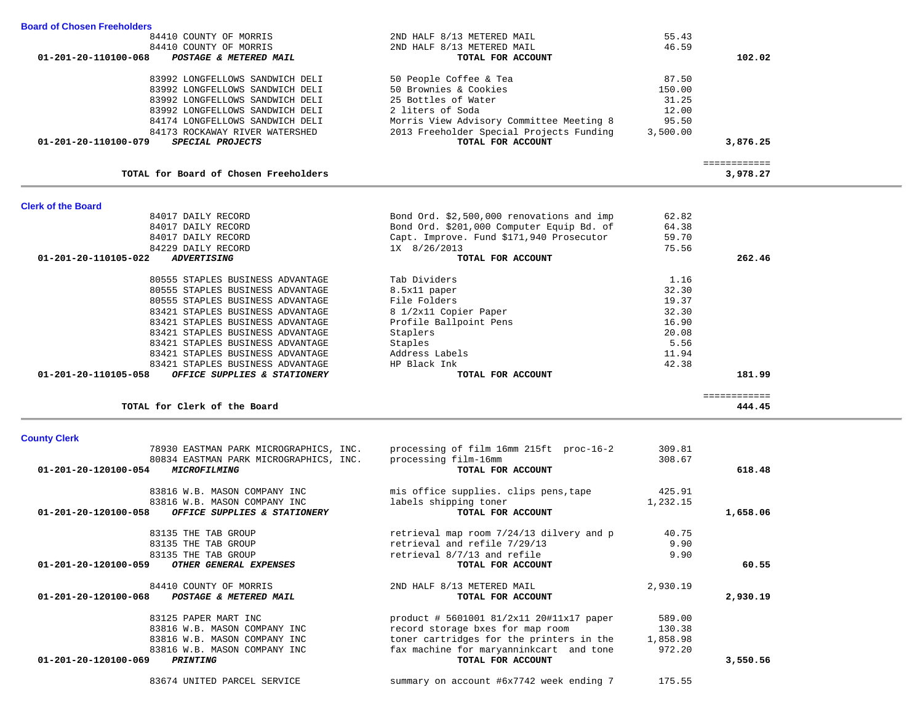| ovumiy vivin<br>78930 EASTMAN PARK MICROGRAPHICS, INC. | processing of film 16mm 215ft proc-16-2    | 309.81   |          |
|--------------------------------------------------------|--------------------------------------------|----------|----------|
| 80834 EASTMAN PARK MICROGRAPHICS, INC.                 | processing film-16mm                       | 308.67   |          |
| 01-201-20-120100-054<br>MICROFILMING                   | TOTAL FOR ACCOUNT                          |          | 618.48   |
| 83816 W.B. MASON COMPANY INC                           | mis office supplies. clips pens, tape      | 425.91   |          |
| 83816 W.B. MASON COMPANY INC                           | labels shipping toner                      | 1,232.15 |          |
| 01-201-20-120100-058<br>OFFICE SUPPLIES & STATIONERY   | TOTAL FOR ACCOUNT                          |          | 1,658.06 |
| 83135 THE TAB GROUP                                    | retrieval map room 7/24/13 dilvery and p   | 40.75    |          |
| 83135 THE TAB GROUP                                    | retrieval and refile 7/29/13               | 9.90     |          |
| 83135 THE TAB GROUP                                    | retrieval 8/7/13 and refile                | 9.90     |          |
| 01-201-20-120100-059<br>OTHER GENERAL EXPENSES         | TOTAL FOR ACCOUNT                          |          | 60.55    |
| 84410 COUNTY OF MORRIS                                 | 2ND HALF 8/13 METERED MAIL                 | 2,930.19 |          |
| 01-201-20-120100-068<br>POSTAGE & METERED MAIL         | TOTAL FOR ACCOUNT                          |          | 2,930.19 |
| 83125 PAPER MART INC                                   | $product # 5601001 81/2x11 20#11x17 paper$ | 589.00   |          |
| 83816 W.B. MASON COMPANY INC                           | record storage bxes for map room           | 130.38   |          |
| 83816 W.B. MASON COMPANY INC                           | toner cartridges for the printers in the   | 1,858.98 |          |
| 83816 W.B. MASON COMPANY INC                           | fax machine for maryanninkcart and tone    | 972.20   |          |
| 01-201-20-120100-069<br><i><b>PRINTING</b></i>         | TOTAL FOR ACCOUNT                          |          | 3,550.56 |
| 83674 UNITED PARCEL SERVICE                            | summary on account #6x7742 week ending 7   | 175.55   |          |

# **County Clerk**

| Giern of the Dodru                                   |                                           |       |        |
|------------------------------------------------------|-------------------------------------------|-------|--------|
| 84017 DAILY RECORD                                   | Bond Ord. \$2,500,000 renovations and imp | 62.82 |        |
| 84017 DAILY RECORD                                   | Bond Ord. \$201,000 Computer Equip Bd. of | 64.38 |        |
| 84017 DAILY RECORD                                   | Capt. Improve. Fund \$171,940 Prosecutor  | 59.70 |        |
| 84229 DAILY RECORD                                   | 1X 8/26/2013                              | 75.56 |        |
| 01-201-20-110105-022<br><i><b>ADVERTISING</b></i>    | TOTAL FOR ACCOUNT                         |       | 262.46 |
| 80555 STAPLES BUSINESS ADVANTAGE                     | Tab Dividers                              | 1.16  |        |
| 80555 STAPLES BUSINESS ADVANTAGE                     | 8.5x11 paper                              | 32.30 |        |
| 80555 STAPLES BUSINESS ADVANTAGE                     | File Folders                              | 19.37 |        |
| 83421 STAPLES BUSINESS ADVANTAGE                     | 8 1/2x11 Copier Paper                     | 32.30 |        |
| 83421 STAPLES BUSINESS ADVANTAGE                     | Profile Ballpoint Pens                    | 16.90 |        |
| 83421 STAPLES BUSINESS ADVANTAGE                     | Staplers                                  | 20.08 |        |
| 83421 STAPLES BUSINESS ADVANTAGE                     | Staples                                   | 5.56  |        |
| 83421 STAPLES BUSINESS ADVANTAGE                     | Address Labels                            | 11.94 |        |
| 83421 STAPLES BUSINESS ADVANTAGE                     | HP Black Ink                              | 42.38 |        |
| 01-201-20-110105-058<br>OFFICE SUPPLIES & STATIONERY | TOTAL FOR ACCOUNT                         |       | 181.99 |
|                                                      |                                           |       |        |
| TOTAL for Clerk of the Board                         |                                           |       | 444.45 |

## **Clerk of the Board**

| <b>Board of Chosen Freeholders</b> |                                       |                                          |          |          |
|------------------------------------|---------------------------------------|------------------------------------------|----------|----------|
|                                    | 84410 COUNTY OF MORRIS                | 2ND HALF 8/13 METERED MAIL               | 55.43    |          |
|                                    | 84410 COUNTY OF MORRIS                | 2ND HALF 8/13 METERED MAIL               | 46.59    |          |
| 01-201-20-110100-068               | POSTAGE & METERED MAIL                | TOTAL FOR ACCOUNT                        |          | 102.02   |
|                                    | 83992 LONGFELLOWS SANDWICH DELI       | 50 People Coffee & Tea                   | 87.50    |          |
|                                    | 83992 LONGFELLOWS SANDWICH DELI       | 50 Brownies & Cookies                    | 150.00   |          |
|                                    | 83992 LONGFELLOWS SANDWICH DELI       | 25 Bottles of Water                      | 31.25    |          |
|                                    | 83992 LONGFELLOWS SANDWICH DELI       | 2 liters of Soda                         | 12.00    |          |
|                                    | 84174 LONGFELLOWS SANDWICH DELI       | Morris View Advisory Committee Meeting 8 | 95.50    |          |
|                                    | 84173 ROCKAWAY RIVER WATERSHED        | 2013 Freeholder Special Projects Funding | 3,500.00 |          |
| 01-201-20-110100-079               | <i>SPECIAL PROJECTS</i>               | TOTAL FOR ACCOUNT                        |          | 3,876.25 |
|                                    |                                       |                                          |          |          |
|                                    | TOTAL for Board of Chosen Freeholders |                                          |          | 3,978.27 |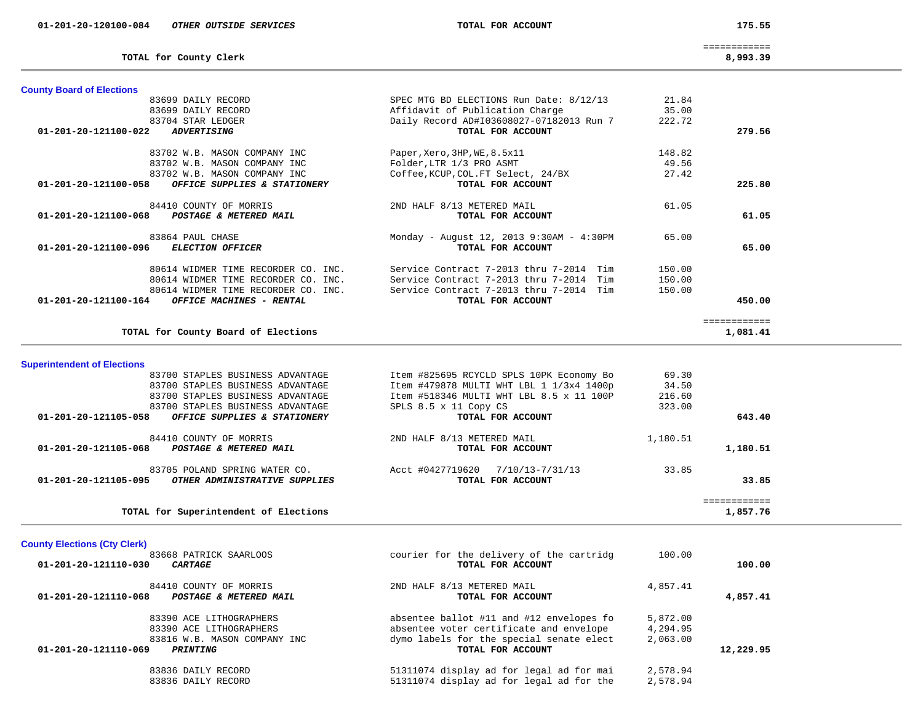175.55

**TOTAL for County Clerk 8,993.39**

============

8,993.39

-

| <b>County Board of Elections</b>                                 |                                            |          |                          |  |
|------------------------------------------------------------------|--------------------------------------------|----------|--------------------------|--|
| 83699 DAILY RECORD                                               | SPEC MTG BD ELECTIONS Run Date: 8/12/13    | 21.84    |                          |  |
| 83699 DAILY RECORD                                               | Affidavit of Publication Charge            | 35.00    |                          |  |
| 83704 STAR LEDGER                                                | Daily Record AD#I03608027-07182013 Run 7   | 222.72   |                          |  |
| 01-201-20-121100-022<br><b>ADVERTISING</b>                       | TOTAL FOR ACCOUNT                          |          | 279.56                   |  |
| 83702 W.B. MASON COMPANY INC                                     | Paper, Xero, 3HP, WE, 8.5x11               | 148.82   |                          |  |
| 83702 W.B. MASON COMPANY INC                                     | Folder, LTR 1/3 PRO ASMT                   | 49.56    |                          |  |
| 83702 W.B. MASON COMPANY INC                                     | Coffee, KCUP, COL. FT Select, 24/BX        | 27.42    |                          |  |
| OFFICE SUPPLIES & STATIONERY<br>01-201-20-121100-058             | TOTAL FOR ACCOUNT                          |          | 225.80                   |  |
| 84410 COUNTY OF MORRIS                                           | 2ND HALF 8/13 METERED MAIL                 | 61.05    |                          |  |
| POSTAGE & METERED MAIL<br>01-201-20-121100-068                   | TOTAL FOR ACCOUNT                          |          | 61.05                    |  |
| 83864 PAUL CHASE                                                 | Monday - August 12, 2013 9:30AM - 4:30PM   | 65.00    |                          |  |
| <b>ELECTION OFFICER</b><br>01-201-20-121100-096                  | TOTAL FOR ACCOUNT                          |          | 65.00                    |  |
|                                                                  |                                            |          |                          |  |
| 80614 WIDMER TIME RECORDER CO. INC.                              | Service Contract 7-2013 thru 7-2014 Tim    | 150.00   |                          |  |
| 80614 WIDMER TIME RECORDER CO. INC.                              | Service Contract 7-2013 thru 7-2014 Tim    | 150.00   |                          |  |
| 80614 WIDMER TIME RECORDER CO. INC.                              | Service Contract 7-2013 thru 7-2014 Tim    | 150.00   |                          |  |
| OFFICE MACHINES - RENTAL<br>01-201-20-121100-164                 | TOTAL FOR ACCOUNT                          |          | 450.00                   |  |
|                                                                  |                                            |          | ============             |  |
| TOTAL for County Board of Elections                              |                                            |          | 1,081.41                 |  |
|                                                                  |                                            |          |                          |  |
| <b>Superintendent of Elections</b>                               |                                            |          |                          |  |
| 83700 STAPLES BUSINESS ADVANTAGE                                 | Item #825695 RCYCLD SPLS 10PK Economy Bo   | 69.30    |                          |  |
| 83700 STAPLES BUSINESS ADVANTAGE                                 | Item #479878 MULTI WHT LBL 1 1/3x4 1400p   | 34.50    |                          |  |
| 83700 STAPLES BUSINESS ADVANTAGE                                 | Item #518346 MULTI WHT LBL 8.5 x 11 100P   | 216.60   |                          |  |
| 83700 STAPLES BUSINESS ADVANTAGE<br>OFFICE SUPPLIES & STATIONERY | SPLS 8.5 x 11 Copy CS<br>TOTAL FOR ACCOUNT | 323.00   | 643.40                   |  |
| 01-201-20-121105-058                                             |                                            |          |                          |  |
| 84410 COUNTY OF MORRIS                                           | 2ND HALF 8/13 METERED MAIL                 | 1,180.51 |                          |  |
| 01-201-20-121105-068<br>POSTAGE & METERED MAIL                   | TOTAL FOR ACCOUNT                          |          | 1,180.51                 |  |
| 83705 POLAND SPRING WATER CO.                                    | Acct #0427719620 7/10/13-7/31/13           | 33.85    |                          |  |
| 01-201-20-121105-095<br>OTHER ADMINISTRATIVE SUPPLIES            | TOTAL FOR ACCOUNT                          |          | 33.85                    |  |
|                                                                  |                                            |          |                          |  |
| TOTAL for Superintendent of Elections                            |                                            |          | ============<br>1,857.76 |  |
|                                                                  |                                            |          |                          |  |
| <b>County Elections (Cty Clerk)</b>                              |                                            |          |                          |  |
| 83668 PATRICK SAARLOOS                                           | courier for the delivery of the cartridg   | 100.00   |                          |  |
| 01-201-20-121110-030<br><b>CARTAGE</b>                           | TOTAL FOR ACCOUNT                          |          | 100.00                   |  |
| 84410 COUNTY OF MORRIS                                           | 2ND HALF 8/13 METERED MAIL                 | 4,857.41 |                          |  |
| 01-201-20-121110-068<br>POSTAGE & METERED MAIL                   | TOTAL FOR ACCOUNT                          |          | 4,857.41                 |  |
|                                                                  |                                            |          |                          |  |
| 83390 ACE LITHOGRAPHERS                                          | absentee ballot #11 and #12 envelopes fo   | 5,872.00 |                          |  |
| 83390 ACE LITHOGRAPHERS                                          | absentee voter certificate and envelope    | 4,294.95 |                          |  |
| 83816 W.B. MASON COMPANY INC                                     | dymo labels for the special senate elect   | 2,063.00 |                          |  |
| 01-201-20-121110-069<br>PRINTING                                 | TOTAL FOR ACCOUNT                          |          | 12,229.95                |  |

| 83836 DAILY RECORD | 51311074 display ad for legal ad for mai | 2,578.94 |
|--------------------|------------------------------------------|----------|
| 83836 DAILY RECORD | 51311074 display ad for legal ad for the | 2,578.94 |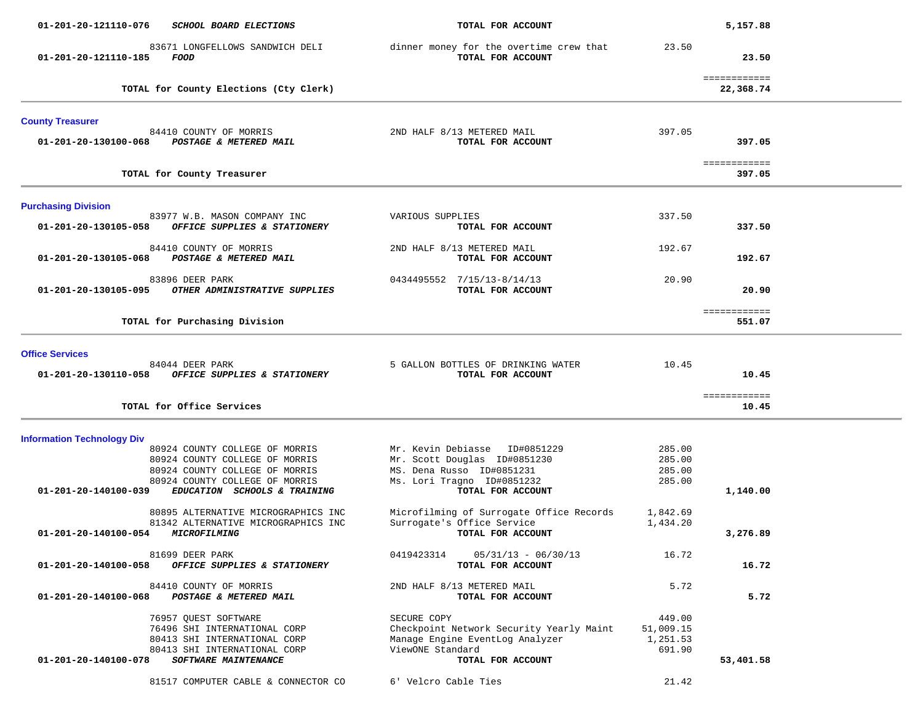| 01-201-20-121110-076              | SCHOOL BOARD ELECTIONS                                                                                                                                               | TOTAL FOR ACCOUNT                                                                                                                             |                                           | 5,157.88                  |  |
|-----------------------------------|----------------------------------------------------------------------------------------------------------------------------------------------------------------------|-----------------------------------------------------------------------------------------------------------------------------------------------|-------------------------------------------|---------------------------|--|
| 01-201-20-121110-185              | 83671 LONGFELLOWS SANDWICH DELI<br>FOOD                                                                                                                              | dinner money for the overtime crew that<br>TOTAL FOR ACCOUNT                                                                                  | 23.50                                     | 23.50                     |  |
|                                   | TOTAL for County Elections (Cty Clerk)                                                                                                                               |                                                                                                                                               |                                           | ============<br>22,368.74 |  |
| <b>County Treasurer</b>           |                                                                                                                                                                      |                                                                                                                                               |                                           |                           |  |
| 01-201-20-130100-068              | 84410 COUNTY OF MORRIS<br><b>POSTAGE &amp; METERED MAIL</b>                                                                                                          | 2ND HALF 8/13 METERED MAIL<br>TOTAL FOR ACCOUNT                                                                                               | 397.05                                    | 397.05                    |  |
|                                   | TOTAL for County Treasurer                                                                                                                                           |                                                                                                                                               |                                           | ============<br>397.05    |  |
| <b>Purchasing Division</b>        |                                                                                                                                                                      |                                                                                                                                               |                                           |                           |  |
| 01-201-20-130105-058              | 83977 W.B. MASON COMPANY INC<br>OFFICE SUPPLIES & STATIONERY                                                                                                         | VARIOUS SUPPLIES<br>TOTAL FOR ACCOUNT                                                                                                         | 337.50                                    | 337.50                    |  |
| 01-201-20-130105-068              | 84410 COUNTY OF MORRIS<br>POSTAGE & METERED MAIL                                                                                                                     | 2ND HALF 8/13 METERED MAIL<br>TOTAL FOR ACCOUNT                                                                                               | 192.67                                    | 192.67                    |  |
| 01-201-20-130105-095              | 83896 DEER PARK<br>OTHER ADMINISTRATIVE SUPPLIES                                                                                                                     | 0434495552 7/15/13-8/14/13<br>TOTAL FOR ACCOUNT                                                                                               | 20.90                                     | 20.90                     |  |
|                                   | TOTAL for Purchasing Division                                                                                                                                        |                                                                                                                                               |                                           | ============<br>551.07    |  |
| <b>Office Services</b>            |                                                                                                                                                                      |                                                                                                                                               |                                           |                           |  |
| 01-201-20-130110-058              | 84044 DEER PARK<br>OFFICE SUPPLIES & STATIONERY                                                                                                                      | 5 GALLON BOTTLES OF DRINKING WATER<br>TOTAL FOR ACCOUNT                                                                                       | 10.45                                     | 10.45                     |  |
|                                   | TOTAL for Office Services                                                                                                                                            |                                                                                                                                               |                                           | ============<br>10.45     |  |
| <b>Information Technology Div</b> |                                                                                                                                                                      |                                                                                                                                               |                                           |                           |  |
| 01-201-20-140100-039              | 80924 COUNTY COLLEGE OF MORRIS<br>80924 COUNTY COLLEGE OF MORRIS<br>80924 COUNTY COLLEGE OF MORRIS<br>80924 COUNTY COLLEGE OF MORRIS<br>EDUCATION SCHOOLS & TRAINING | Mr. Kevin Debiasse ID#0851229<br>Mr. Scott Douglas ID#0851230<br>MS. Dena Russo ID#0851231<br>Ms. Lori Tragno ID#0851232<br>TOTAL FOR ACCOUNT | 285.00<br>285.00<br>285.00<br>285.00      | 1,140.00                  |  |
| 01-201-20-140100-054              | 80895 ALTERNATIVE MICROGRAPHICS INC<br>81342 ALTERNATIVE MICROGRAPHICS INC<br><i><b>MICROFILMING</b></i>                                                             | Microfilming of Surrogate Office Records<br>Surrogate's Office Service<br>TOTAL FOR ACCOUNT                                                   | 1,842.69<br>1,434.20                      | 3,276.89                  |  |
| 01-201-20-140100-058              | 81699 DEER PARK<br>OFFICE SUPPLIES & STATIONERY                                                                                                                      | 0419423314<br>$05/31/13 - 06/30/13$<br>TOTAL FOR ACCOUNT                                                                                      | 16.72                                     | 16.72                     |  |
| 01-201-20-140100-068              | 84410 COUNTY OF MORRIS<br>POSTAGE & METERED MAIL                                                                                                                     | 2ND HALF 8/13 METERED MAIL<br>TOTAL FOR ACCOUNT                                                                                               | 5.72                                      | 5.72                      |  |
| 01-201-20-140100-078              | 76957 OUEST SOFTWARE<br>76496 SHI INTERNATIONAL CORP<br>80413 SHI INTERNATIONAL CORP<br>80413 SHI INTERNATIONAL CORP<br>SOFTWARE MAINTENANCE                         | SECURE COPY<br>Checkpoint Network Security Yearly Maint<br>Manage Engine EventLog Analyzer<br>ViewONE Standard<br>TOTAL FOR ACCOUNT           | 449.00<br>51,009.15<br>1,251.53<br>691.90 | 53,401.58                 |  |
|                                   | 81517 COMPUTER CABLE & CONNECTOR CO                                                                                                                                  | 6' Velcro Cable Ties                                                                                                                          | 21.42                                     |                           |  |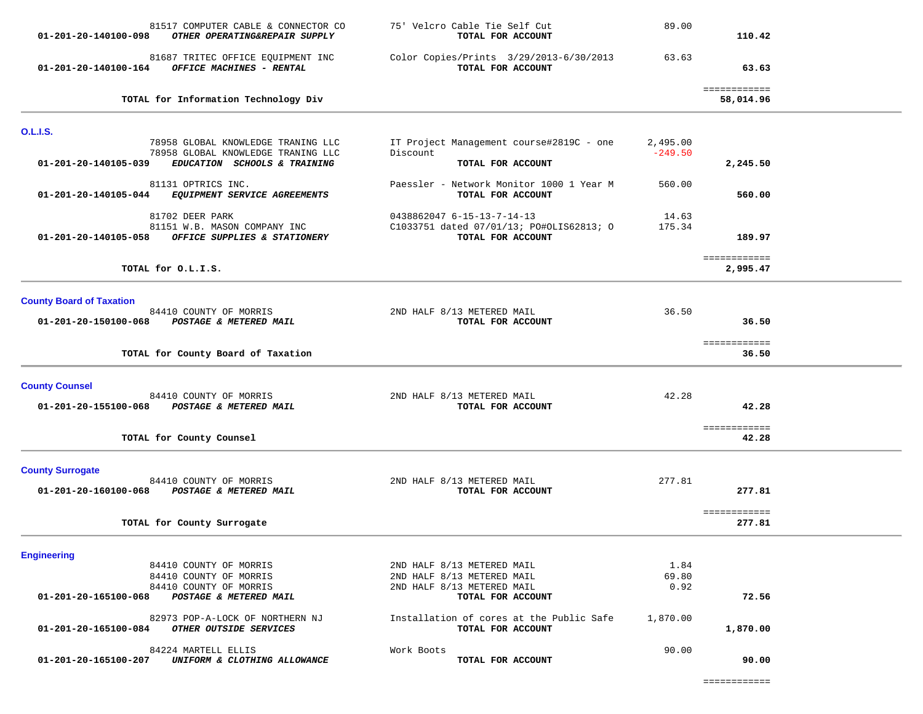| 81517 COMPUTER CABLE & CONNECTOR CO<br>01-201-20-140100-098<br>OTHER OPERATING&REPAIR SUPPLY                                     | 75' Velcro Cable Tie Self Cut<br>TOTAL FOR ACCOUNT                                          | 89.00                 | 110.42                    |  |
|----------------------------------------------------------------------------------------------------------------------------------|---------------------------------------------------------------------------------------------|-----------------------|---------------------------|--|
| 81687 TRITEC OFFICE EQUIPMENT INC<br>OFFICE MACHINES - RENTAL<br>01-201-20-140100-164                                            | Color Copies/Prints 3/29/2013-6/30/2013<br>TOTAL FOR ACCOUNT                                | 63.63                 | 63.63                     |  |
| TOTAL for Information Technology Div                                                                                             |                                                                                             |                       | ============<br>58,014.96 |  |
| <b>O.L.I.S.</b>                                                                                                                  |                                                                                             |                       |                           |  |
| 78958 GLOBAL KNOWLEDGE TRANING LLC<br>78958 GLOBAL KNOWLEDGE TRANING LLC<br>01-201-20-140105-039<br>EDUCATION SCHOOLS & TRAINING | IT Project Management course#2819C - one<br>Discount<br>TOTAL FOR ACCOUNT                   | 2,495.00<br>$-249.50$ | 2,245.50                  |  |
| 81131 OPTRICS INC.<br>EQUIPMENT SERVICE AGREEMENTS<br>01-201-20-140105-044                                                       | Paessler - Network Monitor 1000 1 Year M<br>TOTAL FOR ACCOUNT                               | 560.00                | 560.00                    |  |
| 81702 DEER PARK<br>81151 W.B. MASON COMPANY INC<br>01-201-20-140105-058<br>OFFICE SUPPLIES & STATIONERY                          | 0438862047 6-15-13-7-14-13<br>C1033751 dated 07/01/13; PO#OLIS62813; O<br>TOTAL FOR ACCOUNT | 14.63<br>175.34       | 189.97                    |  |
| TOTAL for O.L.I.S.                                                                                                               |                                                                                             |                       | ============<br>2,995.47  |  |
| <b>County Board of Taxation</b>                                                                                                  |                                                                                             |                       |                           |  |
| 84410 COUNTY OF MORRIS<br>01-201-20-150100-068<br><b>POSTAGE &amp; METERED MAIL</b>                                              | 2ND HALF 8/13 METERED MAIL<br>TOTAL FOR ACCOUNT                                             | 36.50                 | 36.50                     |  |
| TOTAL for County Board of Taxation                                                                                               |                                                                                             |                       | ============<br>36.50     |  |
| <b>County Counsel</b><br>84410 COUNTY OF MORRIS<br>POSTAGE & METERED MAIL<br>01-201-20-155100-068                                | 2ND HALF 8/13 METERED MAIL<br>TOTAL FOR ACCOUNT                                             | 42.28                 | 42.28                     |  |
| TOTAL for County Counsel                                                                                                         |                                                                                             |                       | ============<br>42.28     |  |
| <b>County Surrogate</b><br>84410 COUNTY OF MORRIS<br>01-201-20-160100-068<br>POSTAGE & METERED MAIL                              | 2ND HALF 8/13 METERED MAIL<br>TOTAL FOR ACCOUNT                                             | 277.81                | 277.81                    |  |
| TOTAL for County Surrogate                                                                                                       |                                                                                             |                       | ============<br>277.81    |  |
| <b>Engineering</b>                                                                                                               |                                                                                             |                       |                           |  |
| 84410 COUNTY OF MORRIS<br>84410 COUNTY OF MORRIS                                                                                 | 2ND HALF 8/13 METERED MAIL                                                                  | 1.84<br>69.80         |                           |  |
| 84410 COUNTY OF MORRIS<br>POSTAGE & METERED MAIL<br>01-201-20-165100-068                                                         | 2ND HALF 8/13 METERED MAIL<br>2ND HALF 8/13 METERED MAIL<br>TOTAL FOR ACCOUNT               | 0.92                  | 72.56                     |  |
| 82973 POP-A-LOCK OF NORTHERN NJ<br>OTHER OUTSIDE SERVICES<br>01-201-20-165100-084                                                | Installation of cores at the Public Safe<br>TOTAL FOR ACCOUNT                               | 1,870.00              | 1,870.00                  |  |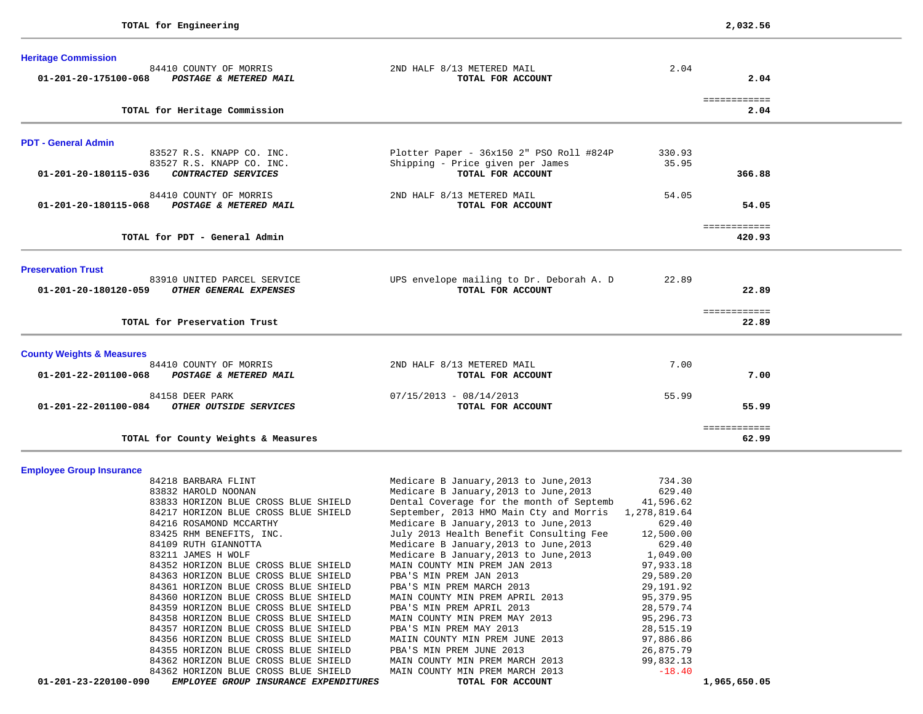| 2ND HALF 8/13 METERED MAIL               | 2.04                                                                               |        |                                                                                                  |
|------------------------------------------|------------------------------------------------------------------------------------|--------|--------------------------------------------------------------------------------------------------|
| TOTAL FOR ACCOUNT                        |                                                                                    | 2.04   |                                                                                                  |
|                                          |                                                                                    |        |                                                                                                  |
|                                          |                                                                                    |        |                                                                                                  |
|                                          |                                                                                    |        |                                                                                                  |
| Plotter Paper - 36x150 2" PSO Roll #824P | 330.93                                                                             |        |                                                                                                  |
| Shipping - Price given per James         | 35.95                                                                              |        |                                                                                                  |
| TOTAL FOR ACCOUNT                        |                                                                                    | 366.88 |                                                                                                  |
| 2ND HALF 8/13 METERED MAIL               | 54.05                                                                              |        |                                                                                                  |
|                                          |                                                                                    |        |                                                                                                  |
|                                          |                                                                                    |        |                                                                                                  |
|                                          |                                                                                    |        |                                                                                                  |
|                                          |                                                                                    |        |                                                                                                  |
|                                          | 22.89                                                                              |        |                                                                                                  |
| TOTAL FOR ACCOUNT                        |                                                                                    | 22.89  |                                                                                                  |
|                                          |                                                                                    |        |                                                                                                  |
|                                          |                                                                                    |        |                                                                                                  |
|                                          |                                                                                    |        |                                                                                                  |
| 2ND HALF 8/13 METERED MAIL               | 7.00                                                                               |        |                                                                                                  |
| TOTAL FOR ACCOUNT                        |                                                                                    | 7.00   |                                                                                                  |
| $07/15/2013 - 08/14/2013$                | 55.99                                                                              |        |                                                                                                  |
|                                          |                                                                                    | 55.99  |                                                                                                  |
|                                          |                                                                                    | 62.99  |                                                                                                  |
|                                          | TOTAL FOR ACCOUNT<br>UPS envelope mailing to Dr. Deborah A. D<br>TOTAL FOR ACCOUNT |        | ============<br>2.04<br>54.05<br>============<br>420.93<br>============<br>22.89<br>============ |

| 01-201-23-220100-090     | EMPLOYEE GROUP INSURANCE EXPENDITURES | TOTAL FOR ACCOUNT                                    |           | 1,965,650.05 |
|--------------------------|---------------------------------------|------------------------------------------------------|-----------|--------------|
|                          | 84362 HORIZON BLUE CROSS BLUE SHIELD  | MAIN COUNTY MIN PREM MARCH 2013                      | $-18.40$  |              |
|                          | 84362 HORIZON BLUE CROSS BLUE SHIELD  | MAIN COUNTY MIN PREM MARCH 2013                      | 99,832.13 |              |
|                          | 84355 HORIZON BLUE CROSS BLUE SHIELD  | PBA'S MIN PREM JUNE 2013                             | 26,875.79 |              |
|                          | 84356 HORIZON BLUE CROSS BLUE SHIELD  | MAIIN COUNTY MIN PREM JUNE 2013                      | 97,886.86 |              |
|                          | 84357 HORIZON BLUE CROSS BLUE SHIELD  | PBA'S MIN PREM MAY 2013                              | 28,515.19 |              |
|                          | 84358 HORIZON BLUE CROSS BLUE SHIELD  | MAIN COUNTY MIN PREM MAY 2013                        | 95,296.73 |              |
|                          | 84359 HORIZON BLUE CROSS BLUE SHIELD  | PBA'S MIN PREM APRIL 2013                            | 28,579.74 |              |
|                          | 84360 HORIZON BLUE CROSS BLUE SHIELD  | MAIN COUNTY MIN PREM APRIL 2013                      | 95,379.95 |              |
|                          | 84361 HORIZON BLUE CROSS BLUE SHIELD  | PBA'S MIN PREM MARCH 2013                            | 29,191.92 |              |
|                          | 84363 HORIZON BLUE CROSS BLUE SHIELD  | PBA'S MIN PREM JAN 2013                              | 29,589.20 |              |
|                          | 84352 HORIZON BLUE CROSS BLUE SHIELD  | MAIN COUNTY MIN PREM JAN 2013                        | 97,933.18 |              |
| 83211 JAMES H WOLF       |                                       | Medicare B January, 2013 to June, 2013 $1,049.00$    |           |              |
| 84109 RUTH GIANNOTTA     |                                       | Medicare B January, 2013 to June, 2013               | 629.40    |              |
| 83425 RHM BENEFITS, INC. |                                       | July 2013 Health Benefit Consulting Fee              | 12,500.00 |              |
| 84216 ROSAMOND MCCARTHY  |                                       | Medicare B January, 2013 to June, 2013               | 629.40    |              |
|                          | 84217 HORIZON BLUE CROSS BLUE SHIELD  | September, 2013 HMO Main Cty and Morris 1,278,819.64 |           |              |
|                          | 83833 HORIZON BLUE CROSS BLUE SHIELD  | Dental Coverage for the month of Septemb 41,596.62   |           |              |
| 83832 HAROLD NOONAN      |                                       | Medicare B January, 2013 to June, 2013 629.40        |           |              |
| 84218 BARBARA FLINT      |                                       | Medicare B January,2013 to June,2013                 | 734.30    |              |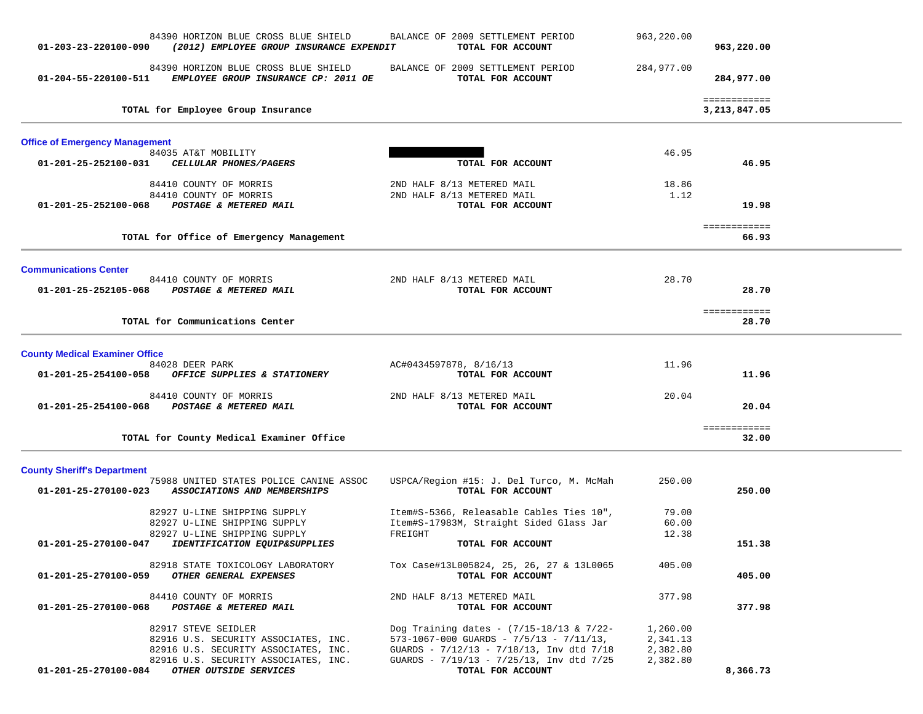| 84390 HORIZON BLUE CROSS BLUE SHIELD<br>(2012) EMPLOYEE GROUP INSURANCE EXPENDIT<br>01-203-23-220100-090                                                                                      | BALANCE OF 2009 SETTLEMENT PERIOD<br>TOTAL FOR ACCOUNT                                                                                                                                                         | 963,220.00                                   | 963,220.00                   |  |
|-----------------------------------------------------------------------------------------------------------------------------------------------------------------------------------------------|----------------------------------------------------------------------------------------------------------------------------------------------------------------------------------------------------------------|----------------------------------------------|------------------------------|--|
| 84390 HORIZON BLUE CROSS BLUE SHIELD<br>EMPLOYEE GROUP INSURANCE CP: 2011 OE<br>01-204-55-220100-511                                                                                          | BALANCE OF 2009 SETTLEMENT PERIOD<br>TOTAL FOR ACCOUNT                                                                                                                                                         | 284,977.00                                   | 284,977.00                   |  |
| TOTAL for Employee Group Insurance                                                                                                                                                            |                                                                                                                                                                                                                |                                              | ============<br>3,213,847.05 |  |
| <b>Office of Emergency Management</b>                                                                                                                                                         |                                                                                                                                                                                                                |                                              |                              |  |
| 84035 AT&T MOBILITY<br>CELLULAR PHONES/PAGERS<br>01-201-25-252100-031                                                                                                                         | TOTAL FOR ACCOUNT                                                                                                                                                                                              | 46.95                                        | 46.95                        |  |
| 84410 COUNTY OF MORRIS<br>84410 COUNTY OF MORRIS                                                                                                                                              | 2ND HALF 8/13 METERED MAIL<br>2ND HALF 8/13 METERED MAIL                                                                                                                                                       | 18.86<br>1.12                                |                              |  |
| 01-201-25-252100-068<br>POSTAGE & METERED MAIL                                                                                                                                                | TOTAL FOR ACCOUNT                                                                                                                                                                                              |                                              | 19.98                        |  |
| TOTAL for Office of Emergency Management                                                                                                                                                      |                                                                                                                                                                                                                |                                              | ============<br>66.93        |  |
| <b>Communications Center</b>                                                                                                                                                                  |                                                                                                                                                                                                                |                                              |                              |  |
| 84410 COUNTY OF MORRIS<br>01-201-25-252105-068 POSTAGE & METERED MAIL                                                                                                                         | 2ND HALF 8/13 METERED MAIL<br>TOTAL FOR ACCOUNT                                                                                                                                                                | 28.70                                        | 28.70                        |  |
| TOTAL for Communications Center                                                                                                                                                               |                                                                                                                                                                                                                |                                              | ============<br>28.70        |  |
| <b>County Medical Examiner Office</b>                                                                                                                                                         |                                                                                                                                                                                                                |                                              |                              |  |
| 84028 DEER PARK<br>01-201-25-254100-058<br>OFFICE SUPPLIES & STATIONERY                                                                                                                       | AC#0434597878, 8/16/13<br>TOTAL FOR ACCOUNT                                                                                                                                                                    | 11.96                                        | 11.96                        |  |
| 84410 COUNTY OF MORRIS<br>01-201-25-254100-068 POSTAGE & METERED MAIL                                                                                                                         | 2ND HALF 8/13 METERED MAIL<br>TOTAL FOR ACCOUNT                                                                                                                                                                | 20.04                                        | 20.04                        |  |
| TOTAL for County Medical Examiner Office                                                                                                                                                      |                                                                                                                                                                                                                |                                              | ============<br>32.00        |  |
| <b>County Sheriff's Department</b><br>75988 UNITED STATES POLICE CANINE ASSOC<br>ASSOCIATIONS AND MEMBERSHIPS<br>01-201-25-270100-023                                                         | USPCA/Region #15: J. Del Turco, M. McMah<br>TOTAL FOR ACCOUNT                                                                                                                                                  | 250.00                                       | 250.00                       |  |
| 82927 U-LINE SHIPPING SUPPLY<br>82927 U-LINE SHIPPING SUPPLY<br>82927 U-LINE SHIPPING SUPPLY                                                                                                  | Item#S-5366, Releasable Cables Ties 10",<br>Item#S-17983M, Straight Sided Glass Jar<br>FREIGHT                                                                                                                 | 79.00<br>60.00<br>12.38                      |                              |  |
| 01-201-25-270100-047<br>IDENTIFICATION EQUIP&SUPPLIES                                                                                                                                         | TOTAL FOR ACCOUNT                                                                                                                                                                                              |                                              | 151.38                       |  |
| 82918 STATE TOXICOLOGY LABORATORY<br>01-201-25-270100-059 OTHER GENERAL EXPENSES                                                                                                              | Tox Case#13L005824, 25, 26, 27 & 13L0065<br>TOTAL FOR ACCOUNT                                                                                                                                                  | 405.00                                       | 405.00                       |  |
| 84410 COUNTY OF MORRIS<br>POSTAGE & METERED MAIL<br>01-201-25-270100-068                                                                                                                      | 2ND HALF 8/13 METERED MAIL<br>TOTAL FOR ACCOUNT                                                                                                                                                                | 377.98                                       | 377.98                       |  |
| 82917 STEVE SEIDLER<br>82916 U.S. SECURITY ASSOCIATES, INC.<br>82916 U.S. SECURITY ASSOCIATES, INC.<br>82916 U.S. SECURITY ASSOCIATES, INC.<br>01-201-25-270100-084<br>OTHER OUTSIDE SERVICES | Dog Training dates - $(7/15-18/13 \& 7/22-$<br>$573 - 1067 - 000$ GUARDS - $7/5/13$ - $7/11/13$ ,<br>GUARDS - 7/12/13 - 7/18/13, Inv dtd 7/18<br>GUARDS - 7/19/13 - 7/25/13, Inv dtd 7/25<br>TOTAL FOR ACCOUNT | 1,260.00<br>2,341.13<br>2,382.80<br>2,382.80 | 8,366.73                     |  |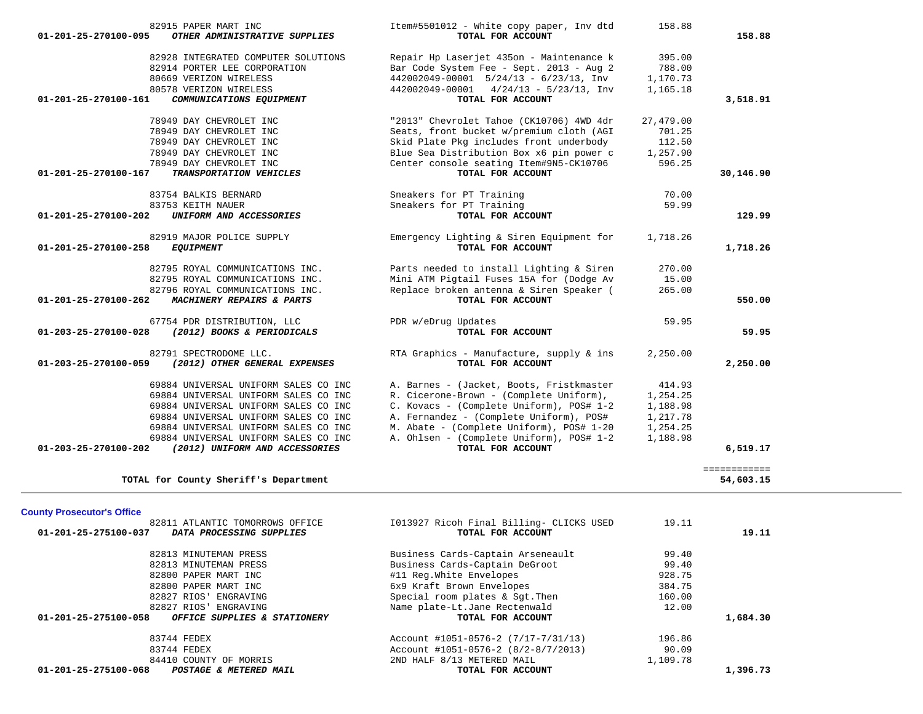| 82915 PAPER MART INC<br>01-201-25-270100-095<br>OTHER ADMINISTRATIVE SUPPLIES                  | Item#5501012 - White copy paper, Inv dtd<br>TOTAL FOR ACCOUNT                        | 158.88           | 158.88       |
|------------------------------------------------------------------------------------------------|--------------------------------------------------------------------------------------|------------------|--------------|
| 82928 INTEGRATED COMPUTER SOLUTIONS                                                            | Repair Hp Laserjet 435on - Maintenance k                                             | 395.00           |              |
| 82914 PORTER LEE CORPORATION                                                                   | Bar Code System Fee - Sept. 2013 - Aug 2                                             | 788.00           |              |
| 80669 VERIZON WIRELESS                                                                         | $442002049 - 00001$ $5/24/13 - 6/23/13$ , Inv                                        | 1,170.73         |              |
| 80578 VERIZON WIRELESS                                                                         | $442002049 - 00001$ $4/24/13 - 5/23/13$ , Inv                                        | 1,165.18         |              |
| 01-201-25-270100-161<br>COMMUNICATIONS EQUIPMENT                                               | TOTAL FOR ACCOUNT                                                                    |                  | 3,518.91     |
| 78949 DAY CHEVROLET INC                                                                        | "2013" Chevrolet Tahoe (CK10706) 4WD 4dr                                             | 27,479.00        |              |
| 78949 DAY CHEVROLET INC                                                                        | Seats, front bucket w/premium cloth (AGI                                             | 701.25           |              |
| 78949 DAY CHEVROLET INC                                                                        | Skid Plate Pkg includes front underbody                                              | 112.50           |              |
| 78949 DAY CHEVROLET INC                                                                        | Blue Sea Distribution Box x6 pin power c                                             | 1,257.90         |              |
| 78949 DAY CHEVROLET INC                                                                        | Center console seating Item#9N5-CK10706                                              | 596.25           |              |
| 01-201-25-270100-167<br>TRANSPORTATION VEHICLES                                                | TOTAL FOR ACCOUNT                                                                    |                  | 30,146.90    |
| 83754 BALKIS BERNARD                                                                           | Sneakers for PT Training                                                             | 70.00            |              |
| 83753 KEITH NAUER                                                                              | Sneakers for PT Training                                                             | 59.99            |              |
| 01-201-25-270100-202<br>UNIFORM AND ACCESSORIES                                                | TOTAL FOR ACCOUNT                                                                    |                  | 129.99       |
| 82919 MAJOR POLICE SUPPLY                                                                      | Emergency Lighting & Siren Equipment for                                             | 1,718.26         |              |
| 01-201-25-270100-258<br><b>EQUIPMENT</b>                                                       | TOTAL FOR ACCOUNT                                                                    |                  | 1,718.26     |
|                                                                                                |                                                                                      |                  |              |
| 82795 ROYAL COMMUNICATIONS INC.<br>82795 ROYAL COMMUNICATIONS INC.                             | Parts needed to install Lighting & Siren<br>Mini ATM Pigtail Fuses 15A for (Dodge Av | 270.00<br>15.00  |              |
| 82796 ROYAL COMMUNICATIONS INC.                                                                | Replace broken antenna & Siren Speaker (                                             | 265.00           |              |
| 01-201-25-270100-262<br>MACHINERY REPAIRS & PARTS                                              | TOTAL FOR ACCOUNT                                                                    |                  | 550.00       |
|                                                                                                |                                                                                      |                  |              |
| 67754 PDR DISTRIBUTION, LLC<br>(2012) BOOKS & PERIODICALS<br>01-203-25-270100-028              | PDR w/eDrug Updates<br>TOTAL FOR ACCOUNT                                             | 59.95            | 59.95        |
|                                                                                                |                                                                                      |                  |              |
| 82791 SPECTRODOME LLC.                                                                         | RTA Graphics - Manufacture, supply & ins                                             | 2,250.00         |              |
| 01-203-25-270100-059<br>(2012) OTHER GENERAL EXPENSES                                          | TOTAL FOR ACCOUNT                                                                    |                  | 2,250.00     |
| 69884 UNIVERSAL UNIFORM SALES CO INC                                                           | A. Barnes - (Jacket, Boots, Fristkmaster                                             | 414.93           |              |
| 69884 UNIVERSAL UNIFORM SALES CO INC                                                           | R. Cicerone-Brown - (Complete Uniform),                                              | 1,254.25         |              |
| 69884 UNIVERSAL UNIFORM SALES CO INC                                                           | C. Kovacs - (Complete Uniform), POS# 1-2                                             | 1,188.98         |              |
| 69884 UNIVERSAL UNIFORM SALES CO INC                                                           | A. Fernandez - (Complete Uniform), POS#                                              | 1,217.78         |              |
| 69884 UNIVERSAL UNIFORM SALES CO INC                                                           | M. Abate - (Complete Uniform), POS# 1-20                                             | 1,254.25         |              |
| 69884 UNIVERSAL UNIFORM SALES CO INC<br>01-203-25-270100-202<br>(2012) UNIFORM AND ACCESSORIES | A. Ohlsen - (Complete Uniform), POS# 1-2<br>TOTAL FOR ACCOUNT                        | 1,188.98         | 6,519.17     |
|                                                                                                |                                                                                      |                  |              |
|                                                                                                |                                                                                      |                  | ============ |
| TOTAL for County Sheriff's Department                                                          |                                                                                      |                  | 54,603.15    |
|                                                                                                |                                                                                      |                  |              |
| <b>County Prosecutor's Office</b><br>82811 ATLANTIC TOMORROWS OFFICE                           | 1013927 Ricoh Final Billing- CLICKS USED                                             | 19.11            |              |
| DATA PROCESSING SUPPLIES<br>01-201-25-275100-037                                               | TOTAL FOR ACCOUNT                                                                    |                  | 19.11        |
|                                                                                                |                                                                                      |                  |              |
| 82813 MINUTEMAN PRESS                                                                          | Business Cards-Captain Arseneault                                                    | 99.40            |              |
| 82813 MINUTEMAN PRESS                                                                          | Business Cards-Captain DeGroot                                                       | 99.40            |              |
| 82800 PAPER MART INC                                                                           | #11 Reg.White Envelopes                                                              | 928.75<br>384.75 |              |
| 82800 PAPER MART INC                                                                           | 6x9 Kraft Brown Envelopes<br>Special room plates & Sgt. Then                         | 160.00           |              |
| 82827 RIOS' ENGRAVING<br>82827 RIOS' ENGRAVING                                                 | Name plate-Lt.Jane Rectenwald                                                        | 12.00            |              |
| OFFICE SUPPLIES & STATIONERY<br>01-201-25-275100-058                                           | TOTAL FOR ACCOUNT                                                                    |                  | 1,684.30     |
|                                                                                                |                                                                                      |                  |              |

| 01-201-25-275100-068<br>POSTAGE & METERED MAIL | TOTAL FOR ACCOUNT                   | ,396.73  |
|------------------------------------------------|-------------------------------------|----------|
| 84410 COUNTY OF MORRIS                         | 2ND HALF 8/13 METERED MAIL          | 1,109.78 |
| 83744 FEDEX                                    | Account #1051-0576-2 (8/2-8/7/2013) | 90.09    |
| 83744 FEDEX                                    | Account #1051-0576-2 (7/17-7/31/13) | 196.86   |
|                                                |                                     |          |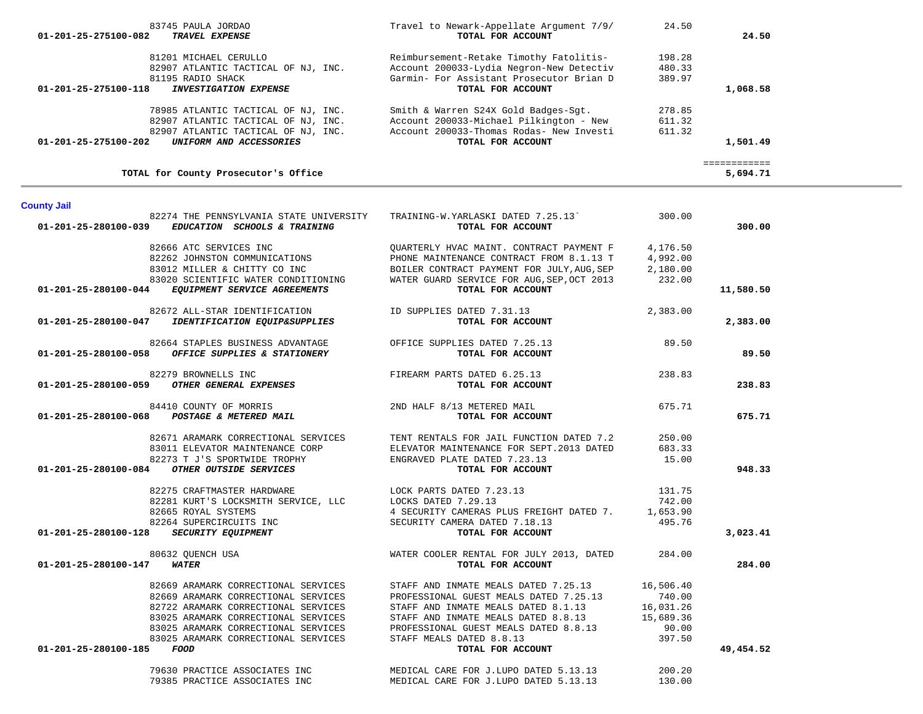|                                                         |                                                   |           | ============ |
|---------------------------------------------------------|---------------------------------------------------|-----------|--------------|
| TOTAL for County Prosecutor's Office                    |                                                   |           | 5,694.71     |
| <b>County Jail</b>                                      |                                                   |           |              |
| 82274 THE PENNSYLVANIA STATE UNIVERSITY                 | TRAINING-W.YARLASKI DATED 7.25.13`                | 300.00    |              |
| EDUCATION SCHOOLS & TRAINING<br>01-201-25-280100-039    | TOTAL FOR ACCOUNT                                 |           | 300.00       |
| 82666 ATC SERVICES INC                                  | OUARTERLY HVAC MAINT. CONTRACT PAYMENT F          | 4,176.50  |              |
| 82262 JOHNSTON COMMUNICATIONS                           | PHONE MAINTENANCE CONTRACT FROM 8.1.13 T          | 4,992.00  |              |
| 83012 MILLER & CHITTY CO INC                            | BOILER CONTRACT PAYMENT FOR JULY, AUG, SEP        | 2,180.00  |              |
| 83020 SCIENTIFIC WATER CONDITIONING                     | WATER GUARD SERVICE FOR AUG, SEP, OCT 2013        | 232.00    |              |
| EQUIPMENT SERVICE AGREEMENTS<br>01-201-25-280100-044    | TOTAL FOR ACCOUNT                                 |           | 11,580.50    |
| 82672 ALL-STAR IDENTIFICATION                           | ID SUPPLIES DATED 7.31.13                         | 2,383.00  |              |
| IDENTIFICATION EQUIP&SUPPLIES<br>01-201-25-280100-047   | TOTAL FOR ACCOUNT                                 |           | 2,383.00     |
| 82664 STAPLES BUSINESS ADVANTAGE                        | OFFICE SUPPLIES DATED 7.25.13                     | 89.50     |              |
| OFFICE SUPPLIES & STATIONERY<br>01-201-25-280100-058    | TOTAL FOR ACCOUNT                                 |           | 89.50        |
| 82279 BROWNELLS INC                                     | FIREARM PARTS DATED 6.25.13                       | 238.83    |              |
| OTHER GENERAL EXPENSES<br>01-201-25-280100-059          | TOTAL FOR ACCOUNT                                 |           | 238.83       |
| 84410 COUNTY OF MORRIS                                  | 2ND HALF 8/13 METERED MAIL                        | 675.71    |              |
| POSTAGE & METERED MAIL<br>01-201-25-280100-068          | TOTAL FOR ACCOUNT                                 |           | 675.71       |
| 82671 ARAMARK CORRECTIONAL SERVICES                     | TENT RENTALS FOR JAIL FUNCTION DATED 7.2          | 250.00    |              |
| 83011 ELEVATOR MAINTENANCE CORP                         | ELEVATOR MAINTENANCE FOR SEPT.2013 DATED          | 683.33    |              |
| 82273 T J'S SPORTWIDE TROPHY                            | ENGRAVED PLATE DATED 7.23.13                      | 15.00     |              |
| OTHER OUTSIDE SERVICES<br>01-201-25-280100-084          | TOTAL FOR ACCOUNT                                 |           | 948.33       |
| 82275 CRAFTMASTER HARDWARE                              | LOCK PARTS DATED 7.23.13                          | 131.75    |              |
| 82281 KURT'S LOCKSMITH SERVICE, LLC LOCKS DATED 7.29.13 |                                                   | 742.00    |              |
| 82665 ROYAL SYSTEMS                                     | 4 SECURITY CAMERAS PLUS FREIGHT DATED 7. 1,653.90 |           |              |
| 82264 SUPERCIRCUITS INC                                 | SECURITY CAMERA DATED 7.18.13                     | 495.76    |              |
| <b>SECURITY EQUIPMENT</b><br>01-201-25-280100-128       | TOTAL FOR ACCOUNT                                 |           | 3,023.41     |
| 80632 QUENCH USA                                        | WATER COOLER RENTAL FOR JULY 2013, DATED 284.00   |           |              |
| <b>WATER</b><br>01-201-25-280100-147                    | TOTAL FOR ACCOUNT                                 |           | 284.00       |
| 82669 ARAMARK CORRECTIONAL SERVICES                     | STAFF AND INMATE MEALS DATED 7.25.13              | 16,506.40 |              |
| 82669 ARAMARK CORRECTIONAL SERVICES                     | PROFESSIONAL GUEST MEALS DATED 7.25.13            | 740.00    |              |
| 82722 ARAMARK CORRECTIONAL SERVICES                     | STAFF AND INMATE MEALS DATED 8.1.13               | 16,031.26 |              |
| 83025 ARAMARK CORRECTIONAL SERVICES                     | STAFF AND INMATE MEALS DATED 8.8.13               | 15,689.36 |              |
| 83025 ARAMARK CORRECTIONAL SERVICES                     | PROFESSIONAL GUEST MEALS DATED 8.8.13             | 90.00     |              |
| 83025 ARAMARK CORRECTIONAL SERVICES                     | STAFF MEALS DATED 8.8.13                          | 397.50    |              |
| 01-201-25-280100-185<br>FOOD                            | TOTAL FOR ACCOUNT                                 |           | 49,454.52    |
| 79630 PRACTICE ASSOCIATES INC                           | MEDICAL CARE FOR J.LUPO DATED 5.13.13             | 200.20    |              |
| 79385 PRACTICE ASSOCIATES INC                           | MEDICAL CARE FOR J.LUPO DATED 5.13.13             | 130.00    |              |

| 83745 PAULA JORDAO<br>01-201-25-275100-082<br><b>TRAVEL EXPENSE</b> | Travel to Newark-Appellate Argument 7/9/<br>TOTAL FOR ACCOUNT | 24.50  | 24.50    |
|---------------------------------------------------------------------|---------------------------------------------------------------|--------|----------|
| 81201 MICHAEL CERULLO                                               | Reimbursement-Retake Timothy Fatolitis-                       | 198.28 |          |
| 82907 ATLANTIC TACTICAL OF NJ, INC.                                 | Account 200033-Lydia Negron-New Detectiv                      | 480.33 |          |
| 81195 RADIO SHACK                                                   | Garmin- For Assistant Prosecutor Brian D                      | 389.97 |          |
| 01-201-25-275100-118<br><b>INVESTIGATION EXPENSE</b>                | TOTAL FOR ACCOUNT                                             |        | 1,068.58 |
|                                                                     |                                                               |        |          |
| 78985 ATLANTIC TACTICAL OF NJ, INC.                                 | Smith & Warren S24X Gold Badges-Sqt.                          | 278.85 |          |
| 82907 ATLANTIC TACTICAL OF NJ, INC.                                 | Account 200033-Michael Pilkington - New                       | 611.32 |          |
| 82907 ATLANTIC TACTICAL OF NJ, INC.                                 | Account 200033-Thomas Rodas- New Investi                      | 611.32 |          |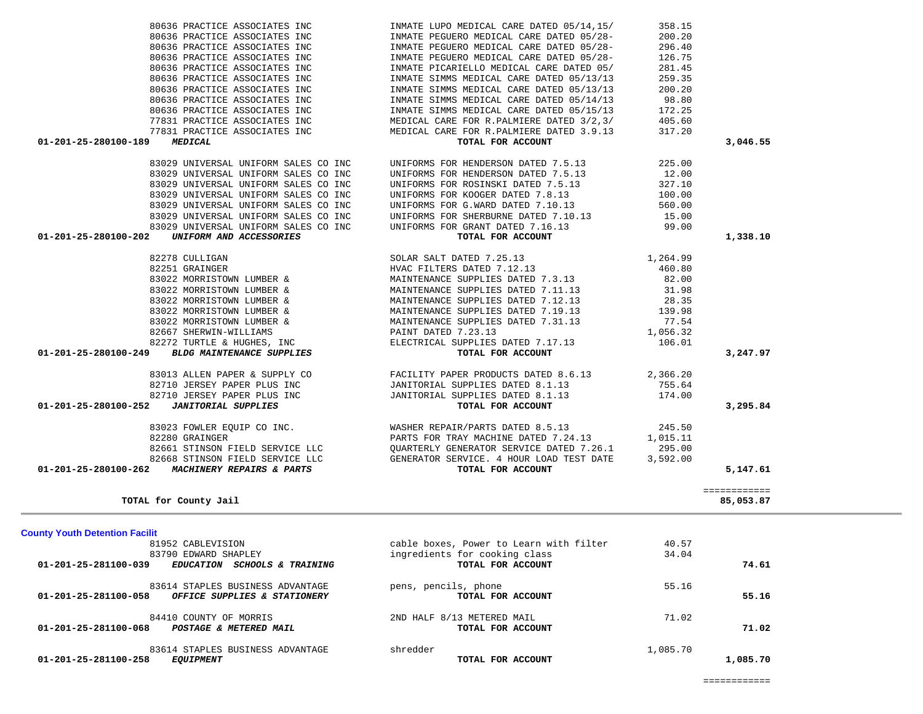| <b>County Youth Detention Facilit</b>                                                             |                                                    |          |          |
|---------------------------------------------------------------------------------------------------|----------------------------------------------------|----------|----------|
| 81952 CABLEVISION                                                                                 | cable boxes, Power to Learn with filter            | 40.57    |          |
| 83790 EDWARD SHAPLEY<br>01-201-25-281100-039<br><i>SCHOOLS &amp; TRAINING</i><br><b>EDUCATION</b> | ingredients for cooking class<br>TOTAL FOR ACCOUNT | 34.04    | 74.61    |
| 83614 STAPLES BUSINESS ADVANTAGE                                                                  | pens, pencils, phone                               | 55.16    |          |
| 01-201-25-281100-058<br>OFFICE SUPPLIES & STATIONERY                                              | TOTAL FOR ACCOUNT                                  |          | 55.16    |
| 84410 COUNTY OF MORRIS                                                                            | 2ND HALF 8/13 METERED MAIL                         | 71.02    |          |
| 01-201-25-281100-068<br>POSTAGE & METERED MAIL                                                    | TOTAL FOR ACCOUNT                                  |          | 71.02    |
| 83614 STAPLES BUSINESS ADVANTAGE                                                                  | shredder                                           | 1,085.70 |          |
| 01-201-25-281100-258<br><b>EOUIPMENT</b>                                                          | TOTAL FOR ACCOUNT                                  |          | 1,085.70 |

| 80636 PRACTICE ASSOCIATES INC | INMATE LUPO MEDICAL CARE DATED 05/14,15/                                                                                                                                                                                                             | 358.15 |              |
|-------------------------------|------------------------------------------------------------------------------------------------------------------------------------------------------------------------------------------------------------------------------------------------------|--------|--------------|
|                               |                                                                                                                                                                                                                                                      |        |              |
|                               |                                                                                                                                                                                                                                                      |        |              |
|                               |                                                                                                                                                                                                                                                      |        |              |
|                               |                                                                                                                                                                                                                                                      |        |              |
|                               |                                                                                                                                                                                                                                                      |        |              |
|                               |                                                                                                                                                                                                                                                      |        |              |
|                               |                                                                                                                                                                                                                                                      |        |              |
|                               |                                                                                                                                                                                                                                                      |        |              |
|                               |                                                                                                                                                                                                                                                      |        |              |
|                               |                                                                                                                                                                                                                                                      |        |              |
| 01-201-25-280100-189 MEDICAL  | TOTAL FOR ACCOUNT                                                                                                                                                                                                                                    |        | 3,046.55     |
|                               |                                                                                                                                                                                                                                                      |        |              |
|                               |                                                                                                                                                                                                                                                      |        |              |
|                               |                                                                                                                                                                                                                                                      |        |              |
|                               |                                                                                                                                                                                                                                                      |        |              |
|                               |                                                                                                                                                                                                                                                      |        |              |
|                               |                                                                                                                                                                                                                                                      |        |              |
|                               |                                                                                                                                                                                                                                                      |        |              |
|                               |                                                                                                                                                                                                                                                      |        |              |
| 01-201-25-280100-202          | 83029 UNIVERSAL UNIFORM SALES CO INC<br>83029 UNIVERSAL UNIFORM SALES CO INC<br>83029 UNIVERSAL UNIFORM SALES CO INC<br>83029 UNIVERSAL UNIFORM SALES CO INC<br>83029 UNIFORMS FOR GRANT DATED 7.16.13<br>15.00<br>TOTAL FOR ACCOUNT<br>TOTA         |        | 1,338.10     |
|                               |                                                                                                                                                                                                                                                      |        |              |
|                               |                                                                                                                                                                                                                                                      |        |              |
|                               |                                                                                                                                                                                                                                                      |        |              |
|                               |                                                                                                                                                                                                                                                      |        |              |
|                               |                                                                                                                                                                                                                                                      |        |              |
|                               |                                                                                                                                                                                                                                                      |        |              |
|                               |                                                                                                                                                                                                                                                      |        |              |
|                               |                                                                                                                                                                                                                                                      |        |              |
|                               |                                                                                                                                                                                                                                                      |        |              |
|                               |                                                                                                                                                                                                                                                      |        |              |
| 01-201-25-280100-249          | <b>EXECTIVE AND ACCESSORIES</b><br>FOTAL FOR ACCOUNT<br>FOR ACCOUNT<br>1,264.99<br>82251 GRAINGER<br>BATHORE HVAC FILTERS DATED 7.25.13<br>460.80<br>83022 MORRISTOWN LUMBER & MAINTENANCE SUPPLIES DATED 7.12.13<br>82.00<br>83022 MORRISTOWN LUMBE |        | 3,247.97     |
|                               |                                                                                                                                                                                                                                                      |        |              |
|                               |                                                                                                                                                                                                                                                      |        |              |
|                               |                                                                                                                                                                                                                                                      |        |              |
|                               |                                                                                                                                                                                                                                                      |        | 3,295.84     |
|                               |                                                                                                                                                                                                                                                      |        |              |
|                               |                                                                                                                                                                                                                                                      |        |              |
|                               |                                                                                                                                                                                                                                                      |        |              |
|                               |                                                                                                                                                                                                                                                      |        |              |
|                               |                                                                                                                                                                                                                                                      |        | 5,147.61     |
|                               |                                                                                                                                                                                                                                                      |        |              |
|                               |                                                                                                                                                                                                                                                      |        | ============ |
| TOTAL for County Jail         |                                                                                                                                                                                                                                                      |        | 85,053.87    |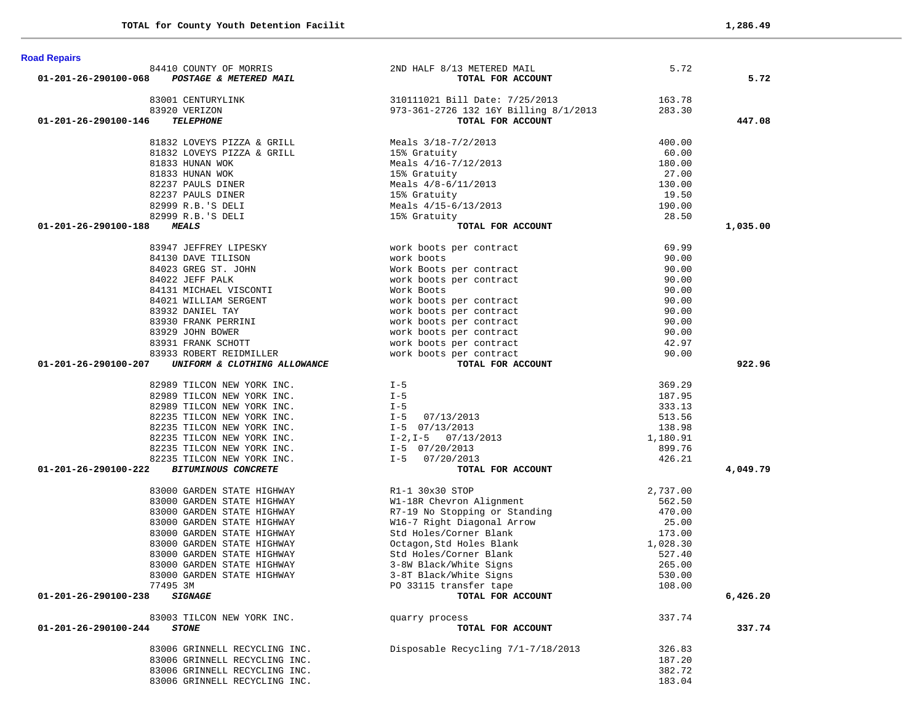| <b>Road Repairs</b>                                                  |                                                                                                                    |                  |          |
|----------------------------------------------------------------------|--------------------------------------------------------------------------------------------------------------------|------------------|----------|
| 84410 COUNTY OF MORRIS                                               | 2ND HALF 8/13 METERED MAIL                                                                                         | 5.72             |          |
| 01-201-26-290100-068 POSTAGE & METERED MAIL                          | TOTAL FOR ACCOUNT                                                                                                  |                  | 5.72     |
| 83001 CENTURYLINK                                                    |                                                                                                                    |                  |          |
| 83920 VERIZON                                                        | IK 310111021 Bill Date: 7/25/2013 163.78<br>973-361-2726 132 16Y Billing 8/1/2013 283.30                           |                  |          |
| 01-201-26-290100-146<br><b>TELEPHONE</b>                             | TOTAL FOR ACCOUNT                                                                                                  |                  | 447.08   |
|                                                                      |                                                                                                                    |                  |          |
| 81832 LOVEYS PIZZA & GRILL                                           | Meals 3/18-7/2/2013                                                                                                | 400.00           |          |
| 81832 LOVEYS PIZZA & GRILL $15$ <sup>8</sup> Gratuity                |                                                                                                                    | 60.00            |          |
| 81833 HUNAN WOK                                                      | reals 3/10-7/2/2013<br>15% Gratuity<br>Meals 4/16-7/12/2013<br>15% Gratuity<br>Meals 4/8-6/11/2013<br>15% Gratuity | 180.00           |          |
| 81833 HUNAN WOK                                                      |                                                                                                                    | 27.00            |          |
| 82237 PAULS DINER<br>82237 PAULS DINER                               |                                                                                                                    | 130.00<br>19.50  |          |
| 82999 R.B.'S DELI                                                    |                                                                                                                    | 190.00           |          |
| 82999 R.B.'S DELI                                                    | Meals 4/15-6/13/2013<br>15% Gratuity<br>15% Gratuity                                                               | 28.50            |          |
| 01-201-26-290100-188<br><b>MEALS</b>                                 | TOTAL FOR ACCOUNT                                                                                                  |                  | 1,035.00 |
|                                                                      |                                                                                                                    |                  |          |
| 83947 JEFFREY LIPESKY                                                | work boots per contract                                                                                            | 69.99            |          |
| 84130 DAVE TILISON                                                   | work boots                                                                                                         | 90.00            |          |
| 84023 GREG ST. JOHN                                                  | Work Boots per contract<br>work boots per contract                                                                 | 90.00            |          |
| 84022 JEFF PALK                                                      |                                                                                                                    | 90.00            |          |
| 84131 MICHAEL VISCONTI                                               |                                                                                                                    | 90.00            |          |
| 84021 WILLIAM SERGENT                                                |                                                                                                                    | 90.00            |          |
| 83932 DANIEL TAY                                                     | Work Boots<br>work boots per contract<br>work boots per contract<br>work boots per contract                        | 90.00            |          |
| 83930 FRANK PERRINI                                                  |                                                                                                                    | 90.00            |          |
| 83929 JOHN BOWER<br>83931 FRANK SCHOTT                               | work boots per contract                                                                                            | 90.00<br>42.97   |          |
| 83933 ROBERT REIDMILLER                                              | work boots per contract<br>work boots per contract<br>work boots per contract<br>work boots per contract           | 90.00            |          |
| 01-201-26-290100-207<br>UNIFORM & CLOTHING ALLOWANCE                 | TOTAL FOR ACCOUNT                                                                                                  |                  | 922.96   |
|                                                                      |                                                                                                                    |                  |          |
| 82989 TILCON NEW YORK INC.                                           | $I - 5$                                                                                                            | 369.29           |          |
| 82989 TILCON NEW YORK INC.                                           | $I - 5$                                                                                                            | 187.95           |          |
| 82989 TILCON NEW YORK INC.                                           | $I - 5$                                                                                                            | 333.13           |          |
| 82235 TILCON NEW YORK INC.                                           | 1-5<br>I-5 07/13/2013<br>I-5 07/13/2013                                                                            | 513.56           |          |
| 82235 TILCON NEW YORK INC.                                           |                                                                                                                    | 138.98           |          |
| 82235 TILCON NEW YORK INC.                                           | $I-2, I-5$ 07/13/2013<br>$I-5$ 07/20/2013                                                                          | 1,180.91         |          |
| 82235 TILCON NEW YORK INC.                                           | I-5 07/20/2013                                                                                                     | 899.76           |          |
| 82235 TILCON NEW YORK INC.<br>I-5 07/20/2013<br>01-201-26-290100-222 |                                                                                                                    | 426.21           |          |
| <b>BITUMINOUS CONCRETE</b>                                           | TOTAL FOR ACCOUNT                                                                                                  |                  | 4,049.79 |
| 83000 GARDEN STATE HIGHWAY                                           | R1-1 30x30 STOP                                                                                                    | 2,737.00         |          |
| 83000 GARDEN STATE HIGHWAY                                           |                                                                                                                    | 562.50           |          |
| 83000 GARDEN STATE HIGHWAY                                           |                                                                                                                    | 470.00           |          |
| 83000 GARDEN STATE HIGHWAY                                           | R1-1 30x30 STOP<br>W1-18R Chevron Alignment<br>R7-19 No Stopping or Standing<br>W16-7 Right Diagonal Arrow         | 25.00            |          |
| 83000 GARDEN STATE HIGHWAY                                           | Std Holes/Corner Blank                                                                                             | 173.00           |          |
| 83000 GARDEN STATE HIGHWAY                                           | Octagon, Std Holes Blank                                                                                           | 1,028.30         |          |
| 83000 GARDEN STATE HIGHWAY                                           | Std Holes/Corner Blank                                                                                             | 527.40           |          |
| 83000 GARDEN STATE HIGHWAY                                           | 3-8W Black/White Signs                                                                                             | 265.00           |          |
| 83000 GARDEN STATE HIGHWAY                                           | 3-8T Black/White Signs                                                                                             | 530.00           |          |
| 77495 3M                                                             | PO 33115 transfer tape                                                                                             | 108.00           |          |
| 01-201-26-290100-238<br><i><b>SIGNAGE</b></i>                        | TOTAL FOR ACCOUNT                                                                                                  |                  | 6,426.20 |
| 83003 TILCON NEW YORK INC.                                           | quarry process                                                                                                     | 337.74           |          |
| 01-201-26-290100-244<br><b>STONE</b>                                 | TOTAL FOR ACCOUNT                                                                                                  |                  | 337.74   |
|                                                                      |                                                                                                                    |                  |          |
| 83006 GRINNELL RECYCLING INC.                                        | Disposable Recycling 7/1-7/18/2013                                                                                 | 326.83           |          |
| 83006 GRINNELL RECYCLING INC.                                        |                                                                                                                    | 187.20           |          |
| 83006 GRINNELL RECYCLING INC.                                        |                                                                                                                    | 382.72<br>183.04 |          |
| 83006 GRINNELL RECYCLING INC.                                        |                                                                                                                    |                  |          |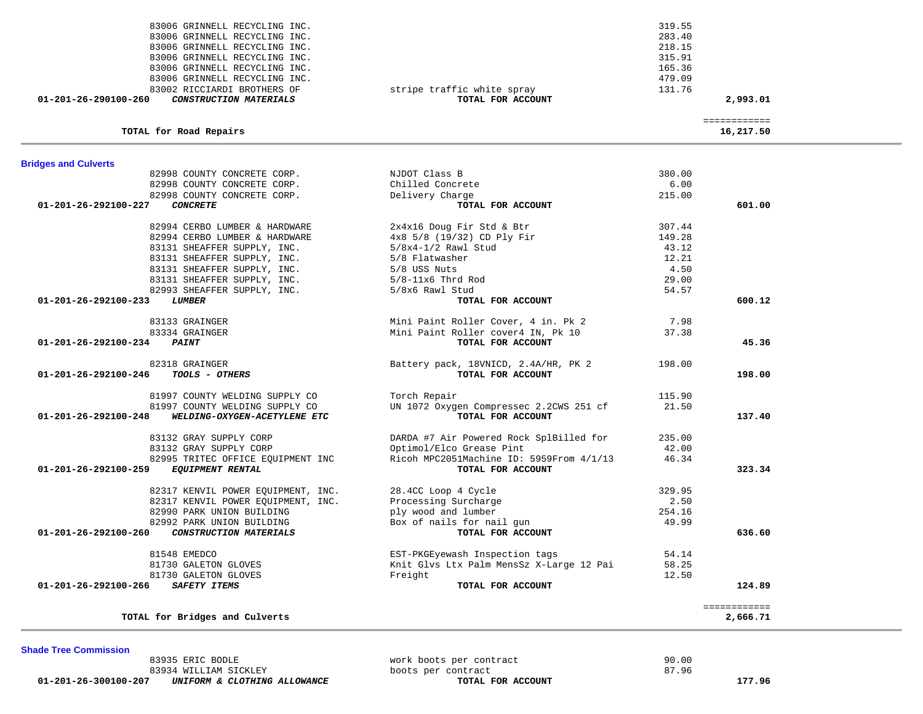83935 ERIC BODLE work boots per contract 90.00 83934 WILLIAM SICKLEY **boots per contract boots per contract** 87.96 **B** 87.96 **B** 87.96 **B** 87.96 **B** 87.96 **B 87.96 01-201-26-300100-207** *UNIFORM & CLOTHING ALLOWANCE* **TOTAL FOR ACCOUNT 177.96**

**Shade Tree Commission** 

| <b>Bridges and Culverts</b>                               |                                          |        |              |
|-----------------------------------------------------------|------------------------------------------|--------|--------------|
| 82998 COUNTY CONCRETE CORP.                               | NJDOT Class B                            | 380.00 |              |
| 82998 COUNTY CONCRETE CORP.                               | Chilled Concrete                         | 6.00   |              |
| 82998 COUNTY CONCRETE CORP.                               | Delivery Charge                          | 215.00 |              |
| 01-201-26-292100-227<br><b>CONCRETE</b>                   | TOTAL FOR ACCOUNT                        |        | 601.00       |
| 82994 CERBO LUMBER & HARDWARE                             | 2x4x16 Doug Fir Std & Btr                | 307.44 |              |
| 82994 CERBO LUMBER & HARDWARE                             | 4x8 5/8 (19/32) CD Ply Fir               | 149.28 |              |
| 83131 SHEAFFER SUPPLY, INC.                               | $5/8x4-1/2$ Rawl Stud                    | 43.12  |              |
| 83131 SHEAFFER SUPPLY, INC.                               | 5/8 Flatwasher                           | 12.21  |              |
| 83131 SHEAFFER SUPPLY, INC.                               | 5/8 USS Nuts                             | 4.50   |              |
| 83131 SHEAFFER SUPPLY, INC.                               | $5/8-11x6$ Thrd Rod                      | 29.00  |              |
| 82993 SHEAFFER SUPPLY, INC.                               | 5/8x6 Rawl Stud                          | 54.57  |              |
| $01 - 201 - 26 - 292100 - 233$<br><b>LUMBER</b>           | TOTAL FOR ACCOUNT                        |        | 600.12       |
| 83133 GRAINGER                                            | Mini Paint Roller Cover, 4 in. Pk 2      | 7.98   |              |
| 83334 GRAINGER                                            | Mini Paint Roller cover4 IN, Pk 10       | 37.38  |              |
| $01 - 201 - 26 - 292100 - 234$<br><b>PAINT</b>            | TOTAL FOR ACCOUNT                        |        | 45.36        |
| 82318 GRAINGER                                            | Battery pack, 18VNICD, 2.4A/HR, PK 2     | 198.00 |              |
| TOOLS - OTHERS<br>01-201-26-292100-246                    | TOTAL FOR ACCOUNT                        |        | 198.00       |
| 81997 COUNTY WELDING SUPPLY CO                            | Torch Repair                             | 115.90 |              |
| 81997 COUNTY WELDING SUPPLY CO                            | UN 1072 Oxygen Compressec 2.2CWS 251 cf  | 21.50  |              |
| 01-201-26-292100-248<br>WELDING-OXYGEN-ACETYLENE ETC      | TOTAL FOR ACCOUNT                        |        | 137.40       |
| 83132 GRAY SUPPLY CORP                                    | DARDA #7 Air Powered Rock SplBilled for  | 235.00 |              |
| 83132 GRAY SUPPLY CORP                                    | Optimol/Elco Grease Pint                 | 42.00  |              |
| 82995 TRITEC OFFICE EOUIPMENT INC                         | Ricoh MPC2051Machine ID: 5959From 4/1/13 | 46.34  |              |
| $01 - 201 - 26 - 292100 - 259$<br><b>EQUIPMENT RENTAL</b> | TOTAL FOR ACCOUNT                        |        | 323.34       |
| 82317 KENVIL POWER EQUIPMENT, INC.                        | 28.4CC Loop 4 Cycle                      | 329.95 |              |
| 82317 KENVIL POWER EQUIPMENT, INC.                        | Processing Surcharge                     | 2.50   |              |
| 82990 PARK UNION BUILDING                                 | ply wood and lumber                      | 254.16 |              |
| 82992 PARK UNION BUILDING                                 | Box of nails for nail qun                | 49.99  |              |
| 01-201-26-292100-260<br>CONSTRUCTION MATERIALS            | TOTAL FOR ACCOUNT                        |        | 636.60       |
| 81548 EMEDCO                                              | EST-PKGEyewash Inspection tags           | 54.14  |              |
| 81730 GALETON GLOVES                                      | Knit Glvs Ltx Palm MensSz X-Large 12 Pai | 58.25  |              |
| 81730 GALETON GLOVES                                      | Freight                                  | 12.50  |              |
| $01 - 201 - 26 - 292100 - 266$<br><b>SAFETY ITEMS</b>     | TOTAL FOR ACCOUNT                        |        | 124.89       |
|                                                           |                                          |        | ============ |
| TOTAL for Bridges and Culverts                            |                                          |        | 2,666.71     |

|                                                                                                                 | _____________<br>_____________ |
|-----------------------------------------------------------------------------------------------------------------|--------------------------------|
|                                                                                                                 |                                |
| TOTAL for Road Repairs                                                                                          | 16,217.50                      |
| the contract of the contract of the contract of the contract of the contract of the contract of the contract of |                                |

| 16,217.50 |
|-----------|

| 01-201-26-290100-260<br>CONSTRUCTION MATERIALS | TOTAL FOR ACCOUNT          |        |
|------------------------------------------------|----------------------------|--------|
| 83002 RICCIARDI BROTHERS OF                    | stripe traffic white spray | 131.76 |
| 83006 GRINNELL RECYCLING INC.                  |                            | 479.09 |
| 83006 GRINNELL RECYCLING INC.                  |                            | 165.36 |
| 83006 GRINNELL RECYCLING INC.                  |                            | 315.91 |
| 83006 GRINNELL RECYCLING INC.                  |                            | 218.15 |
| 83006 GRINNELL RECYCLING INC.                  |                            | 283.40 |
| 83006 GRINNELL RECYCLING INC.                  |                            | 319.55 |

218.15 315.91 165.36  **00157 POIET ALCOUNT ACCOUNT ACCOUNT 2,993.01**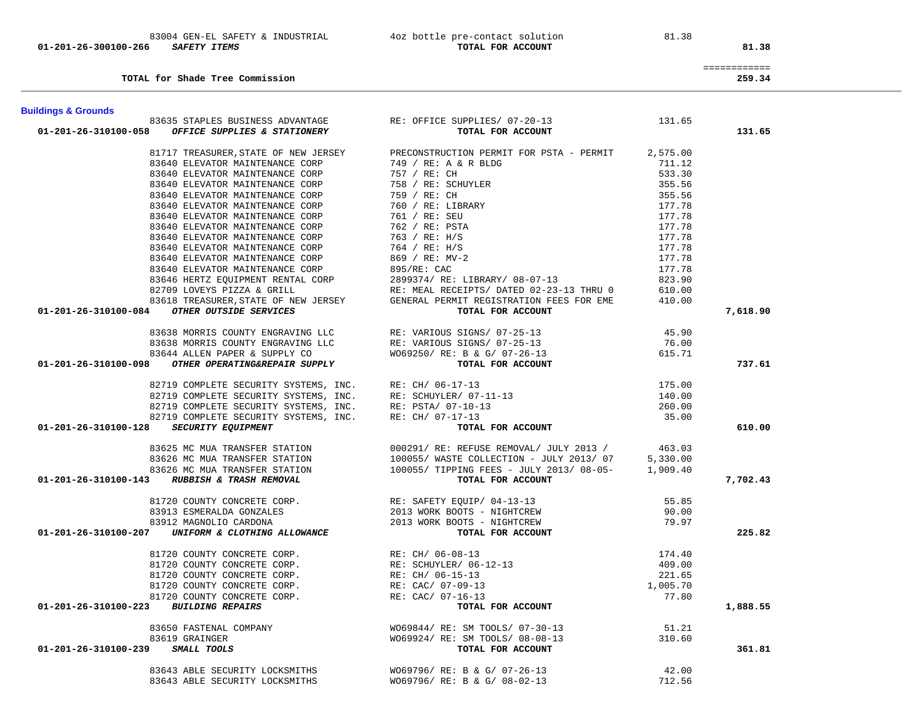| TOTAL for Shade Tree Commission                                                                                                                                                                                                                                                                                                                                                                                                                     |                                                                                                                                                                                                                                                                                                                                                                                                                                             |          | 259.34   |
|-----------------------------------------------------------------------------------------------------------------------------------------------------------------------------------------------------------------------------------------------------------------------------------------------------------------------------------------------------------------------------------------------------------------------------------------------------|---------------------------------------------------------------------------------------------------------------------------------------------------------------------------------------------------------------------------------------------------------------------------------------------------------------------------------------------------------------------------------------------------------------------------------------------|----------|----------|
| <b>Buildings &amp; Grounds</b>                                                                                                                                                                                                                                                                                                                                                                                                                      |                                                                                                                                                                                                                                                                                                                                                                                                                                             |          |          |
| 83635 STAPLES BUSINESS ADVANTAGE RE: OFFICE SUPPLIES/ 07-20-13                                                                                                                                                                                                                                                                                                                                                                                      |                                                                                                                                                                                                                                                                                                                                                                                                                                             | 131.65   |          |
| $01-201-26-310100-058$ OFFICE SUPPLIES & STATIONERY                                                                                                                                                                                                                                                                                                                                                                                                 | TOTAL FOR ACCOUNT                                                                                                                                                                                                                                                                                                                                                                                                                           |          | 131.65   |
|                                                                                                                                                                                                                                                                                                                                                                                                                                                     |                                                                                                                                                                                                                                                                                                                                                                                                                                             |          |          |
|                                                                                                                                                                                                                                                                                                                                                                                                                                                     | 81717 TREASURER, STATE OF NEW JERSEY PRECONSTRUCTION PERMIT FOR PSTA - PERMIT                                                                                                                                                                                                                                                                                                                                                               | 2,575.00 |          |
| 83640 ELEVATOR MAINTENANCE CORP                                                                                                                                                                                                                                                                                                                                                                                                                     | 749 / RE: A & R BLD<br>757 / RE: CH<br>758 / RE: SCHUYLER                                                                                                                                                                                                                                                                                                                                                                                   | 711.12   |          |
| 83640 ELEVATOR MAINTENANCE CORP                                                                                                                                                                                                                                                                                                                                                                                                                     |                                                                                                                                                                                                                                                                                                                                                                                                                                             | 533.30   |          |
| 83640 ELEVATOR MAINTENANCE CORP                                                                                                                                                                                                                                                                                                                                                                                                                     |                                                                                                                                                                                                                                                                                                                                                                                                                                             | 355.56   |          |
| 83640 ELEVATOR MAINTENANCE CORP                                                                                                                                                                                                                                                                                                                                                                                                                     | 759 / RE: CH                                                                                                                                                                                                                                                                                                                                                                                                                                | 355.56   |          |
| 83640 ELEVATOR MAINTENANCE CORP                                                                                                                                                                                                                                                                                                                                                                                                                     | 99 / RE: CH<br>760 / RE: LIBR<br>761 / RE: SEU<br>760 :                                                                                                                                                                                                                                                                                                                                                                                     | 177.78   |          |
| 83640 ELEVATOR MAINTENANCE CORP                                                                                                                                                                                                                                                                                                                                                                                                                     |                                                                                                                                                                                                                                                                                                                                                                                                                                             | 177.78   |          |
| 83640 ELEVATOR MAINTENANCE CORP                                                                                                                                                                                                                                                                                                                                                                                                                     |                                                                                                                                                                                                                                                                                                                                                                                                                                             | 177.78   |          |
| 83640 ELEVATOR MAINTENANCE CORP                                                                                                                                                                                                                                                                                                                                                                                                                     |                                                                                                                                                                                                                                                                                                                                                                                                                                             | 177.78   |          |
|                                                                                                                                                                                                                                                                                                                                                                                                                                                     |                                                                                                                                                                                                                                                                                                                                                                                                                                             |          |          |
|                                                                                                                                                                                                                                                                                                                                                                                                                                                     |                                                                                                                                                                                                                                                                                                                                                                                                                                             |          |          |
|                                                                                                                                                                                                                                                                                                                                                                                                                                                     | PRECONSTRUCTION PERMIT FOR PSTA - PERMIT<br>749 / RE: A & R BLDG<br>757 / RE: CH<br>758 / RE: CHUYLER<br>759 / RE: CH<br>760 / RE: LIBRARY<br>761 / RE: SEU<br>762 / RE: PSTA<br>763 / RE: H/S<br>764 / RE: H/S<br>869 / RE: MV-2<br>895/RE: CAC                                                                                                                                                                                            |          |          |
|                                                                                                                                                                                                                                                                                                                                                                                                                                                     |                                                                                                                                                                                                                                                                                                                                                                                                                                             |          |          |
|                                                                                                                                                                                                                                                                                                                                                                                                                                                     |                                                                                                                                                                                                                                                                                                                                                                                                                                             |          |          |
|                                                                                                                                                                                                                                                                                                                                                                                                                                                     |                                                                                                                                                                                                                                                                                                                                                                                                                                             |          |          |
|                                                                                                                                                                                                                                                                                                                                                                                                                                                     |                                                                                                                                                                                                                                                                                                                                                                                                                                             |          |          |
| 33640 ELEVATOR MAINTENANCE CORP<br>33640 ELEVATOR MAINTENANCE CORP<br>33640 ELEVATOR MAINTENANCE CORP<br>33640 ELEVATOR MAINTENANCE CORP<br>33640 ELEVATOR MAINTENANCE CORP<br>33640 ELEVATOR MAINTENANCE CORP<br>33640 ELEVATOR MAINTENAN                                                                                                                                                                                                          |                                                                                                                                                                                                                                                                                                                                                                                                                                             |          | 7,618.90 |
| ${\small \begin{array}{cccc} \texttt{83638} & \texttt{MORRIS} & \texttt{COUNTY} & \texttt{ENGRAVING} & \texttt{LLC} & \texttt{RE}: \texttt{VARIOUS} & \texttt{SGNS} / \texttt{07--25--13} \\ & \texttt{83638} & \texttt{MORRIS} & \texttt{COUNTY} & \texttt{ENGRAVING} & \texttt{LLC} & \texttt{RE}: \texttt{VARIOUS} & \texttt{SGNS} / \texttt{07--25--13} \\ & \texttt{83644} & \texttt{ALLEN PAPER} & \texttt{SUPPLY} & \texttt{CO} & \texttt{W$ |                                                                                                                                                                                                                                                                                                                                                                                                                                             | 45.90    |          |
|                                                                                                                                                                                                                                                                                                                                                                                                                                                     |                                                                                                                                                                                                                                                                                                                                                                                                                                             | 76.00    |          |
|                                                                                                                                                                                                                                                                                                                                                                                                                                                     |                                                                                                                                                                                                                                                                                                                                                                                                                                             | 615.71   |          |
|                                                                                                                                                                                                                                                                                                                                                                                                                                                     |                                                                                                                                                                                                                                                                                                                                                                                                                                             |          | 737.61   |
|                                                                                                                                                                                                                                                                                                                                                                                                                                                     |                                                                                                                                                                                                                                                                                                                                                                                                                                             |          |          |
| $\begin{tabular}{lllllllllllllllllllll} \texttt{82719}\ &\texttt{COMPLETE}\ &\texttt{SECTIONITY}\ &\texttt{SYSTEMS}\ ,\ &\texttt{INC.}\ &\texttt{RE: CH/ 06-17-13}\\ \texttt{82719}\ &\texttt{COMPLETE}\ &\texttt{SECTIONITY}\ &\texttt{SYSTEMS}\ ,\ &\texttt{INC.}\ &\texttt{RE: PSTA/ 07-10-13}\\ \texttt{82719}\ &\texttt{COMPLETE}\ &\texttt{SCURITY}\ &\texttt{SYSTEMS}\ ,\ &\texttt{INC.}\ &\texttt{RE: CH/ 07-17-13}\\ \text$                |                                                                                                                                                                                                                                                                                                                                                                                                                                             | 175.00   |          |
|                                                                                                                                                                                                                                                                                                                                                                                                                                                     |                                                                                                                                                                                                                                                                                                                                                                                                                                             | 140.00   |          |
|                                                                                                                                                                                                                                                                                                                                                                                                                                                     |                                                                                                                                                                                                                                                                                                                                                                                                                                             | 260.00   |          |
|                                                                                                                                                                                                                                                                                                                                                                                                                                                     |                                                                                                                                                                                                                                                                                                                                                                                                                                             | 35.00    |          |
| 01-201-26-310100-128 SECURITY EQUIPMENT                                                                                                                                                                                                                                                                                                                                                                                                             | TOTAL FOR ACCOUNT                                                                                                                                                                                                                                                                                                                                                                                                                           |          | 610.00   |
|                                                                                                                                                                                                                                                                                                                                                                                                                                                     |                                                                                                                                                                                                                                                                                                                                                                                                                                             |          |          |
| $\begin{array}{cccc} & 83625 \text{ MC MUA TRANSFER STATION} & 000291/RE: REFUSE REMOVAL/ JULY 2013 / & 463.03 \\ & 83626 MC MUA TRANSFER STATION & 100055/ WASTE COLLECTION - JULY 2013/07 & 5,330.00 \\ & 83626 MC MUA TRANSFER STATION & 100055/ TIPPING FEES - JULY 2013/08-05- & 1,909.40 \\ & 01-201-26-310100-143 & RUBBISH & TRASH REMOVAL & 0.00057/ TIPPING FEES - JULY 20$                                                               |                                                                                                                                                                                                                                                                                                                                                                                                                                             |          |          |
|                                                                                                                                                                                                                                                                                                                                                                                                                                                     |                                                                                                                                                                                                                                                                                                                                                                                                                                             |          |          |
|                                                                                                                                                                                                                                                                                                                                                                                                                                                     |                                                                                                                                                                                                                                                                                                                                                                                                                                             |          |          |
|                                                                                                                                                                                                                                                                                                                                                                                                                                                     |                                                                                                                                                                                                                                                                                                                                                                                                                                             |          | 7,702.43 |
|                                                                                                                                                                                                                                                                                                                                                                                                                                                     |                                                                                                                                                                                                                                                                                                                                                                                                                                             |          |          |
|                                                                                                                                                                                                                                                                                                                                                                                                                                                     |                                                                                                                                                                                                                                                                                                                                                                                                                                             |          |          |
|                                                                                                                                                                                                                                                                                                                                                                                                                                                     |                                                                                                                                                                                                                                                                                                                                                                                                                                             |          |          |
|                                                                                                                                                                                                                                                                                                                                                                                                                                                     |                                                                                                                                                                                                                                                                                                                                                                                                                                             |          |          |
| $\begin{array}{cccc} & 81720 & \text{COUNTY CONCRETE CORP.} \\ & 83913 & ESMERALDA GONZALES \\ & 83912 & MAGHTCREN \\ & 83912 & MAGATCREW \\ & 83912 & MAGNOLIO CARDONA \\ & 90.00 \\ \textbf{01-201-26-310100-207} & \textbf{UNIFORM & CLOTHING ALLOWANCE \\ & 79.97 \\ \end{array} \hspace{2.5cm} \begin{array}{cccc} \text{RE: SAFTY EQUIP/ 04-13-13} \\ & 2013 & WORK BOOTS - NIGHTCREW \\ & 2013 & WOR$                                        |                                                                                                                                                                                                                                                                                                                                                                                                                                             |          | 225.82   |
|                                                                                                                                                                                                                                                                                                                                                                                                                                                     |                                                                                                                                                                                                                                                                                                                                                                                                                                             |          |          |
|                                                                                                                                                                                                                                                                                                                                                                                                                                                     |                                                                                                                                                                                                                                                                                                                                                                                                                                             | 174.40   |          |
|                                                                                                                                                                                                                                                                                                                                                                                                                                                     |                                                                                                                                                                                                                                                                                                                                                                                                                                             | 409.00   |          |
|                                                                                                                                                                                                                                                                                                                                                                                                                                                     |                                                                                                                                                                                                                                                                                                                                                                                                                                             | 221.65   |          |
|                                                                                                                                                                                                                                                                                                                                                                                                                                                     |                                                                                                                                                                                                                                                                                                                                                                                                                                             | 1,005.70 |          |
|                                                                                                                                                                                                                                                                                                                                                                                                                                                     |                                                                                                                                                                                                                                                                                                                                                                                                                                             | 77.80    |          |
| 01-201-26-310100-223 BUILDING REPAIRS                                                                                                                                                                                                                                                                                                                                                                                                               | $\begin{tabular}{lllllllllllllllllll} \multicolumn{4}{c}{\textbf{81720 COUNT}} & \textbf{CONCRETE CORP.} & \textbf{RE: CH/ 06-08-13} \\ \multicolumn{4}{c}{\textbf{81720 COUNT}} & \textbf{CONCRETE CORP.} & \textbf{RE: SCHUVLER/ 06-12-13} \\ \multicolumn{4}{c}{\textbf{81720 COUNT}} & \textbf{CONCRETE CORP.} & \textbf{RE: CAC/ 07-09-13} \\ \multicolumn{4}{c}{\textbf{81720 COUNT}} & \textbf{CONCRETE CORP.} & \textbf{RE: CAC/ 0$ |          | 1,888.55 |
|                                                                                                                                                                                                                                                                                                                                                                                                                                                     | 83650 FASTENAL COMPANY<br>83619 GRAINGER<br>83619 GRAINGER<br>83619 GRAINGER<br>83019 GRAINGER<br>810.60<br>820001110015                                                                                                                                                                                                                                                                                                                    |          |          |
|                                                                                                                                                                                                                                                                                                                                                                                                                                                     |                                                                                                                                                                                                                                                                                                                                                                                                                                             |          |          |
|                                                                                                                                                                                                                                                                                                                                                                                                                                                     |                                                                                                                                                                                                                                                                                                                                                                                                                                             |          |          |
| 01-201-26-310100-239                                                                                                                                                                                                                                                                                                                                                                                                                                |                                                                                                                                                                                                                                                                                                                                                                                                                                             |          | 361.81   |
|                                                                                                                                                                                                                                                                                                                                                                                                                                                     |                                                                                                                                                                                                                                                                                                                                                                                                                                             | 42.00    |          |
| 83643 ABLE SECURITY LOCKSMITHS<br>83643 ABLE SECURITY LOCKSMITHS                                                                                                                                                                                                                                                                                                                                                                                    | WO69796/ RE: B & G/ 07-26-13                                                                                                                                                                                                                                                                                                                                                                                                                |          |          |
|                                                                                                                                                                                                                                                                                                                                                                                                                                                     | W069796/ RE: B & G/ 08-02-13                                                                                                                                                                                                                                                                                                                                                                                                                | 712.56   |          |

01-201-26-300100-266 *SAFETY ITEMS* 

83004 GEN-EL SAFETY & INDUSTRIAL 4oz bottle pre-contact solution 81.38<br>6 SAFETY ITEMS TOTAL FOR ACCOUNT

============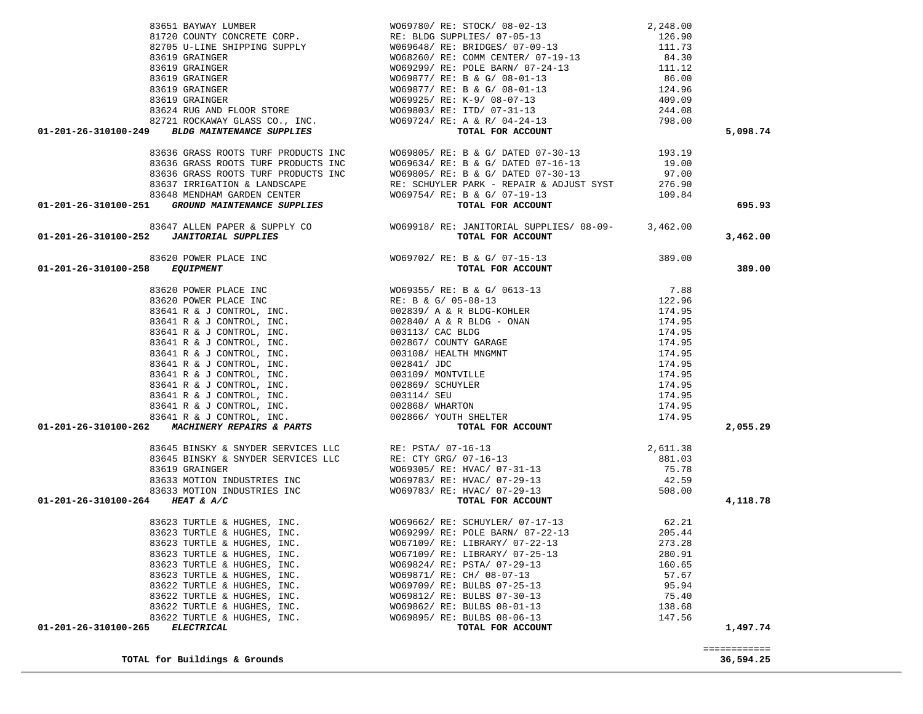| $\begin{array}{cccc} 83651 & \text{BAYMXY LUMBER} & & & & & & & & & 2,248.00 \\ 81720 & \text{COUNTY CONCRETER CORP}, & & & & & & & & 12,248.00 \\ 82705 & \text{U-NINE SHIPPING SUPPLY} & & & & & & & 126.90 \\ 82705 & \text{U-LINE SHIPPING SUPPLY} & & & & & & & 126.90 \\ 83619 & \text{GRANGERR} & & & & & & & 166.90 \\ 83619 & \text{GRANGERR} & & & & & & & 66.9299 / R \text{ E: COM$ |                                                                                                                                                                                                                                                                                                                                 |        | 5,098.74                  |
|-------------------------------------------------------------------------------------------------------------------------------------------------------------------------------------------------------------------------------------------------------------------------------------------------------------------------------------------------------------------------------------------------|---------------------------------------------------------------------------------------------------------------------------------------------------------------------------------------------------------------------------------------------------------------------------------------------------------------------------------|--------|---------------------------|
|                                                                                                                                                                                                                                                                                                                                                                                                 | 83636 GRASS ROOTS TURF PRODUCTS INC<br>83636 GRASS ROOTS TURF PRODUCTS INC<br>83636 GRASS ROOTS TURF PRODUCTS INC<br>83636 GRASS ROOTS TURF PRODUCTS INC<br>83636 GRASS ROOTS TURF PRODUCTS INC<br>83636 GRASS ROOTS TURF PRODUCTS INC<br>                                                                                      |        |                           |
|                                                                                                                                                                                                                                                                                                                                                                                                 |                                                                                                                                                                                                                                                                                                                                 |        |                           |
|                                                                                                                                                                                                                                                                                                                                                                                                 |                                                                                                                                                                                                                                                                                                                                 |        |                           |
|                                                                                                                                                                                                                                                                                                                                                                                                 |                                                                                                                                                                                                                                                                                                                                 |        |                           |
|                                                                                                                                                                                                                                                                                                                                                                                                 |                                                                                                                                                                                                                                                                                                                                 |        |                           |
|                                                                                                                                                                                                                                                                                                                                                                                                 |                                                                                                                                                                                                                                                                                                                                 |        | 695.93                    |
| 83647 ALLEN PAPER & SUPPLY CO<br>01-201-26-310100-252 JANITORIAL SUPPLIES UPPLIES TOTAL FOR ACCOUNT                                                                                                                                                                                                                                                                                             |                                                                                                                                                                                                                                                                                                                                 |        |                           |
|                                                                                                                                                                                                                                                                                                                                                                                                 |                                                                                                                                                                                                                                                                                                                                 |        | 3,462.00                  |
|                                                                                                                                                                                                                                                                                                                                                                                                 | 83620 POWER PLACE INC $\footnotesize\begin{array}{ccc} 83620 & \text{POWER} & \text{PLACE} & \text{INC} \\ 8 & \text{EQUIPMENT} & \text{TORL FOR ACCOUNT} \end{array}$                                                                                                                                                          |        |                           |
| 01-201-26-310100-258 EQUIPMENT                                                                                                                                                                                                                                                                                                                                                                  |                                                                                                                                                                                                                                                                                                                                 |        | 389.00                    |
|                                                                                                                                                                                                                                                                                                                                                                                                 |                                                                                                                                                                                                                                                                                                                                 |        |                           |
|                                                                                                                                                                                                                                                                                                                                                                                                 |                                                                                                                                                                                                                                                                                                                                 |        |                           |
|                                                                                                                                                                                                                                                                                                                                                                                                 |                                                                                                                                                                                                                                                                                                                                 |        |                           |
|                                                                                                                                                                                                                                                                                                                                                                                                 |                                                                                                                                                                                                                                                                                                                                 |        |                           |
|                                                                                                                                                                                                                                                                                                                                                                                                 |                                                                                                                                                                                                                                                                                                                                 |        |                           |
|                                                                                                                                                                                                                                                                                                                                                                                                 |                                                                                                                                                                                                                                                                                                                                 |        |                           |
|                                                                                                                                                                                                                                                                                                                                                                                                 |                                                                                                                                                                                                                                                                                                                                 |        |                           |
|                                                                                                                                                                                                                                                                                                                                                                                                 |                                                                                                                                                                                                                                                                                                                                 |        |                           |
|                                                                                                                                                                                                                                                                                                                                                                                                 |                                                                                                                                                                                                                                                                                                                                 |        |                           |
|                                                                                                                                                                                                                                                                                                                                                                                                 |                                                                                                                                                                                                                                                                                                                                 |        |                           |
|                                                                                                                                                                                                                                                                                                                                                                                                 |                                                                                                                                                                                                                                                                                                                                 |        |                           |
|                                                                                                                                                                                                                                                                                                                                                                                                 |                                                                                                                                                                                                                                                                                                                                 |        |                           |
|                                                                                                                                                                                                                                                                                                                                                                                                 |                                                                                                                                                                                                                                                                                                                                 |        |                           |
| 01–201–20–310100–250<br>83620 POWER PLACE INC<br>83620 POWER PLACE INC<br>83620 POWER PLACE INC<br>83641 R & J CONTROL, INC.<br>83641 R & J CONTROL, INC.<br>83641 R & J CONTROL, INC.<br>83641 R & J CONTROL, INC.<br>83641 R & J CONTROL, I                                                                                                                                                   |                                                                                                                                                                                                                                                                                                                                 |        | 2,055.29                  |
|                                                                                                                                                                                                                                                                                                                                                                                                 |                                                                                                                                                                                                                                                                                                                                 |        |                           |
|                                                                                                                                                                                                                                                                                                                                                                                                 |                                                                                                                                                                                                                                                                                                                                 |        |                           |
|                                                                                                                                                                                                                                                                                                                                                                                                 |                                                                                                                                                                                                                                                                                                                                 |        |                           |
|                                                                                                                                                                                                                                                                                                                                                                                                 |                                                                                                                                                                                                                                                                                                                                 |        |                           |
|                                                                                                                                                                                                                                                                                                                                                                                                 |                                                                                                                                                                                                                                                                                                                                 |        |                           |
| 01-201-26-310100-264 HEAT & A/C                                                                                                                                                                                                                                                                                                                                                                 | $\begin{array}{lllllllllllllllllll} \text{83645 BINSKY & SNYDER SERVICES LLC} & RE: PSTA/ & 07-16-13 & 2,611.38 & \\ \text{83645 BINSKY & SNYDER SERVICES LLC} & RE: CTY GRG/ & 07-16-13 & 881.03 & \\ \text{83619 GRAINGER} & W069305/ & RE: HVAC/ & 07-31-13 & 75.78 & \\ \text{83633 MOTION INDUSTRIES INC} & W069783/ & RE$ |        | 4,118.78                  |
|                                                                                                                                                                                                                                                                                                                                                                                                 |                                                                                                                                                                                                                                                                                                                                 |        |                           |
|                                                                                                                                                                                                                                                                                                                                                                                                 |                                                                                                                                                                                                                                                                                                                                 |        |                           |
|                                                                                                                                                                                                                                                                                                                                                                                                 |                                                                                                                                                                                                                                                                                                                                 |        |                           |
| 83623 TURTLE & HUGHES, INC.                                                                                                                                                                                                                                                                                                                                                                     | WO67109/ RE: LIBRARY/ 07-25-13                                                                                                                                                                                                                                                                                                  | 280.91 |                           |
| 83623 TURTLE & HUGHES, INC.                                                                                                                                                                                                                                                                                                                                                                     | W069824/ RE: PSTA/ 07-29-13                                                                                                                                                                                                                                                                                                     | 160.65 |                           |
| 83623 TURTLE & HUGHES, INC.                                                                                                                                                                                                                                                                                                                                                                     | WO69871/ RE: CH/ 08-07-13                                                                                                                                                                                                                                                                                                       | 57.67  |                           |
| 83622 TURTLE & HUGHES, INC.                                                                                                                                                                                                                                                                                                                                                                     | WO69709/ RE: BULBS 07-25-13                                                                                                                                                                                                                                                                                                     | 95.94  |                           |
| 83622 TURTLE & HUGHES, INC.                                                                                                                                                                                                                                                                                                                                                                     | WO69812/ RE: BULBS 07-30-13                                                                                                                                                                                                                                                                                                     | 75.40  |                           |
| 83622 TURTLE & HUGHES, INC.                                                                                                                                                                                                                                                                                                                                                                     | W069862/ RE: BULBS 08-01-13                                                                                                                                                                                                                                                                                                     | 138.68 |                           |
| 83622 TURTLE & HUGHES, INC.                                                                                                                                                                                                                                                                                                                                                                     | W069895/ RE: BULBS 08-06-13                                                                                                                                                                                                                                                                                                     | 147.56 |                           |
| 01-201-26-310100-265<br><b>ELECTRICAL</b>                                                                                                                                                                                                                                                                                                                                                       | TOTAL FOR ACCOUNT                                                                                                                                                                                                                                                                                                               |        |                           |
|                                                                                                                                                                                                                                                                                                                                                                                                 |                                                                                                                                                                                                                                                                                                                                 |        | 1,497.74                  |
| TOTAL for Buildings & Grounds                                                                                                                                                                                                                                                                                                                                                                   |                                                                                                                                                                                                                                                                                                                                 |        | ============<br>36,594.25 |
|                                                                                                                                                                                                                                                                                                                                                                                                 |                                                                                                                                                                                                                                                                                                                                 |        |                           |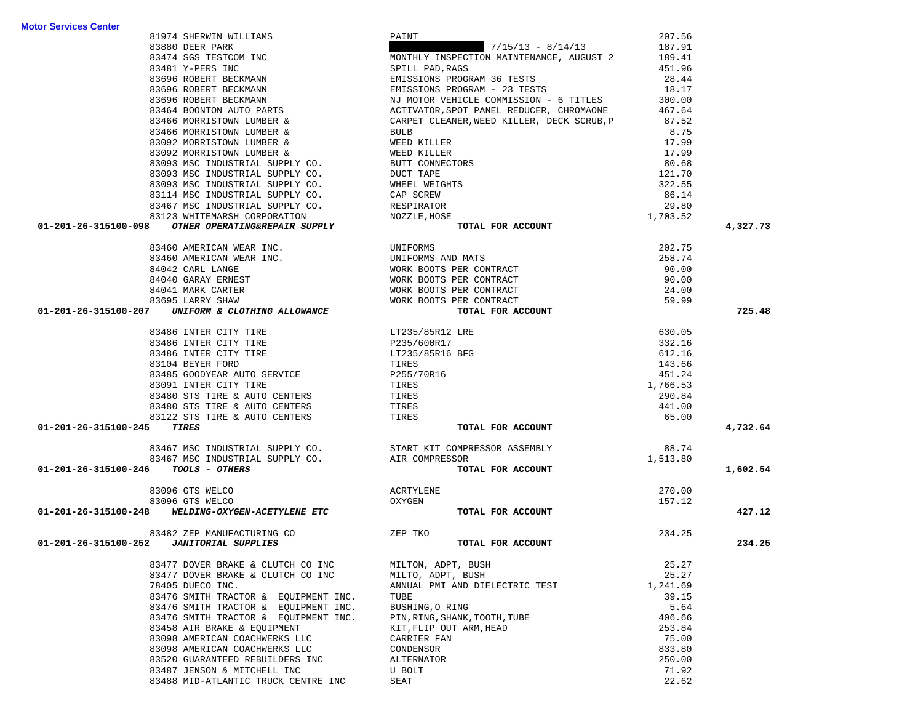|                            |                                                                                                              |                                                                                                                                                                      | 207.56   |          |
|----------------------------|--------------------------------------------------------------------------------------------------------------|----------------------------------------------------------------------------------------------------------------------------------------------------------------------|----------|----------|
|                            |                                                                                                              |                                                                                                                                                                      | 187.91   |          |
|                            |                                                                                                              | MONTHLY INSPECTION MAINTENANCE, AUGUST 2 189.41                                                                                                                      |          |          |
|                            |                                                                                                              |                                                                                                                                                                      | 451.96   |          |
|                            |                                                                                                              |                                                                                                                                                                      | 28.44    |          |
|                            |                                                                                                              |                                                                                                                                                                      | 18.17    |          |
|                            |                                                                                                              |                                                                                                                                                                      | 300.00   |          |
|                            |                                                                                                              |                                                                                                                                                                      |          |          |
|                            |                                                                                                              |                                                                                                                                                                      | 467.64   |          |
|                            |                                                                                                              |                                                                                                                                                                      | 87.52    |          |
|                            |                                                                                                              |                                                                                                                                                                      | 8.75     |          |
|                            |                                                                                                              |                                                                                                                                                                      | 17.99    |          |
|                            |                                                                                                              |                                                                                                                                                                      | 17.99    |          |
|                            |                                                                                                              |                                                                                                                                                                      | 80.68    |          |
|                            |                                                                                                              |                                                                                                                                                                      | 121.70   |          |
|                            |                                                                                                              |                                                                                                                                                                      | 322.55   |          |
|                            |                                                                                                              |                                                                                                                                                                      | 86.14    |          |
|                            |                                                                                                              |                                                                                                                                                                      | 29.80    |          |
|                            |                                                                                                              |                                                                                                                                                                      | 1,703.52 |          |
| 01-201-26-315100-098       |                                                                                                              |                                                                                                                                                                      |          | 4,327.73 |
|                            |                                                                                                              |                                                                                                                                                                      |          |          |
|                            | 83460 AMERICAN WEAR INC.                                                                                     | UNIFORMS<br>UNIFORMS AND MATS<br>WORK BOOTS PER CONTRACT<br>WORK BOOTS PER CONTRACT<br>WORK BOOTS PER CONTRACT<br>YORK BOOTS PER CONTRACT<br>YORK BOOTS PER CONTRACT | 202.75   |          |
|                            | 83460 AMERICAN WEAR INC.                                                                                     |                                                                                                                                                                      | 258.74   |          |
|                            | 84042 CARL LANGE                                                                                             |                                                                                                                                                                      | 90.00    |          |
|                            | 84040 GARAY ERNEST                                                                                           |                                                                                                                                                                      | 90.00    |          |
|                            | 84041 MARK CARTER                                                                                            |                                                                                                                                                                      | 24.00    |          |
|                            | 83695 LARRY SHAW                                                                                             |                                                                                                                                                                      | 59.99    |          |
|                            | 01-201-26-315100-207 UNIFORM & CLOTHING ALLOWANCE                                                            | TOTAL FOR ACCOUNT                                                                                                                                                    |          | 725.48   |
|                            | 83486 INTER CITY TIRE                                                                                        |                                                                                                                                                                      | 630.05   |          |
|                            | 83486 INTER CITY TIRE                                                                                        |                                                                                                                                                                      | 332.16   |          |
|                            | 83486 INTER CITY TIRE                                                                                        |                                                                                                                                                                      | 612.16   |          |
|                            | 83104 BEYER FORD                                                                                             |                                                                                                                                                                      |          |          |
|                            | 83485 GOODYEAR AUTO SERVICE P255/70R16                                                                       | LT235/85R12 LRE<br>P235/600R17<br>LT235/85R16 BFG<br>TIRES<br>P255/70R16<br>TIRES<br>TTPES                                                                           | 143.66   |          |
|                            |                                                                                                              |                                                                                                                                                                      | 451.24   |          |
|                            | 83091 INTER CITY TIRE                                                                                        |                                                                                                                                                                      | 1,766.53 |          |
|                            | 83480 STS TIRE & AUTO CENTERS                                                                                | TIRES<br>TIRES                                                                                                                                                       | 290.84   |          |
|                            | 83480 STS TIRE & AUTO CENTERS                                                                                |                                                                                                                                                                      | 441.00   |          |
|                            | 83122 STS TIRE & AUTO CENTERS TIRES                                                                          |                                                                                                                                                                      | 65.00    |          |
| 01-201-26-315100-245 TIRES |                                                                                                              | TOTAL FOR ACCOUNT                                                                                                                                                    |          | 4,732.64 |
|                            | 83467 MSC INDUSTRIAL SUPPLY CO. START KIT COMPRESSOR ASSEMBLY 83467 MSC INDUSTRIAL SUPPLY CO. AIR COMPRESSOR |                                                                                                                                                                      | 88.74    |          |
|                            |                                                                                                              |                                                                                                                                                                      | 1,513.80 |          |
|                            | 01-201-26-315100-246 TOOLS - OTHERS                                                                          | TOTAL FOR ACCOUNT                                                                                                                                                    |          | 1,602.54 |
|                            |                                                                                                              | ACRTYLENE                                                                                                                                                            |          |          |
|                            | 83096 GTS WELCO                                                                                              |                                                                                                                                                                      | 270.00   |          |
|                            | 83096 GTS WELCO<br>01-201-26-315100-248 WELDING-OXYGEN-ACETYLENE ETC                                         | OXYGEN                                                                                                                                                               | 157.12   |          |
|                            |                                                                                                              | TOTAL FOR ACCOUNT                                                                                                                                                    |          | 427.12   |
|                            | 83482 ZEP MANUFACTURING CO                                                                                   | ZEP TKO                                                                                                                                                              | 234.25   |          |
|                            | 01-201-26-315100-252  JANITORIAL SUPPLIES                                                                    | TOTAL FOR ACCOUNT                                                                                                                                                    |          | 234.25   |
|                            | 83477 DOVER BRAKE & CLUTCH CO INC                                                                            | MILTON, ADPT, BUSH                                                                                                                                                   | 25.27    |          |
|                            | 83477 DOVER BRAKE & CLUTCH CO INC                                                                            | MILTO, ADPT, BUSH                                                                                                                                                    | 25.27    |          |
|                            | 78405 DUECO INC.                                                                                             | ANNUAL PMI AND DIELECTRIC TEST                                                                                                                                       | 1,241.69 |          |
|                            | 83476 SMITH TRACTOR & EQUIPMENT INC.                                                                         | TUBE                                                                                                                                                                 | 39.15    |          |
|                            |                                                                                                              |                                                                                                                                                                      | 5.64     |          |
|                            | 83476 SMITH TRACTOR & EQUIPMENT INC.                                                                         | BUSHING, O RING                                                                                                                                                      |          |          |
|                            | 83476 SMITH TRACTOR & EQUIPMENT INC.                                                                         | PIN, RING, SHANK, TOOTH, TUBE                                                                                                                                        | 406.66   |          |
|                            | 83458 AIR BRAKE & EQUIPMENT                                                                                  | KIT, FLIP OUT ARM, HEAD                                                                                                                                              | 253.84   |          |
|                            | 83098 AMERICAN COACHWERKS LLC                                                                                | CARRIER FAN                                                                                                                                                          | 75.00    |          |
|                            | 83098 AMERICAN COACHWERKS LLC                                                                                | CONDENSOR                                                                                                                                                            | 833.80   |          |
|                            | 83520 GUARANTEED REBUILDERS INC                                                                              | ALTERNATOR                                                                                                                                                           | 250.00   |          |
|                            | 83487 JENSON & MITCHELL INC                                                                                  | U BOLT                                                                                                                                                               | 71.92    |          |

83488 MID-ATLANTIC TRUCK CENTRE INC SEAT

22.62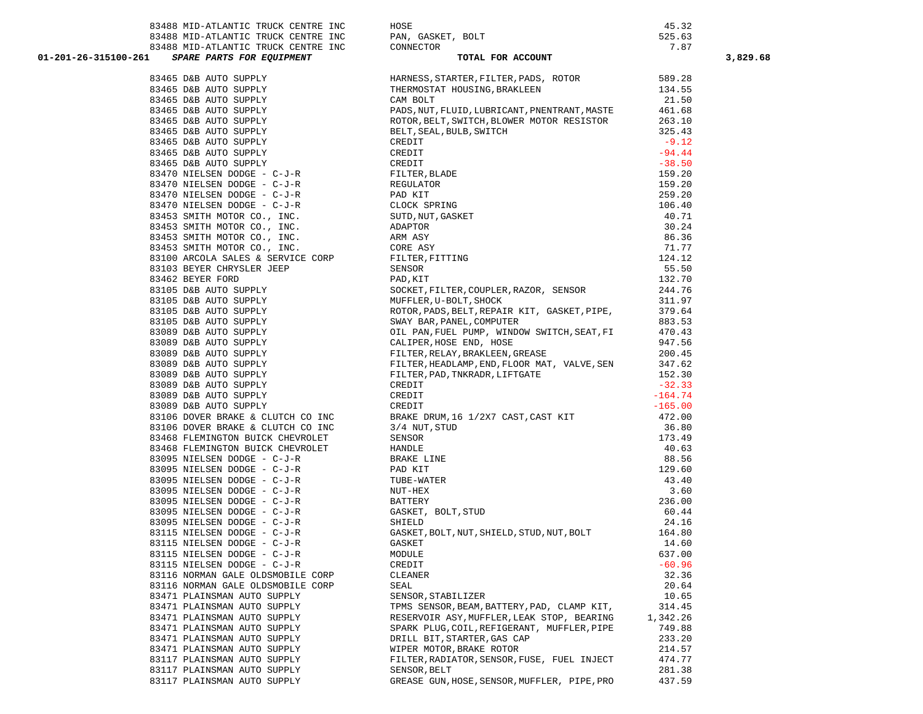| 83488 MID-ATLANTIC TRUCK CENTRE INC                                                                                                                                                                                                                                        | HOSE                                                                                                                         | 45.32            |
|----------------------------------------------------------------------------------------------------------------------------------------------------------------------------------------------------------------------------------------------------------------------------|------------------------------------------------------------------------------------------------------------------------------|------------------|
| $\,$ 83488 MID-ATLANTIC TRUCK CENTRE INC $\,$ PAN, GASKET, BOLT 83488 MID-ATLANTIC TRUCK CENTRE INC CONNECTOR                                                                                                                                                              |                                                                                                                              | 525.63           |
|                                                                                                                                                                                                                                                                            |                                                                                                                              | 7.87             |
| 1-26-315100-261 SPARE PARTS FOR EQUIPMENT<br>11 SPARE PARTS FOR EQUIPMENT TOTAL TOTAL SPARE PASS, STATES, BASI455 DAB AUTO SUPPLY THERMOSTAT BASI455 DAB AUTO SUPPLY PASS, STAT, FILD, LUB, AND SASES DAB AUTO SUPPLY PASS, STAT, FILD, LUB, AND SASES DAB AUTO SUPPLY THE | TOTAL FOR ACCOUNT                                                                                                            |                  |
|                                                                                                                                                                                                                                                                            | HARNESS, STARTER, FILTER, PADS, ROTOR 589.28                                                                                 |                  |
|                                                                                                                                                                                                                                                                            | THERMOSTAT HOUSING, BRAKLEEN                                                                                                 | 134.55           |
|                                                                                                                                                                                                                                                                            |                                                                                                                              | 21.50            |
|                                                                                                                                                                                                                                                                            | PADS, NUT, FLUID, LUBRICANT, PNENTRANT, MASTE                                                                                |                  |
|                                                                                                                                                                                                                                                                            | ROTOR, BELT, SWITCH, BLOWER MOTOR RESISTOR                                                                                   | 461.68<br>263.10 |
|                                                                                                                                                                                                                                                                            | BELT, SEAL, BULB, SWITCH                                                                                                     | 325.43           |
|                                                                                                                                                                                                                                                                            |                                                                                                                              | $-9.12$          |
|                                                                                                                                                                                                                                                                            |                                                                                                                              | $-94.44$         |
|                                                                                                                                                                                                                                                                            |                                                                                                                              | $-38.50$         |
|                                                                                                                                                                                                                                                                            |                                                                                                                              | 159.20           |
|                                                                                                                                                                                                                                                                            |                                                                                                                              | 159.20           |
|                                                                                                                                                                                                                                                                            |                                                                                                                              | 259.20           |
|                                                                                                                                                                                                                                                                            |                                                                                                                              | 106.40           |
|                                                                                                                                                                                                                                                                            |                                                                                                                              | 40.71            |
|                                                                                                                                                                                                                                                                            |                                                                                                                              | 30.24            |
|                                                                                                                                                                                                                                                                            |                                                                                                                              | 86.36            |
|                                                                                                                                                                                                                                                                            |                                                                                                                              | 71.77            |
|                                                                                                                                                                                                                                                                            |                                                                                                                              | 124.12           |
|                                                                                                                                                                                                                                                                            |                                                                                                                              | 55.50            |
|                                                                                                                                                                                                                                                                            |                                                                                                                              | 132.70<br>244.76 |
|                                                                                                                                                                                                                                                                            |                                                                                                                              |                  |
|                                                                                                                                                                                                                                                                            |                                                                                                                              | 311.97           |
|                                                                                                                                                                                                                                                                            | PAD, KIT<br>SOCKET, FILTER, COUPLER, RAZOR, SENSOR<br>MUFFLER, U-BOLT, SHOCK<br>ROTOR, PADS, BELT, REPAIR KIT, GASKET, PIPE, | 379.64           |
|                                                                                                                                                                                                                                                                            | SWAY BAR, PANEL, COMPUTER                                                                                                    | 883.53           |
|                                                                                                                                                                                                                                                                            | OIL PAN, FUEL PUMP, WINDOW SWITCH, SEAT, FI<br>CALIPER, HOSE END, HOSE<br>FILTER, RELAY, BRAKLEEN, GREASE                    | 470.43<br>947.56 |
|                                                                                                                                                                                                                                                                            |                                                                                                                              |                  |
|                                                                                                                                                                                                                                                                            |                                                                                                                              | 200.45           |
|                                                                                                                                                                                                                                                                            | FILTER, HEADLAMP, END, FLOOR MAT, VALVE, SEN 347.62                                                                          |                  |
|                                                                                                                                                                                                                                                                            | FILTER, PAD, TNKRADR, LIFTGATE                                                                                               | 152.30           |
|                                                                                                                                                                                                                                                                            |                                                                                                                              | $-32.33$         |
| 83089 D&B AUTO SUPPLY                                                                                                                                                                                                                                                      | CREDIT                                                                                                                       | $-164.74$        |
| 83089 D&B AUTO SUPPLY<br>83089 D&B AUIO SUPPLY<br>83106 DOVER BRAKE & CLUTCH CO INC                                                                                                                                                                                        | 165.00 = 165.00<br>BRAKE DRUM, 16 1/2X7 CAST, CAST KIT 472.00<br>3/4 NUT, STUD 36.80                                         |                  |
| 83106 DOVER BRAKE & CLUTCH CO INC 3/4 NUT, STUD                                                                                                                                                                                                                            |                                                                                                                              |                  |
|                                                                                                                                                                                                                                                                            |                                                                                                                              | 173.49           |
| 83468 FLEMINGTON BUICK CHEVROLET<br>83468 FLEMINGION BUICK CHEVROLET<br>83468 FLEMINGTON BUICK CHEVROLET HANDLE<br>22005 NIELEEN DODGE - C-J-R BRAKE LINE                                                                                                                  | SENSOR                                                                                                                       | 40.63            |
|                                                                                                                                                                                                                                                                            |                                                                                                                              | 88.56            |
| 83095 NIELSEN DODGE - $C-J-R$                                                                                                                                                                                                                                              |                                                                                                                              | 129.60           |
|                                                                                                                                                                                                                                                                            | PAD KIT<br>TUBE-WATER                                                                                                        | 43.40            |
| 83095 NIELSEN DODGE - C-J-R<br>83095 NIELSEN DODGE - C-J-R<br>83095 NIELSEN DODGE - C-J-R                                                                                                                                                                                  | NUT-HEX                                                                                                                      | 3.60             |
|                                                                                                                                                                                                                                                                            | BATTERY                                                                                                                      | 236.00           |
| 83095 NIELSEN DODGE - C-J-R<br>83095 NIELSEN DODGE - C-J-R                                                                                                                                                                                                                 |                                                                                                                              | 60.44            |
| 83095 NIELSEN DODGE - C-J-R<br>83095 NIELSEN DODGE - C-J-R<br>TILLERN DODGE - C-J-R                                                                                                                                                                                        | ---------<br>GASKET, BOLT,STUD<br>SHIELD                                                                                     | 24.16            |
|                                                                                                                                                                                                                                                                            | GASKET, BOLT, NUT, SHIELD, STUD, NUT, BOLT 164.80                                                                            |                  |
| 83115 NIELSEN DODGE - C-J-R                                                                                                                                                                                                                                                | GASKET                                                                                                                       | 14.60            |
| 83115 NIELSEN DODGE - C-J-R                                                                                                                                                                                                                                                | MODULE                                                                                                                       | 637.00           |
| 83115 NIELSEN DODGE - C-J-R                                                                                                                                                                                                                                                | CREDIT                                                                                                                       | $-60.96$         |
| 83116 NORMAN GALE OLDSMOBILE CORP                                                                                                                                                                                                                                          | CLEANER                                                                                                                      | 32.36            |
| 83116 NORMAN GALE OLDSMOBILE CORP                                                                                                                                                                                                                                          | SEAL                                                                                                                         | 20.64            |
| 83471 PLAINSMAN AUTO SUPPLY                                                                                                                                                                                                                                                | SENSOR, STABILIZER                                                                                                           | 10.65            |
| 83471 PLAINSMAN AUTO SUPPLY                                                                                                                                                                                                                                                | TPMS SENSOR, BEAM, BATTERY, PAD, CLAMP KIT,                                                                                  | 314.45           |
| 83471 PLAINSMAN AUTO SUPPLY                                                                                                                                                                                                                                                | RESERVOIR ASY, MUFFLER, LEAK STOP, BEARING                                                                                   | 1,342.26         |
| 83471 PLAINSMAN AUTO SUPPLY                                                                                                                                                                                                                                                | SPARK PLUG, COIL, REFIGERANT, MUFFLER, PIPE                                                                                  | 749.88           |
| 83471 PLAINSMAN AUTO SUPPLY                                                                                                                                                                                                                                                | DRILL BIT, STARTER, GAS CAP                                                                                                  | 233.20           |
| 83471 PLAINSMAN AUTO SUPPLY                                                                                                                                                                                                                                                | WIPER MOTOR, BRAKE ROTOR                                                                                                     | 214.57           |
| 83117 PLAINSMAN AUTO SUPPLY                                                                                                                                                                                                                                                | FILTER, RADIATOR, SENSOR, FUSE, FUEL INJECT                                                                                  | 474.77           |
| 83117 PLAINSMAN AUTO SUPPLY                                                                                                                                                                                                                                                | SENSOR, BELT                                                                                                                 | 281.38           |
| 83117 PLAINSMAN AUTO SUPPLY                                                                                                                                                                                                                                                | GREASE GUN, HOSE, SENSOR, MUFFLER, PIPE, PRO                                                                                 | 437.59           |

| 83488 MID-ATLANTIC TRUCK CENTRE INC                                                                                                                                                                                                       | PAN, GASKET, BOLT                                                                                                                                                                                                                                                                                                                                                                                                                                                                                                                                                                                                                                                                                                                   | 525.63          |          |
|-------------------------------------------------------------------------------------------------------------------------------------------------------------------------------------------------------------------------------------------|-------------------------------------------------------------------------------------------------------------------------------------------------------------------------------------------------------------------------------------------------------------------------------------------------------------------------------------------------------------------------------------------------------------------------------------------------------------------------------------------------------------------------------------------------------------------------------------------------------------------------------------------------------------------------------------------------------------------------------------|-----------------|----------|
| 83488 MID-ATLANTIC TRUCK CENTRE INC CONNECTOR                                                                                                                                                                                             |                                                                                                                                                                                                                                                                                                                                                                                                                                                                                                                                                                                                                                                                                                                                     | 7.87            |          |
| 01-201-26-315100-261 SPARE PARTS FOR EQUIPMENT                                                                                                                                                                                            | , BOLT<br>TOTAL FOR ACCOUNT                                                                                                                                                                                                                                                                                                                                                                                                                                                                                                                                                                                                                                                                                                         |                 | 3,829.68 |
|                                                                                                                                                                                                                                           |                                                                                                                                                                                                                                                                                                                                                                                                                                                                                                                                                                                                                                                                                                                                     |                 |          |
|                                                                                                                                                                                                                                           |                                                                                                                                                                                                                                                                                                                                                                                                                                                                                                                                                                                                                                                                                                                                     |                 |          |
|                                                                                                                                                                                                                                           |                                                                                                                                                                                                                                                                                                                                                                                                                                                                                                                                                                                                                                                                                                                                     |                 |          |
|                                                                                                                                                                                                                                           | PADS, NUT, FLUID, LUBRICANT, PNENTRANT, MASTE 461.68                                                                                                                                                                                                                                                                                                                                                                                                                                                                                                                                                                                                                                                                                |                 |          |
|                                                                                                                                                                                                                                           |                                                                                                                                                                                                                                                                                                                                                                                                                                                                                                                                                                                                                                                                                                                                     |                 |          |
|                                                                                                                                                                                                                                           |                                                                                                                                                                                                                                                                                                                                                                                                                                                                                                                                                                                                                                                                                                                                     |                 |          |
|                                                                                                                                                                                                                                           | 93465 DAR ANUTO SUPPLY CAN PULTER, HELPIS, INDUSTRIAT, PNENTRAIT, NASTE<br>93465 DAR ANTO SUPPLY ROOT BENT, SEAL, BULTER, INDUSTRIAT, PRENET ANSITE 461.68<br>93465 DAR ANTO SUPPLY ROOT BENT, SEAL, BULTER, SILTER, SILTER 1979<br>                                                                                                                                                                                                                                                                                                                                                                                                                                                                                                |                 |          |
|                                                                                                                                                                                                                                           |                                                                                                                                                                                                                                                                                                                                                                                                                                                                                                                                                                                                                                                                                                                                     |                 |          |
|                                                                                                                                                                                                                                           |                                                                                                                                                                                                                                                                                                                                                                                                                                                                                                                                                                                                                                                                                                                                     |                 |          |
|                                                                                                                                                                                                                                           |                                                                                                                                                                                                                                                                                                                                                                                                                                                                                                                                                                                                                                                                                                                                     |                 |          |
|                                                                                                                                                                                                                                           |                                                                                                                                                                                                                                                                                                                                                                                                                                                                                                                                                                                                                                                                                                                                     |                 |          |
|                                                                                                                                                                                                                                           |                                                                                                                                                                                                                                                                                                                                                                                                                                                                                                                                                                                                                                                                                                                                     |                 |          |
|                                                                                                                                                                                                                                           |                                                                                                                                                                                                                                                                                                                                                                                                                                                                                                                                                                                                                                                                                                                                     |                 |          |
|                                                                                                                                                                                                                                           |                                                                                                                                                                                                                                                                                                                                                                                                                                                                                                                                                                                                                                                                                                                                     |                 |          |
|                                                                                                                                                                                                                                           |                                                                                                                                                                                                                                                                                                                                                                                                                                                                                                                                                                                                                                                                                                                                     |                 |          |
|                                                                                                                                                                                                                                           |                                                                                                                                                                                                                                                                                                                                                                                                                                                                                                                                                                                                                                                                                                                                     |                 |          |
|                                                                                                                                                                                                                                           |                                                                                                                                                                                                                                                                                                                                                                                                                                                                                                                                                                                                                                                                                                                                     |                 |          |
|                                                                                                                                                                                                                                           |                                                                                                                                                                                                                                                                                                                                                                                                                                                                                                                                                                                                                                                                                                                                     |                 |          |
|                                                                                                                                                                                                                                           |                                                                                                                                                                                                                                                                                                                                                                                                                                                                                                                                                                                                                                                                                                                                     |                 |          |
|                                                                                                                                                                                                                                           |                                                                                                                                                                                                                                                                                                                                                                                                                                                                                                                                                                                                                                                                                                                                     |                 |          |
|                                                                                                                                                                                                                                           |                                                                                                                                                                                                                                                                                                                                                                                                                                                                                                                                                                                                                                                                                                                                     |                 |          |
|                                                                                                                                                                                                                                           |                                                                                                                                                                                                                                                                                                                                                                                                                                                                                                                                                                                                                                                                                                                                     |                 |          |
|                                                                                                                                                                                                                                           |                                                                                                                                                                                                                                                                                                                                                                                                                                                                                                                                                                                                                                                                                                                                     |                 |          |
|                                                                                                                                                                                                                                           |                                                                                                                                                                                                                                                                                                                                                                                                                                                                                                                                                                                                                                                                                                                                     |                 |          |
|                                                                                                                                                                                                                                           |                                                                                                                                                                                                                                                                                                                                                                                                                                                                                                                                                                                                                                                                                                                                     |                 |          |
|                                                                                                                                                                                                                                           |                                                                                                                                                                                                                                                                                                                                                                                                                                                                                                                                                                                                                                                                                                                                     |                 |          |
|                                                                                                                                                                                                                                           |                                                                                                                                                                                                                                                                                                                                                                                                                                                                                                                                                                                                                                                                                                                                     |                 |          |
|                                                                                                                                                                                                                                           |                                                                                                                                                                                                                                                                                                                                                                                                                                                                                                                                                                                                                                                                                                                                     |                 |          |
|                                                                                                                                                                                                                                           |                                                                                                                                                                                                                                                                                                                                                                                                                                                                                                                                                                                                                                                                                                                                     |                 |          |
|                                                                                                                                                                                                                                           |                                                                                                                                                                                                                                                                                                                                                                                                                                                                                                                                                                                                                                                                                                                                     |                 |          |
|                                                                                                                                                                                                                                           |                                                                                                                                                                                                                                                                                                                                                                                                                                                                                                                                                                                                                                                                                                                                     |                 |          |
| 83106 DOVER BRAKE & CLUTCH CO INC                                                                                                                                                                                                         |                                                                                                                                                                                                                                                                                                                                                                                                                                                                                                                                                                                                                                                                                                                                     |                 |          |
|                                                                                                                                                                                                                                           |                                                                                                                                                                                                                                                                                                                                                                                                                                                                                                                                                                                                                                                                                                                                     |                 |          |
|                                                                                                                                                                                                                                           |                                                                                                                                                                                                                                                                                                                                                                                                                                                                                                                                                                                                                                                                                                                                     |                 |          |
|                                                                                                                                                                                                                                           |                                                                                                                                                                                                                                                                                                                                                                                                                                                                                                                                                                                                                                                                                                                                     |                 |          |
|                                                                                                                                                                                                                                           |                                                                                                                                                                                                                                                                                                                                                                                                                                                                                                                                                                                                                                                                                                                                     |                 |          |
| 83106 DOVER BRAKE & CLUICH COMMON SUICK CHEVROLET<br>83468 FLEMINGTON BUICK CHEVROLET HANDLE<br>83095 NIELSEN DODGE - C-J-R<br>83095 NIELSEN DODGE - C-J-R<br>83095 NIELSEN DODGE - C-J-R<br>82005 MIT CEN DODGE - C-J-R<br>820 KIT CEN D | CREDIT<br>CREDIT<br>BRAKE DRUM, 16 1/2X7 CAST, CAST KIT<br>3/4 NUT, STUD<br>36.80<br>SENSOR<br>173.49<br>HANDLE<br>40.63<br>BRAKE LINE<br>40.63<br>BRAKE LINE<br>40.63<br>BRAKE LINE<br>43.49<br>43.40<br>TUBE-WATER<br>43.40<br>NUT-HEX<br>BATTERY<br>236.00<br>GASKET,<br>$\begin{tabular}{lllllllllllll} \multicolumn{4}{c}{\textbf{83095}} & \multicolumn{4}{c}{\textbf{NLELSEN DODGE}} & - & - & - - & - & - & - \\ \multicolumn{4}{c}{\textbf{83095}} & \multicolumn{4}{c}{\textbf{NIELSEN DODGE}} & - & - & - - & - & - \\ \multicolumn{4}{c}{\textbf{83095}} & \multicolumn{4}{c}{\textbf{NIELSEN DODGE}} & - & - & - & - & - \\ \multicolumn{4}{c}{\textbf{83095}} & \multicolumn{4}{c}{\textbf{NIELSEN DODGE}} & - & - &$ |                 |          |
|                                                                                                                                                                                                                                           |                                                                                                                                                                                                                                                                                                                                                                                                                                                                                                                                                                                                                                                                                                                                     |                 |          |
|                                                                                                                                                                                                                                           |                                                                                                                                                                                                                                                                                                                                                                                                                                                                                                                                                                                                                                                                                                                                     |                 |          |
|                                                                                                                                                                                                                                           |                                                                                                                                                                                                                                                                                                                                                                                                                                                                                                                                                                                                                                                                                                                                     |                 |          |
|                                                                                                                                                                                                                                           |                                                                                                                                                                                                                                                                                                                                                                                                                                                                                                                                                                                                                                                                                                                                     |                 |          |
|                                                                                                                                                                                                                                           |                                                                                                                                                                                                                                                                                                                                                                                                                                                                                                                                                                                                                                                                                                                                     |                 |          |
|                                                                                                                                                                                                                                           |                                                                                                                                                                                                                                                                                                                                                                                                                                                                                                                                                                                                                                                                                                                                     | 164.80<br>14.60 |          |
| 83115 NIELSEN DODGE - C-J-R                                                                                                                                                                                                               | MODULE                                                                                                                                                                                                                                                                                                                                                                                                                                                                                                                                                                                                                                                                                                                              | 637.00          |          |
| 83115 NIELSEN DODGE - C-J-R                                                                                                                                                                                                               | CREDIT                                                                                                                                                                                                                                                                                                                                                                                                                                                                                                                                                                                                                                                                                                                              | $-60.96$        |          |
| 83116 NORMAN GALE OLDSMOBILE CORP                                                                                                                                                                                                         | CLEANER                                                                                                                                                                                                                                                                                                                                                                                                                                                                                                                                                                                                                                                                                                                             | 32.36           |          |
| 83116 NORMAN GALE OLDSMOBILE CORP                                                                                                                                                                                                         | SEAL                                                                                                                                                                                                                                                                                                                                                                                                                                                                                                                                                                                                                                                                                                                                | 20.64           |          |
| 83471 PLAINSMAN AUTO SUPPLY                                                                                                                                                                                                               | SENSOR, STABILIZER                                                                                                                                                                                                                                                                                                                                                                                                                                                                                                                                                                                                                                                                                                                  | 10.65           |          |
| 83471 PLAINSMAN AUTO SUPPLY                                                                                                                                                                                                               | TPMS SENSOR, BEAM, BATTERY, PAD, CLAMP KIT,                                                                                                                                                                                                                                                                                                                                                                                                                                                                                                                                                                                                                                                                                         | 314.45          |          |
| 83471 PLAINSMAN AUTO SUPPLY                                                                                                                                                                                                               | RESERVOIR ASY, MUFFLER, LEAK STOP, BEARING                                                                                                                                                                                                                                                                                                                                                                                                                                                                                                                                                                                                                                                                                          | 1,342.26        |          |
| 83471 PLAINSMAN AUTO SUPPLY                                                                                                                                                                                                               | SPARK PLUG, COIL, REFIGERANT, MUFFLER, PIPE                                                                                                                                                                                                                                                                                                                                                                                                                                                                                                                                                                                                                                                                                         | 749.88          |          |
| 83471 PLAINSMAN AUTO SUPPLY                                                                                                                                                                                                               | DRILL BIT, STARTER, GAS CAP                                                                                                                                                                                                                                                                                                                                                                                                                                                                                                                                                                                                                                                                                                         | 233.20          |          |
| 83471 PLAINSMAN AUTO SUPPLY                                                                                                                                                                                                               | WIPER MOTOR, BRAKE ROTOR                                                                                                                                                                                                                                                                                                                                                                                                                                                                                                                                                                                                                                                                                                            | 214.57          |          |
| 83117 PLAINSMAN AUTO SUPPLY                                                                                                                                                                                                               | FILTER, RADIATOR, SENSOR, FUSE, FUEL INJECT                                                                                                                                                                                                                                                                                                                                                                                                                                                                                                                                                                                                                                                                                         | 474.77          |          |
| 83117 PLAINSMAN AUTO SUPPLY                                                                                                                                                                                                               | SENSOR, BELT                                                                                                                                                                                                                                                                                                                                                                                                                                                                                                                                                                                                                                                                                                                        | 281.38          |          |
| 83117 PLAINSMAN AUTO SUPPLY                                                                                                                                                                                                               | GREASE GUN, HOSE, SENSOR, MUFFLER, PIPE, PRO                                                                                                                                                                                                                                                                                                                                                                                                                                                                                                                                                                                                                                                                                        | 437.59          |          |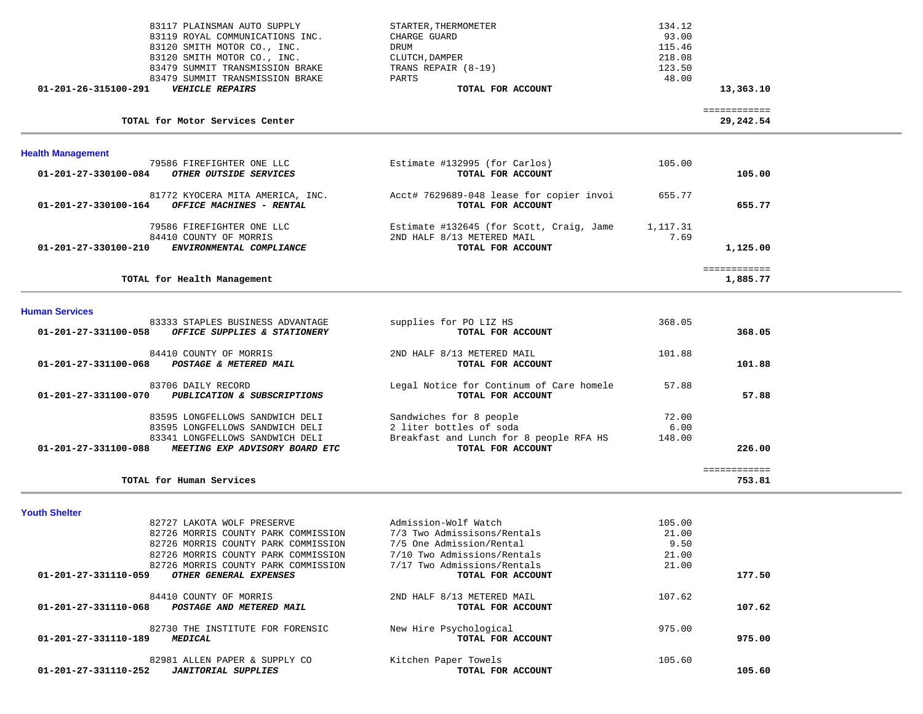| 83117 PLAINSMAN AUTO SUPPLY<br>83119 ROYAL COMMUNICATIONS INC.<br>83120 SMITH MOTOR CO., INC.<br>83120 SMITH MOTOR CO., INC.<br>83479 SUMMIT TRANSMISSION BRAKE<br>83479 SUMMIT TRANSMISSION BRAKE<br><b>VEHICLE REPAIRS</b><br>01-201-26-315100-291 | STARTER, THERMOMETER<br>CHARGE GUARD<br>DRUM<br>CLUTCH, DAMPER<br>TRANS REPAIR (8-19)<br>PARTS<br>TOTAL FOR ACCOUNT | 134.12<br>93.00<br>115.46<br>218.08<br>123.50<br>48.00 | 13,363.10                 |  |
|------------------------------------------------------------------------------------------------------------------------------------------------------------------------------------------------------------------------------------------------------|---------------------------------------------------------------------------------------------------------------------|--------------------------------------------------------|---------------------------|--|
| TOTAL for Motor Services Center                                                                                                                                                                                                                      |                                                                                                                     |                                                        | ============<br>29,242.54 |  |
|                                                                                                                                                                                                                                                      |                                                                                                                     |                                                        |                           |  |
| <b>Health Management</b>                                                                                                                                                                                                                             |                                                                                                                     |                                                        |                           |  |
| 79586 FIREFIGHTER ONE LLC<br>01-201-27-330100-084<br>OTHER OUTSIDE SERVICES                                                                                                                                                                          | Estimate #132995 (for Carlos)<br>TOTAL FOR ACCOUNT                                                                  | 105.00                                                 | 105.00                    |  |
| 81772 KYOCERA MITA AMERICA, INC.<br>OFFICE MACHINES - RENTAL<br>01-201-27-330100-164                                                                                                                                                                 | Acct# 7629689-048 lease for copier invoi<br>TOTAL FOR ACCOUNT                                                       | 655.77                                                 | 655.77                    |  |
| 79586 FIREFIGHTER ONE LLC                                                                                                                                                                                                                            | Estimate #132645 (for Scott, Craig, Jame                                                                            | 1,117.31                                               |                           |  |
| 84410 COUNTY OF MORRIS<br>$01 - 201 - 27 - 330100 - 210$<br>ENVIRONMENTAL COMPLIANCE                                                                                                                                                                 | 2ND HALF 8/13 METERED MAIL<br>TOTAL FOR ACCOUNT                                                                     | 7.69                                                   | 1,125.00                  |  |
|                                                                                                                                                                                                                                                      |                                                                                                                     |                                                        | ============              |  |
| TOTAL for Health Management                                                                                                                                                                                                                          |                                                                                                                     |                                                        | 1,885.77                  |  |
| <b>Human Services</b>                                                                                                                                                                                                                                |                                                                                                                     |                                                        |                           |  |
| 83333 STAPLES BUSINESS ADVANTAGE<br>OFFICE SUPPLIES & STATIONERY<br>01-201-27-331100-058                                                                                                                                                             | supplies for PO LIZ HS<br>TOTAL FOR ACCOUNT                                                                         | 368.05                                                 | 368.05                    |  |
| 84410 COUNTY OF MORRIS<br><b>POSTAGE &amp; METERED MAIL</b><br>01-201-27-331100-068                                                                                                                                                                  | 2ND HALF 8/13 METERED MAIL<br>TOTAL FOR ACCOUNT                                                                     | 101.88                                                 | 101.88                    |  |
| 83706 DAILY RECORD<br>01-201-27-331100-070<br>PUBLICATION & SUBSCRIPTIONS                                                                                                                                                                            | Legal Notice for Continum of Care homele<br>TOTAL FOR ACCOUNT                                                       | 57.88                                                  | 57.88                     |  |
| 83595 LONGFELLOWS SANDWICH DELI                                                                                                                                                                                                                      | Sandwiches for 8 people                                                                                             | 72.00                                                  |                           |  |
| 83595 LONGFELLOWS SANDWICH DELI<br>83341 LONGFELLOWS SANDWICH DELI                                                                                                                                                                                   | 2 liter bottles of soda<br>Breakfast and Lunch for 8 people RFA HS                                                  | 6.00<br>148.00                                         |                           |  |
| 01-201-27-331100-088<br>MEETING EXP ADVISORY BOARD ETC                                                                                                                                                                                               | TOTAL FOR ACCOUNT                                                                                                   |                                                        | 226.00                    |  |
| TOTAL for Human Services                                                                                                                                                                                                                             |                                                                                                                     |                                                        | ============<br>753.81    |  |
| <b>Youth Shelter</b>                                                                                                                                                                                                                                 |                                                                                                                     |                                                        |                           |  |
| 82727 LAKOTA WOLF PRESERVE<br>82726 MORRIS COUNTY PARK COMMISSION                                                                                                                                                                                    | Admission-Wolf Watch<br>7/3 Two Admissisons/Rentals                                                                 | 105.00<br>21.00                                        |                           |  |
| 82726 MORRIS COUNTY PARK COMMISSION<br>82726 MORRIS COUNTY PARK COMMISSION                                                                                                                                                                           | 7/5 One Admission/Rental<br>7/10 Two Admissions/Rentals                                                             | 9.50<br>21.00                                          |                           |  |
| 82726 MORRIS COUNTY PARK COMMISSION                                                                                                                                                                                                                  | 7/17 Two Admissions/Rentals                                                                                         | 21.00                                                  |                           |  |
| OTHER GENERAL EXPENSES<br>01-201-27-331110-059                                                                                                                                                                                                       | TOTAL FOR ACCOUNT                                                                                                   |                                                        | 177.50                    |  |
| 84410 COUNTY OF MORRIS<br>01-201-27-331110-068<br>POSTAGE AND METERED MAIL                                                                                                                                                                           | 2ND HALF 8/13 METERED MAIL<br>TOTAL FOR ACCOUNT                                                                     | 107.62                                                 | 107.62                    |  |
| 82730 THE INSTITUTE FOR FORENSIC                                                                                                                                                                                                                     |                                                                                                                     | 975.00                                                 |                           |  |
| 01-201-27-331110-189<br>MEDICAL                                                                                                                                                                                                                      | New Hire Psychological<br>TOTAL FOR ACCOUNT                                                                         |                                                        | 975.00                    |  |
| 82981 ALLEN PAPER & SUPPLY CO<br>01-201-27-331110-252<br><b>JANITORIAL SUPPLIES</b>                                                                                                                                                                  | Kitchen Paper Towels<br>TOTAL FOR ACCOUNT                                                                           | 105.60                                                 | 105.60                    |  |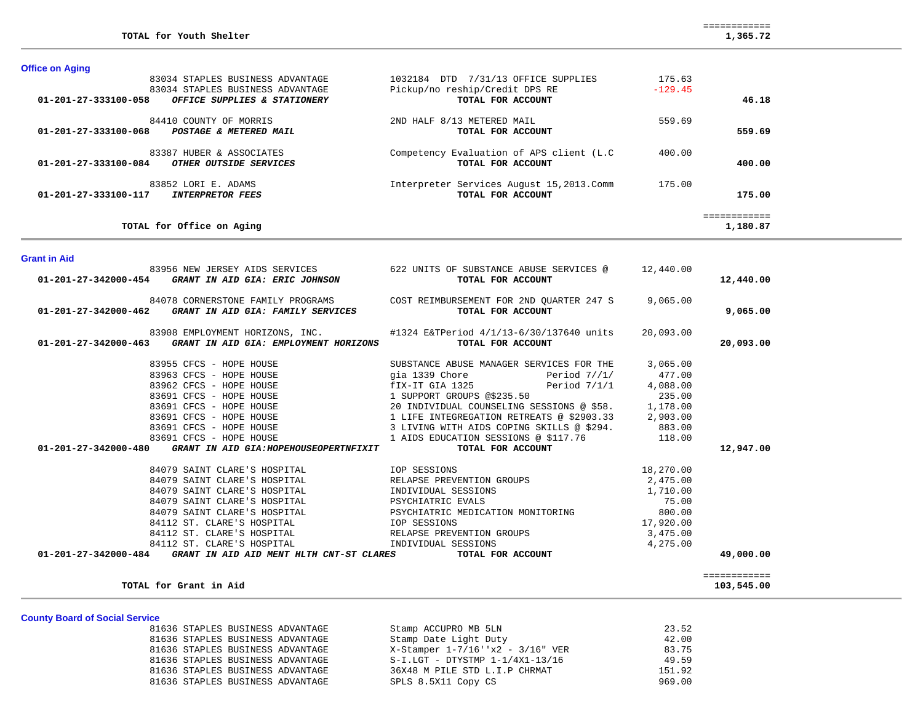800.00

17,920.00

|  | <b>Office on Aging</b> |  |
|--|------------------------|--|
|  |                        |  |

| 01-201-27-333100-058 | 83034 STAPLES BUSINESS ADVANTAGE<br>83034 STAPLES BUSINESS ADVANTAGE<br>OFFICE SUPPLIES & STATIONERY                                   | 1032184 DTD 7/31/13 OFFICE SUPPLIES<br>Pickup/no reship/Credit DPS RE<br>TOTAL FOR ACCOUNT | 175.63<br>$-129.45$ | 46.18                    |
|----------------------|----------------------------------------------------------------------------------------------------------------------------------------|--------------------------------------------------------------------------------------------|---------------------|--------------------------|
|                      | 84410 COUNTY OF MORRIS<br>01-201-27-333100-068 POSTAGE & METERED MAIL                                                                  | 2ND HALF 8/13 METERED MAIL<br>TOTAL FOR ACCOUNT                                            | 559.69              | 559.69                   |
|                      | 83387 HUBER & ASSOCIATES<br>01-201-27-333100-084 OTHER OUTSIDE SERVICES                                                                | Competency Evaluation of APS client (L.C<br>TOTAL FOR ACCOUNT                              | 400.00              | 400.00                   |
|                      | 83852 LORI E. ADAMS<br>01-201-27-333100-117 INTERPRETOR FEES                                                                           | Interpreter Services August 15, 2013. Comm 175.00<br>TOTAL FOR ACCOUNT                     |                     | 175.00                   |
|                      | TOTAL for Office on Aging                                                                                                              |                                                                                            |                     | ============<br>1,180.87 |
| <b>Grant in Aid</b>  |                                                                                                                                        |                                                                                            |                     |                          |
|                      | 83956 NEW JERSEY AIDS SERVICES<br>01-201-27-342000-454 GRANT IN AID GIA: ERIC JOHNSON                                                  | 622 UNITS OF SUBSTANCE ABUSE SERVICES @ 12,440.00<br>TOTAL FOR ACCOUNT                     |                     | 12,440.00                |
|                      | 84078 CORNERSTONE FAMILY PROGRAMS<br>01-201-27-342000-462 GRANT IN AID GIA: FAMILY SERVICES                                            | COST REIMBURSEMENT FOR 2ND QUARTER 247 S<br>TOTAL FOR ACCOUNT                              | 9,065.00            | 9,065.00                 |
|                      | 83908 EMPLOYMENT HORIZONS, INC. #1324 E&TPeriod 4/1/13-6/30/137640 units<br>01-201-27-342000-463 GRANT IN AID GIA: EMPLOYMENT HORIZONS | TOTAL FOR ACCOUNT                                                                          | 20,093.00           | 20,093.00                |
|                      | 83955 CFCS - HOPE HOUSE                                                                                                                | SUBSTANCE ABUSE MANAGER SERVICES FOR THE                                                   | 3,065.00            |                          |
|                      | 83963 CFCS - HOPE HOUSE                                                                                                                | gia 1339 Chore<br>Period $7//1/$                                                           | 477.00              |                          |
|                      | 83962 CFCS - HOPE HOUSE                                                                                                                | fix-it GIA 1325<br>Period $7/1/1$                                                          | 4,088.00            |                          |
|                      | 83691 CFCS - HOPE HOUSE                                                                                                                | 1 SUPPORT GROUPS @\$235.50                                                                 | 235.00              |                          |
|                      | 83691 CFCS - HOPE HOUSE                                                                                                                | 20 INDIVIDUAL COUNSELING SESSIONS @ \$58. 1,178.00                                         |                     |                          |
|                      | 83691 CFCS - HOPE HOUSE                                                                                                                | 1 LIFE INTEGREGATION RETREATS @ \$2903.33 2,903.00                                         |                     |                          |
|                      | 83691 CFCS - HOPE HOUSE                                                                                                                | 3 LIVING WITH AIDS COPING SKILLS @ \$294.                                                  | 883.00              |                          |
|                      | 83691 CFCS - HOPE HOUSE                                                                                                                | 1 AIDS EDUCATION SESSIONS @ \$117.76                                                       | 118.00              |                          |

 **01-201-27-342000-480** *GRANT IN AID GIA:HOPEHOUSEOPERTNFIXIT* **TOTAL FOR ACCOUNT 12,947.00**

 **01-201-27-342000-484** *GRANT IN AID AID MENT HLTH CNT-ST CLARES* **TOTAL FOR ACCOUNT 49,000.00**

 84079 SAINT CLARE'S HOSPITAL IOP SESSIONS 18,270.00 84079 SAINT CLARE'S HOSPITAL RELAPSE PREVENTION GROUPS 2,475.00 84079 SAINT CLARE'S HOSPITAL INDIVIDUAL SESSIONS 1,710.00 84079 SAINT CLARE'S HOSPITAL PSYCHIATRIC EVALS 75.00

84079 SAINT CLARE'S HOSPITAL PSYCHIATRIC MEDICATION MONITORING 800.00

 84112 ST. CLARE'S HOSPITAL IOP SESSIONS 17,920.00 84112 ST. CLARE'S HOSPITAL RELAPSE PREVENTION GROUPS 3,475.00 84112 ST. CLARE'S HOSPITAL INDIVIDUAL SESSIONS 4,275.00

# **County Board**

| TOTAL for Grant in Aid                |                                       | 103,545.00 |
|---------------------------------------|---------------------------------------|------------|
| <b>County Board of Social Service</b> |                                       |            |
| 81636 STAPLES BUSINESS ADVANTAGE      | Stamp ACCUPRO MB 5LN                  | 23.52      |
| 81636 STAPLES BUSINESS ADVANTAGE      | Stamp Date Light Duty                 | 42.00      |
| 81636 STAPLES BUSINESS ADVANTAGE      | $X-Statement 1-7/16$ ''x2 - 3/16" VER | 83.75      |
| 81636 STAPLES BUSINESS ADVANTAGE      | $S-I.LGT - DTYSTMP 1-1/4X1-13/16$     | 49.59      |
| 81636 STAPLES BUSINESS ADVANTAGE      | 36X48 M PILE STD L.I.P CHRMAT         | 151.92     |

81636 STAPLES BUSINESS ADVANTAGE SPLS 8.5X11 Copy CS 969.00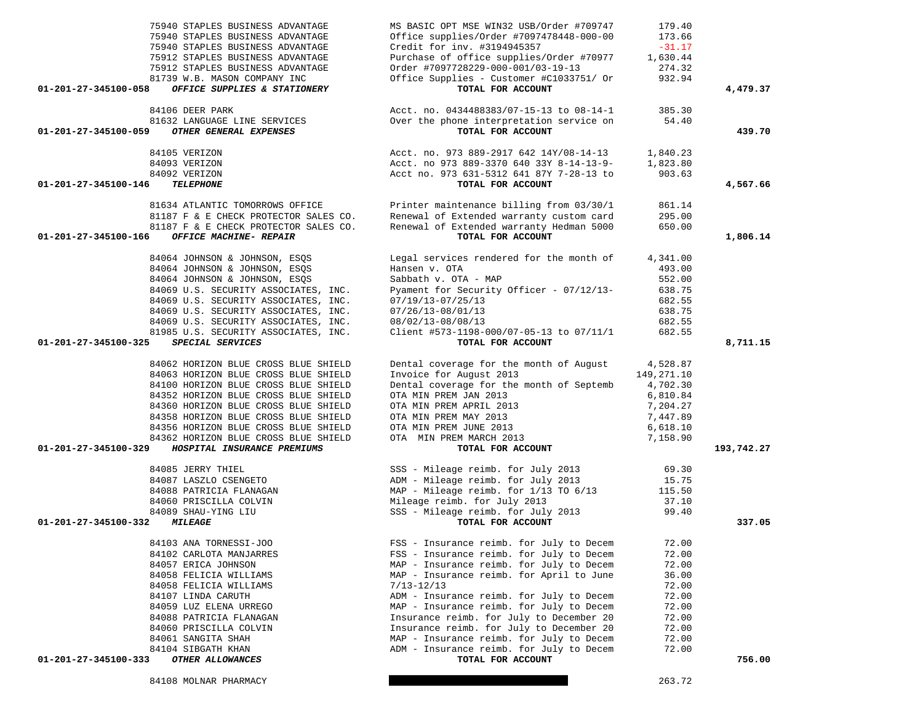|                      | 75940 STAPLES BUSINESS ADVANTAGE              | Office supplies/Order #7097478448-000-00                | 173.66     |            |
|----------------------|-----------------------------------------------|---------------------------------------------------------|------------|------------|
|                      | 75940 STAPLES BUSINESS ADVANTAGE              | Credit for inv. #3194945357                             | $-31.17$   |            |
|                      | 75912 STAPLES BUSINESS ADVANTAGE              | Purchase of office supplies/Order #70977                | 1,630.44   |            |
|                      | 75912 STAPLES BUSINESS ADVANTAGE              | Order #7097728229-000-001/03-19-13                      | 274.32     |            |
|                      | 81739 W.B. MASON COMPANY INC                  | Office Supplies - Customer #C1033751/ Or                | 932.94     |            |
| 01-201-27-345100-058 | OFFICE SUPPLIES & STATIONERY                  | TOTAL FOR ACCOUNT                                       |            | 4,479.37   |
|                      |                                               |                                                         |            |            |
|                      | 84106 DEER PARK                               | Acct. no. 0434488383/07-15-13 to 08-14-1                | 385.30     |            |
|                      | 81632 LANGUAGE LINE SERVICES                  | Over the phone interpretation service on                | 54.40      |            |
| 01-201-27-345100-059 | OTHER GENERAL EXPENSES                        | TOTAL FOR ACCOUNT                                       |            | 439.70     |
|                      | 84105 VERIZON                                 | Acct. no. 973 889-2917 642 14Y/08-14-13                 | 1,840.23   |            |
|                      | 84093 VERIZON                                 | Acct. no 973 889-3370 640 33Y 8-14-13-9-                | 1,823.80   |            |
|                      | 84092 VERIZON                                 | Acct no. 973 631-5312 641 87Y 7-28-13 to                | 903.63     |            |
| 01-201-27-345100-146 | <b>TELEPHONE</b>                              | TOTAL FOR ACCOUNT                                       |            | 4,567.66   |
|                      |                                               |                                                         |            |            |
|                      | 81634 ATLANTIC TOMORROWS OFFICE               | Printer maintenance billing from 03/30/1                | 861.14     |            |
|                      | 81187 F & E CHECK PROTECTOR SALES CO.         | Renewal of Extended warranty custom card                | 295.00     |            |
|                      | 81187 F & E CHECK PROTECTOR SALES CO.         | Renewal of Extended warranty Hedman 5000                | 650.00     |            |
| 01-201-27-345100-166 | OFFICE MACHINE- REPAIR                        | TOTAL FOR ACCOUNT                                       |            | 1,806.14   |
|                      |                                               |                                                         |            |            |
|                      | 84064 JOHNSON & JOHNSON, ESOS                 | Legal services rendered for the month of                | 4,341.00   |            |
|                      | 84064 JOHNSON & JOHNSON, ESQS                 | Hansen v. OTA                                           | 493.00     |            |
|                      | 84064 JOHNSON & JOHNSON, ESQS                 | Sabbath v. OTA - MAP                                    | 552.00     |            |
|                      | 84069 U.S. SECURITY ASSOCIATES, INC.          | Pyament for Security Officer - 07/12/13-                | 638.75     |            |
|                      | 84069 U.S. SECURITY ASSOCIATES, INC.          | $07/19/13 - 07/25/13$                                   | 682.55     |            |
|                      | 84069 U.S. SECURITY ASSOCIATES, INC.          | $07/26/13 - 08/01/13$                                   | 638.75     |            |
|                      | 84069 U.S. SECURITY ASSOCIATES, INC.          | 08/02/13-08/08/13                                       | 682.55     |            |
|                      | 81985 U.S. SECURITY ASSOCIATES, INC.          | Client #573-1198-000/07-05-13 to 07/11/1                | 682.55     |            |
| 01-201-27-345100-325 | SPECIAL SERVICES                              | TOTAL FOR ACCOUNT                                       |            | 8,711.15   |
|                      | 84062 HORIZON BLUE CROSS BLUE SHIELD          | Dental coverage for the month of August                 | 4,528.87   |            |
|                      | 84063 HORIZON BLUE CROSS BLUE SHIELD          | Invoice for August 2013                                 | 149,271.10 |            |
|                      | 84100 HORIZON BLUE CROSS BLUE SHIELD          | Dental coverage for the month of Septemb                | 4,702.30   |            |
|                      | 84352 HORIZON BLUE CROSS BLUE SHIELD          |                                                         |            |            |
|                      |                                               | OTA MIN PREM JAN 2013                                   | 6,810.84   |            |
|                      | 84360 HORIZON BLUE CROSS BLUE SHIELD          | OTA MIN PREM APRIL 2013                                 | 7,204.27   |            |
|                      | 84358 HORIZON BLUE CROSS BLUE SHIELD          | OTA MIN PREM MAY 2013                                   | 7,447.89   |            |
|                      | 84356 HORIZON BLUE CROSS BLUE SHIELD          | OTA MIN PREM JUNE 2013                                  | 6,618.10   |            |
|                      | 84362 HORIZON BLUE CROSS BLUE SHIELD          | OTA MIN PREM MARCH 2013                                 | 7,158.90   |            |
| 01-201-27-345100-329 | HOSPITAL INSURANCE PREMIUMS                   | TOTAL FOR ACCOUNT                                       |            | 193,742.27 |
|                      | 84085 JERRY THIEL                             | SSS - Mileage reimb. for July 2013                      | 69.30      |            |
|                      | 84087 LASZLO CSENGETO                         | ADM - Mileage reimb. for July 2013                      | 15.75      |            |
|                      | 84088 PATRICIA FLANAGAN                       | MAP - Mileage reimb. for 1/13 TO 6/13                   | 115.50     |            |
|                      |                                               |                                                         |            |            |
|                      |                                               | Mileage reimb. for July 2013                            | 37.10      |            |
|                      | 84060 PRISCILLA COLVIN<br>84089 SHAU-YING LIU |                                                         |            |            |
| 01-201-27-345100-332 | <i><b>MILEAGE</b></i>                         | SSS - Mileage reimb. for July 2013<br>TOTAL FOR ACCOUNT | 99.40      | 337.05     |
|                      |                                               |                                                         |            |            |
|                      | 84103 ANA TORNESSI-JOO                        | FSS - Insurance reimb. for July to Decem                | 72.00      |            |
|                      | 84102 CARLOTA MANJARRES                       | FSS - Insurance reimb. for July to Decem                | 72.00      |            |
|                      | 84057 ERICA JOHNSON                           | MAP - Insurance reimb. for July to Decem                | 72.00      |            |
|                      | 84058 FELICIA WILLIAMS                        | MAP - Insurance reimb. for April to June                | 36.00      |            |
|                      | 84058 FELICIA WILLIAMS                        | $7/13 - 12/13$                                          | 72.00      |            |
|                      | 84107 LINDA CARUTH                            | ADM - Insurance reimb. for July to Decem                | 72.00      |            |
|                      | 84059 LUZ ELENA URREGO                        | MAP - Insurance reimb. for July to Decem                | 72.00      |            |
|                      | 84088 PATRICIA FLANAGAN                       | Insurance reimb. for July to December 20                | 72.00      |            |
|                      | 84060 PRISCILLA COLVIN                        | Insurance reimb. for July to December 20                | 72.00      |            |
|                      | 84061 SANGITA SHAH                            | MAP - Insurance reimb. for July to Decem                | 72.00      |            |
|                      | 84104 SIBGATH KHAN                            | ADM - Insurance reimb. for July to Decem                | 72.00      |            |
| 01-201-27-345100-333 | OTHER ALLOWANCES                              | TOTAL FOR ACCOUNT                                       |            | 756.00     |

75940 STAPLES BUSINESS ADVANTAGE MS BASIC OPT MSE WIN32 USB/Order #709747 179.40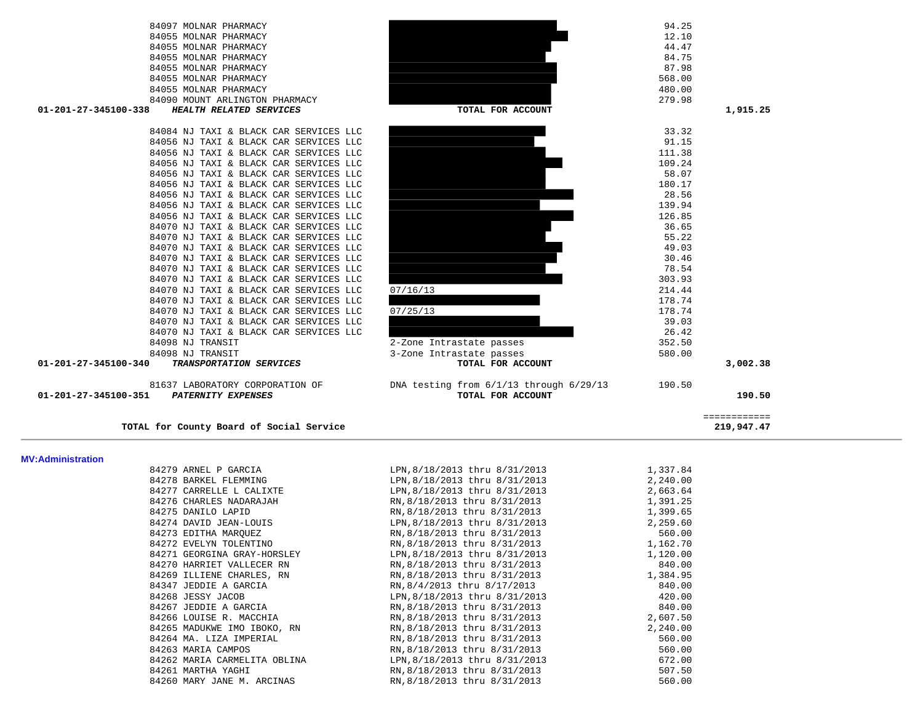| 84097 MOLNAR PHARMACY                             |                                             | 94.25  |          |
|---------------------------------------------------|---------------------------------------------|--------|----------|
| 84055 MOLNAR PHARMACY                             |                                             | 12.10  |          |
| 84055 MOLNAR PHARMACY                             |                                             | 44.47  |          |
| 84055 MOLNAR PHARMACY                             |                                             | 84.75  |          |
| 84055 MOLNAR PHARMACY                             |                                             | 87.98  |          |
| 84055 MOLNAR PHARMACY                             |                                             | 568.00 |          |
| 84055 MOLNAR PHARMACY                             |                                             | 480.00 |          |
| 84090 MOUNT ARLINGTON PHARMACY                    |                                             | 279.98 |          |
| HEALTH RELATED SERVICES<br>01-201-27-345100-338   | TOTAL FOR ACCOUNT                           |        | 1,915.25 |
| 84084 NJ TAXI & BLACK CAR SERVICES LLC            |                                             | 33.32  |          |
| 84056 NJ TAXI & BLACK CAR SERVICES LLC            |                                             | 91.15  |          |
| 84056 NJ TAXI & BLACK CAR SERVICES LLC            |                                             | 111.38 |          |
| 84056 NJ TAXI & BLACK CAR SERVICES LLC            |                                             | 109.24 |          |
| 84056 NJ TAXI & BLACK CAR SERVICES LLC            |                                             | 58.07  |          |
| 84056 NJ TAXI & BLACK CAR SERVICES LLC            |                                             | 180.17 |          |
| 84056 NJ TAXI & BLACK CAR SERVICES LLC            |                                             | 28.56  |          |
| 84056 NJ TAXI & BLACK CAR SERVICES LLC            |                                             | 139.94 |          |
| 84056 NJ TAXI & BLACK CAR SERVICES LLC            |                                             | 126.85 |          |
| 84070 NJ TAXI & BLACK CAR SERVICES LLC            |                                             | 36.65  |          |
| 84070 NJ TAXI & BLACK CAR SERVICES LLC            |                                             | 55.22  |          |
| 84070 NJ TAXI & BLACK CAR SERVICES LLC            |                                             | 49.03  |          |
| 84070 NJ TAXI & BLACK CAR SERVICES LLC            |                                             | 30.46  |          |
| 84070 NJ TAXI & BLACK CAR SERVICES LLC            |                                             | 78.54  |          |
| 84070 NJ TAXI & BLACK CAR SERVICES LLC            |                                             | 303.93 |          |
| 84070 NJ TAXI & BLACK CAR SERVICES LLC            | 07/16/13                                    | 214.44 |          |
| 84070 NJ TAXI & BLACK CAR SERVICES LLC            |                                             | 178.74 |          |
| 84070 NJ TAXI & BLACK CAR SERVICES LLC            | 07/25/13                                    | 178.74 |          |
| 84070 NJ TAXI & BLACK CAR SERVICES LLC            |                                             | 39.03  |          |
| 84070 NJ TAXI & BLACK CAR SERVICES LLC            |                                             | 26.42  |          |
| 84098 NJ TRANSIT                                  | 2-Zone Intrastate passes                    | 352.50 |          |
| 84098 NJ TRANSIT                                  | 3-Zone Intrastate passes                    | 580.00 |          |
| 01-201-27-345100-340<br>TRANSPORTATION SERVICES   | TOTAL FOR ACCOUNT                           |        | 3,002.38 |
| 81637 LABORATORY CORPORATION OF                   | DNA testing from $6/1/13$ through $6/29/13$ | 190.50 |          |
| 01-201-27-345100-351<br><b>PATERNITY EXPENSES</b> | TOTAL FOR ACCOUNT                           |        | 190.50   |
|                                                   |                                             |        |          |

219,947.47

 ============ TOTAL for County Board of Social Service

## **MV:Administration**

| MV:Administration |                              |                                     |          |
|-------------------|------------------------------|-------------------------------------|----------|
|                   | 84279 ARNEL P GARCIA         | LPN, 8/18/2013 thru 8/31/2013       | 1,337.84 |
|                   | 84278 BARKEL FLEMMING        | LPN, 8/18/2013 thru 8/31/2013       | 2,240.00 |
|                   | 84277 CARRELLE L CALIXTE     | LPN, 8/18/2013 thru 8/31/2013       | 2,663.64 |
|                   | 84276 CHARLES NADARAJAH      | RN, 8/18/2013 thru 8/31/2013        | 1,391.25 |
|                   | 84275 DANILO LAPID           | RN, 8/18/2013 thru 8/31/2013        | 1,399.65 |
|                   | 84274 DAVID JEAN-LOUIS       | LPN, 8/18/2013 thru 8/31/2013       | 2,259.60 |
|                   | 84273 EDITHA MAROUEZ         | RN, 8/18/2013 thru 8/31/2013        | 560.00   |
|                   | 84272 EVELYN TOLENTINO       | RN, 8/18/2013 thru 8/31/2013        | 1,162.70 |
|                   | 84271 GEORGINA GRAY-HORSLEY  | LPN, 8/18/2013 thru 8/31/2013       | 1,120.00 |
|                   | 84270 HARRIET VALLECER RN    | RN, 8/18/2013 thru 8/31/2013        | 840.00   |
|                   | 84269 ILLIENE CHARLES, RN    | RN, 8/18/2013 thru 8/31/2013        | 1,384.95 |
|                   | 84347 JEDDIE A GARCIA        | RN, 8/4/2013 thru 8/17/2013         | 840.00   |
|                   | 84268 JESSY JACOB            | LPN, 8/18/2013 thru 8/31/2013       | 420.00   |
|                   | 84267 JEDDIE A GARCIA        | RN, 8/18/2013 thru 8/31/2013 340.00 |          |
|                   | 84266 LOUISE R. MACCHIA      | RN, 8/18/2013 thru 8/31/2013        | 2,607.50 |
|                   | 84265 MADUKWE IMO IBOKO, RN  | RN,8/18/2013 thru 8/31/2013         | 2,240.00 |
|                   | 84264 MA. LIZA IMPERIAL      | RN, 8/18/2013 thru 8/31/2013        | 560.00   |
|                   | 84263 MARIA CAMPOS           | RN, 8/18/2013 thru 8/31/2013        | 560.00   |
|                   | 84262 MARIA CARMELITA OBLINA | LPN,8/18/2013 thru 8/31/2013        | 672.00   |
|                   | 84261 MARTHA YAGHI           | RN, 8/18/2013 thru 8/31/2013        | 507.50   |
|                   | 84260 MARY JANE M. ARCINAS   | RN, 8/18/2013 thru 8/31/2013        | 560.00   |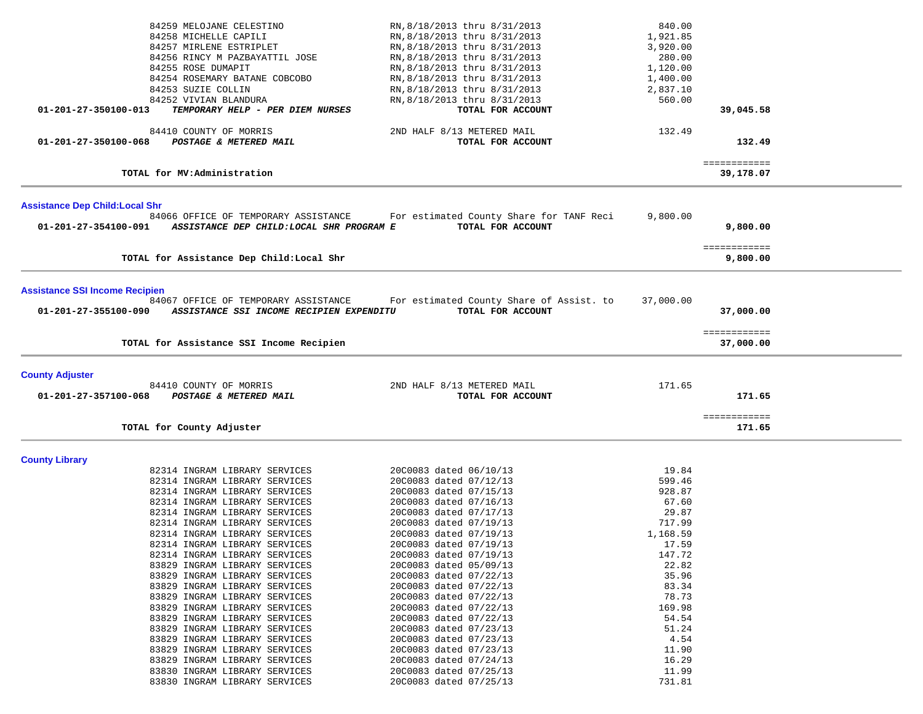|                                        |                                           | RN, 8/18/2013 thru 8/31/2013             | 840.00    |                           |  |
|----------------------------------------|-------------------------------------------|------------------------------------------|-----------|---------------------------|--|
|                                        | 84259 MELOJANE CELESTINO                  |                                          |           |                           |  |
|                                        | 84258 MICHELLE CAPILI                     | RN, 8/18/2013 thru 8/31/2013             | 1,921.85  |                           |  |
|                                        | 84257 MIRLENE ESTRIPLET                   | RN, 8/18/2013 thru 8/31/2013             | 3,920.00  |                           |  |
|                                        | 84256 RINCY M PAZBAYATTIL JOSE            | RN, 8/18/2013 thru 8/31/2013             | 280.00    |                           |  |
|                                        | 84255 ROSE DUMAPIT                        | RN, 8/18/2013 thru 8/31/2013             | 1,120.00  |                           |  |
|                                        | 84254 ROSEMARY BATANE COBCOBO             | RN, 8/18/2013 thru 8/31/2013             | 1,400.00  |                           |  |
|                                        | 84253 SUZIE COLLIN                        | RN, 8/18/2013 thru 8/31/2013             | 2,837.10  |                           |  |
|                                        | 84252 VIVIAN BLANDURA                     | RN, 8/18/2013 thru 8/31/2013             | 560.00    |                           |  |
| 01-201-27-350100-013                   | TEMPORARY HELP - PER DIEM NURSES          | TOTAL FOR ACCOUNT                        |           | 39,045.58                 |  |
|                                        |                                           |                                          |           |                           |  |
|                                        | 84410 COUNTY OF MORRIS                    | 2ND HALF 8/13 METERED MAIL               | 132.49    |                           |  |
| 01-201-27-350100-068                   | POSTAGE & METERED MAIL                    | TOTAL FOR ACCOUNT                        |           | 132.49                    |  |
|                                        |                                           |                                          |           |                           |  |
|                                        | TOTAL for MV:Administration               |                                          |           | ============<br>39,178.07 |  |
|                                        |                                           |                                          |           |                           |  |
|                                        |                                           |                                          |           |                           |  |
| <b>Assistance Dep Child: Local Shr</b> |                                           |                                          |           |                           |  |
|                                        | 84066 OFFICE OF TEMPORARY ASSISTANCE      | For estimated County Share for TANF Reci | 9,800.00  |                           |  |
| 01-201-27-354100-091                   | ASSISTANCE DEP CHILD: LOCAL SHR PROGRAM E | TOTAL FOR ACCOUNT                        |           | 9,800.00                  |  |
|                                        |                                           |                                          |           |                           |  |
|                                        |                                           |                                          |           | ============              |  |
|                                        | TOTAL for Assistance Dep Child: Local Shr |                                          |           | 9,800.00                  |  |
|                                        |                                           |                                          |           |                           |  |
| <b>Assistance SSI Income Recipien</b>  |                                           |                                          |           |                           |  |
|                                        | 84067 OFFICE OF TEMPORARY ASSISTANCE      | For estimated County Share of Assist. to | 37,000.00 |                           |  |
| 01-201-27-355100-090                   | ASSISTANCE SSI INCOME RECIPIEN EXPENDITU  | TOTAL FOR ACCOUNT                        |           | 37,000.00                 |  |
|                                        |                                           |                                          |           |                           |  |
|                                        |                                           |                                          |           | ============              |  |
|                                        | TOTAL for Assistance SSI Income Recipien  |                                          |           | 37,000.00                 |  |
|                                        |                                           |                                          |           |                           |  |
|                                        |                                           |                                          |           |                           |  |
| <b>County Adjuster</b>                 |                                           |                                          |           |                           |  |
|                                        | 84410 COUNTY OF MORRIS                    | 2ND HALF 8/13 METERED MAIL               | 171.65    |                           |  |
| 01-201-27-357100-068                   | POSTAGE & METERED MAIL                    | TOTAL FOR ACCOUNT                        |           | 171.65                    |  |
|                                        |                                           |                                          |           | ============              |  |
|                                        | TOTAL for County Adjuster                 |                                          |           | 171.65                    |  |
|                                        |                                           |                                          |           |                           |  |
|                                        |                                           |                                          |           |                           |  |
| <b>County Library</b>                  |                                           |                                          |           |                           |  |
|                                        | 82314 INGRAM LIBRARY SERVICES             | 20C0083 dated 06/10/13                   | 19.84     |                           |  |
|                                        | 82314 INGRAM LIBRARY SERVICES             | 20C0083 dated 07/12/13                   | 599.46    |                           |  |
|                                        | 82314 INGRAM LIBRARY SERVICES             | 20C0083 dated 07/15/13                   | 928.87    |                           |  |
|                                        | 82314 INGRAM LIBRARY SERVICES             | 20C0083 dated 07/16/13                   | 67.60     |                           |  |
|                                        | 82314 INGRAM LIBRARY SERVICES             | 20C0083 dated 07/17/13                   | 29.87     |                           |  |
|                                        | 82314 INGRAM LIBRARY SERVICES             | 20C0083 dated 07/19/13                   | 717.99    |                           |  |
|                                        | 82314 INGRAM LIBRARY SERVICES             | 20C0083 dated 07/19/13                   | 1,168.59  |                           |  |
|                                        | 82314 INGRAM LIBRARY SERVICES             | 20C0083 dated 07/19/13                   | 17.59     |                           |  |
|                                        | 82314 INGRAM LIBRARY SERVICES             | 20C0083 dated 07/19/13                   | 147.72    |                           |  |
|                                        | 83829 INGRAM LIBRARY SERVICES             | 20C0083 dated 05/09/13                   | 22.82     |                           |  |
|                                        | 83829 INGRAM LIBRARY SERVICES             | 20C0083 dated 07/22/13                   | 35.96     |                           |  |
|                                        | 83829 INGRAM LIBRARY SERVICES             | 20C0083 dated 07/22/13                   | 83.34     |                           |  |
|                                        | 83829 INGRAM LIBRARY SERVICES             | 20C0083 dated 07/22/13                   | 78.73     |                           |  |
|                                        | 83829 INGRAM LIBRARY SERVICES             | 20C0083 dated 07/22/13                   | 169.98    |                           |  |
|                                        | 83829 INGRAM LIBRARY SERVICES             | 20C0083 dated 07/22/13                   | 54.54     |                           |  |
|                                        | 83829 INGRAM LIBRARY SERVICES             | 20C0083 dated 07/23/13                   | 51.24     |                           |  |
|                                        | 83829 INGRAM LIBRARY SERVICES             | 20C0083 dated 07/23/13                   | 4.54      |                           |  |
|                                        | 83829 INGRAM LIBRARY SERVICES             | 20C0083 dated 07/23/13                   | 11.90     |                           |  |
|                                        | 83829 INGRAM LIBRARY SERVICES             | 20C0083 dated 07/24/13                   | 16.29     |                           |  |
|                                        | 83830 INGRAM LIBRARY SERVICES             | 20C0083 dated 07/25/13                   | 11.99     |                           |  |
|                                        | 83830 INGRAM LIBRARY SERVICES             | 20C0083 dated 07/25/13                   | 731.81    |                           |  |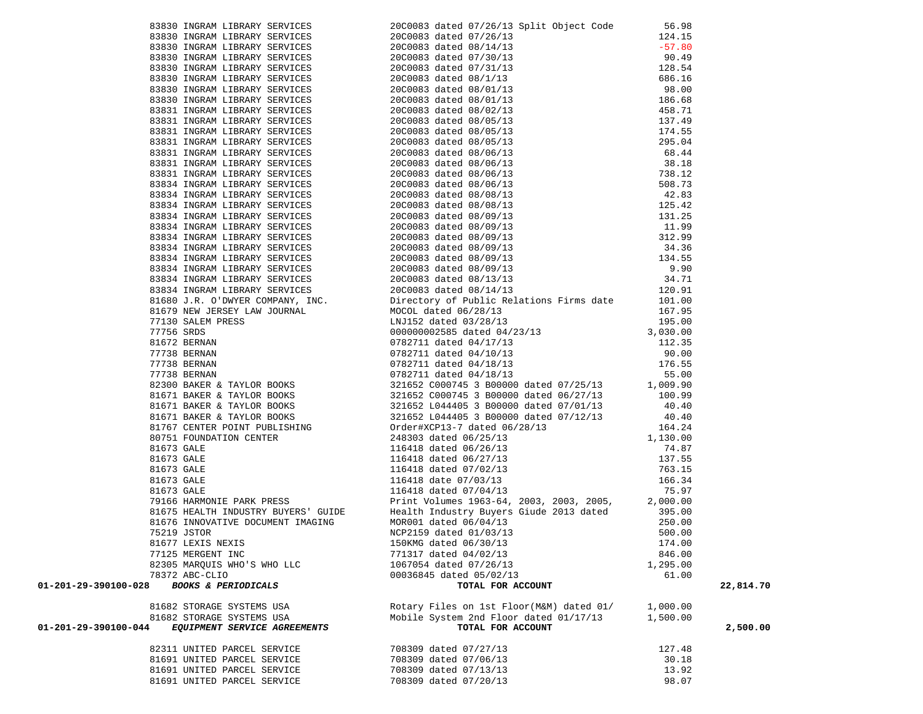|                                                        | ехна телеви клеаки лениону (1970) 2000 14 defi 17/24/13 april 00.000 14 defi 17/24/13 april 1970 14 defi 17/24/13 april 1970 14 defi 17/24/13 april 1970 14 defi 17/24/13 april 1970 14 defi 17/24/13 april 1970 14 defi 17/ |          |           |
|--------------------------------------------------------|------------------------------------------------------------------------------------------------------------------------------------------------------------------------------------------------------------------------------|----------|-----------|
|                                                        |                                                                                                                                                                                                                              |          |           |
|                                                        |                                                                                                                                                                                                                              |          |           |
|                                                        |                                                                                                                                                                                                                              |          |           |
|                                                        |                                                                                                                                                                                                                              |          |           |
|                                                        |                                                                                                                                                                                                                              | 174.00   |           |
| 81677 LEXIS NEXIS                                      | 150KMG dated 06/30/13                                                                                                                                                                                                        |          |           |
| 77125 MERGENT INC                                      | 771317 dated 04/02/13                                                                                                                                                                                                        | 846.00   |           |
| 82305 MARQUIS WHO'S WHO LLC                            | 1067054 dated 07/26/13                                                                                                                                                                                                       | 1,295.00 |           |
| 78372 ABC-CLIO                                         | 00036845 dated 05/02/13                                                                                                                                                                                                      | 61.00    |           |
| <b>BOOKS &amp; PERIODICALS</b><br>01-201-29-390100-028 | TOTAL FOR ACCOUNT                                                                                                                                                                                                            |          | 22,814.70 |
| 81682 STORAGE SYSTEMS USA                              | Rotary Files on 1st Floor(M&M) dated 01/                                                                                                                                                                                     | 1,000.00 |           |
| 81682 STORAGE SYSTEMS USA                              | Mobile System 2nd Floor dated 01/17/13                                                                                                                                                                                       | 1,500.00 |           |
| EQUIPMENT SERVICE AGREEMENTS<br>01-201-29-390100-044   | TOTAL FOR ACCOUNT                                                                                                                                                                                                            |          | 2,500.00  |
|                                                        |                                                                                                                                                                                                                              |          |           |
| 82311 UNITED PARCEL SERVICE                            | 708309 dated 07/27/13                                                                                                                                                                                                        | 127.48   |           |
| 81691 UNITED PARCEL SERVICE                            | 708309 dated 07/06/13                                                                                                                                                                                                        | 30.18    |           |
| 81691 UNITED PARCEL SERVICE                            | 708309 dated 07/13/13                                                                                                                                                                                                        | 13.92    |           |

81691 UNITED PARCEL SERVICE 708309 dated 07/20/13 98.07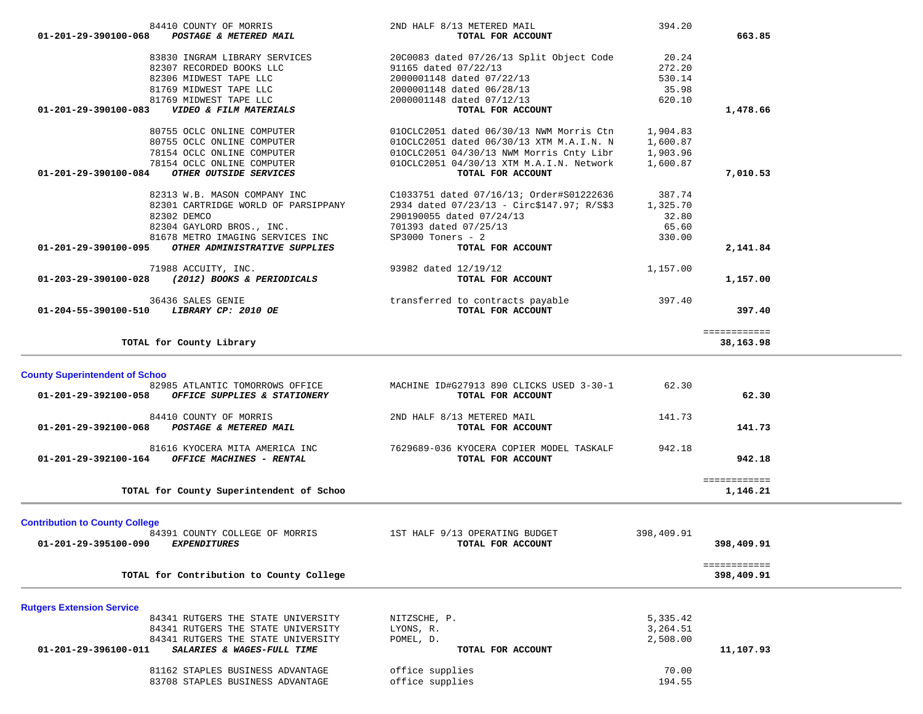| 84410 COUNTY OF MORRIS                                                                                   | 2ND HALF 8/13 METERED MAIL                 | 394.20          |              |  |
|----------------------------------------------------------------------------------------------------------|--------------------------------------------|-----------------|--------------|--|
| POSTAGE & METERED MAIL<br>01-201-29-390100-068                                                           | TOTAL FOR ACCOUNT                          |                 | 663.85       |  |
|                                                                                                          |                                            |                 |              |  |
|                                                                                                          |                                            |                 |              |  |
| 83830 INGRAM LIBRARY SERVICES                                                                            | 20C0083 dated 07/26/13 Split Object Code   | 20.24           |              |  |
| 82307 RECORDED BOOKS LLC                                                                                 | 91165 dated 07/22/13                       | 272.20          |              |  |
| 82306 MIDWEST TAPE LLC                                                                                   | 2000001148 dated 07/22/13                  | 530.14          |              |  |
| 81769 MIDWEST TAPE LLC                                                                                   | 2000001148 dated 06/28/13                  | 35.98           |              |  |
| 81769 MIDWEST TAPE LLC                                                                                   | 2000001148 dated 07/12/13                  | 620.10          |              |  |
| 01-201-29-390100-083<br>VIDEO & FILM MATERIALS                                                           | TOTAL FOR ACCOUNT                          |                 | 1,478.66     |  |
|                                                                                                          |                                            |                 |              |  |
|                                                                                                          |                                            |                 |              |  |
| 80755 OCLC ONLINE COMPUTER                                                                               | 010CLC2051 dated 06/30/13 NWM Morris Ctn   | 1,904.83        |              |  |
| 80755 OCLC ONLINE COMPUTER                                                                               | 010CLC2051 dated 06/30/13 XTM M.A.I.N. N   | 1,600.87        |              |  |
| 78154 OCLC ONLINE COMPUTER                                                                               | 010CLC2051 04/30/13 NWM Morris Cnty Libr   | 1,903.96        |              |  |
| 78154 OCLC ONLINE COMPUTER                                                                               | 010CLC2051 04/30/13 XTM M.A.I.N. Network   | 1,600.87        |              |  |
| OTHER OUTSIDE SERVICES<br>01-201-29-390100-084                                                           | TOTAL FOR ACCOUNT                          |                 | 7,010.53     |  |
|                                                                                                          |                                            |                 |              |  |
| 82313 W.B. MASON COMPANY INC                                                                             | C1033751 dated 07/16/13; Order#S01222636   | 387.74          |              |  |
| 82301 CARTRIDGE WORLD OF PARSIPPANY                                                                      | 2934 dated 07/23/13 - Circ\$147.97; R/S\$3 | 1,325.70        |              |  |
|                                                                                                          |                                            |                 |              |  |
| 82302 DEMCO                                                                                              | 290190055 dated 07/24/13                   | 32.80           |              |  |
| 82304 GAYLORD BROS., INC.                                                                                | 701393 dated 07/25/13                      | 65.60           |              |  |
| 81678 METRO IMAGING SERVICES INC                                                                         | $SP3000$ Toners - 2                        | 330.00          |              |  |
| OTHER ADMINISTRATIVE SUPPLIES<br>01-201-29-390100-095                                                    | TOTAL FOR ACCOUNT                          |                 | 2,141.84     |  |
|                                                                                                          |                                            |                 |              |  |
| 71988 ACCUITY, INC.                                                                                      | 93982 dated 12/19/12                       | 1,157.00        |              |  |
| 01-203-29-390100-028 (2012) BOOKS & PERIODICALS                                                          | TOTAL FOR ACCOUNT                          |                 | 1,157.00     |  |
|                                                                                                          |                                            |                 |              |  |
|                                                                                                          |                                            |                 |              |  |
| 36436 SALES GENIE                                                                                        | transferred to contracts payable           | 397.40          |              |  |
| <i>LIBRARY CP: 2010 OE</i><br>01-204-55-390100-510                                                       | TOTAL FOR ACCOUNT                          |                 | 397.40       |  |
|                                                                                                          |                                            |                 |              |  |
|                                                                                                          |                                            |                 | ============ |  |
| TOTAL for County Library                                                                                 |                                            |                 | 38,163.98    |  |
|                                                                                                          |                                            |                 |              |  |
|                                                                                                          |                                            |                 |              |  |
|                                                                                                          |                                            |                 |              |  |
| 82985 ATLANTIC TOMORROWS OFFICE                                                                          | MACHINE ID#G27913 890 CLICKS USED 3-30-1   | 62.30           |              |  |
| 01-201-29-392100-058<br>OFFICE SUPPLIES & STATIONERY                                                     | TOTAL FOR ACCOUNT                          |                 | 62.30        |  |
|                                                                                                          |                                            |                 |              |  |
| 84410 COUNTY OF MORRIS                                                                                   | 2ND HALF 8/13 METERED MAIL                 | 141.73          |              |  |
|                                                                                                          |                                            |                 |              |  |
| 01-201-29-392100-068 POSTAGE & METERED MAIL                                                              | TOTAL FOR ACCOUNT                          |                 | 141.73       |  |
|                                                                                                          |                                            |                 |              |  |
| 81616 KYOCERA MITA AMERICA INC                                                                           | 7629689-036 KYOCERA COPIER MODEL TASKALF   | 942.18          |              |  |
| OFFICE MACHINES - RENTAL<br>01-201-29-392100-164                                                         | TOTAL FOR ACCOUNT                          |                 | 942.18       |  |
|                                                                                                          |                                            |                 |              |  |
|                                                                                                          |                                            |                 | ============ |  |
| <b>County Superintendent of Schoo</b><br>TOTAL for County Superintendent of Schoo                        |                                            |                 | 1,146.21     |  |
|                                                                                                          |                                            |                 |              |  |
|                                                                                                          |                                            |                 |              |  |
| 84391 COUNTY COLLEGE OF MORRIS                                                                           | 1ST HALF 9/13 OPERATING BUDGET             | 398,409.91      |              |  |
| 01-201-29-395100-090<br><i><b>EXPENDITURES</b></i>                                                       | TOTAL FOR ACCOUNT                          |                 | 398,409.91   |  |
| <b>Contribution to County College</b>                                                                    |                                            |                 |              |  |
|                                                                                                          |                                            |                 | ============ |  |
|                                                                                                          |                                            |                 |              |  |
| TOTAL for Contribution to County College                                                                 |                                            |                 | 398,409.91   |  |
|                                                                                                          |                                            |                 |              |  |
|                                                                                                          |                                            |                 |              |  |
| 84341 RUTGERS THE STATE UNIVERSITY                                                                       | NITZSCHE, P.                               | 5,335.42        |              |  |
| 84341 RUTGERS THE STATE UNIVERSITY                                                                       | LYONS, R.                                  | 3,264.51        |              |  |
|                                                                                                          |                                            |                 |              |  |
| 84341 RUTGERS THE STATE UNIVERSITY                                                                       | POMEL, D.                                  | 2,508.00        |              |  |
| 01-201-29-396100-011<br>SALARIES & WAGES-FULL TIME                                                       | TOTAL FOR ACCOUNT                          |                 | 11,107.93    |  |
|                                                                                                          |                                            |                 |              |  |
| <b>Rutgers Extension Service</b><br>81162 STAPLES BUSINESS ADVANTAGE<br>83708 STAPLES BUSINESS ADVANTAGE | office supplies<br>office supplies         | 70.00<br>194.55 |              |  |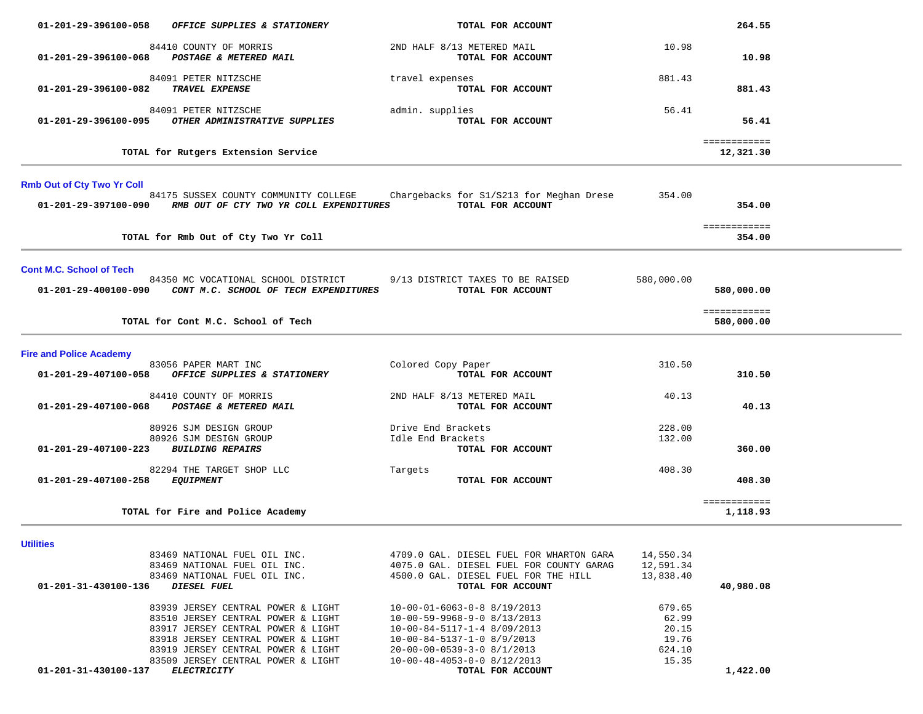| 84410 COUNTY OF MORRIS<br>01-201-29-396100-068<br>POSTAGE & METERED MAIL                                                                                                                                                                                                       | 2ND HALF 8/13 METERED MAIL<br>TOTAL FOR ACCOUNT                                                                                                                                                                                       | 10.98                                                | 10.98                                    |  |
|--------------------------------------------------------------------------------------------------------------------------------------------------------------------------------------------------------------------------------------------------------------------------------|---------------------------------------------------------------------------------------------------------------------------------------------------------------------------------------------------------------------------------------|------------------------------------------------------|------------------------------------------|--|
| 84091 PETER NITZSCHE<br>TRAVEL EXPENSE<br>01-201-29-396100-082                                                                                                                                                                                                                 | travel expenses<br>TOTAL FOR ACCOUNT                                                                                                                                                                                                  | 881.43                                               | 881.43                                   |  |
| 84091 PETER NITZSCHE<br>OTHER ADMINISTRATIVE SUPPLIES<br>01-201-29-396100-095                                                                                                                                                                                                  | admin. supplies<br>TOTAL FOR ACCOUNT                                                                                                                                                                                                  | 56.41                                                | 56.41                                    |  |
| TOTAL for Rutgers Extension Service                                                                                                                                                                                                                                            |                                                                                                                                                                                                                                       |                                                      | ============<br>12,321.30                |  |
| <b>Rmb Out of Cty Two Yr Coll</b><br>84175 SUSSEX COUNTY COMMUNITY COLLEGE<br>RMB OUT OF CTY TWO YR COLL EXPENDITURES<br>01-201-29-397100-090                                                                                                                                  | Chargebacks for S1/S213 for Meghan Drese<br>TOTAL FOR ACCOUNT                                                                                                                                                                         | 354.00                                               | 354.00                                   |  |
| TOTAL for Rmb Out of Cty Two Yr Coll                                                                                                                                                                                                                                           |                                                                                                                                                                                                                                       |                                                      | ============<br>354.00                   |  |
| <b>Cont M.C. School of Tech</b><br>84350 MC VOCATIONAL SCHOOL DISTRICT<br>01-201-29-400100-090 CONT M.C. SCHOOL OF TECH EXPENDITURES<br>TOTAL for Cont M.C. School of Tech                                                                                                     | 9/13 DISTRICT TAXES TO BE RAISED<br>TOTAL FOR ACCOUNT                                                                                                                                                                                 | 580,000.00                                           | 580,000.00<br>============<br>580,000.00 |  |
| <b>Fire and Police Academy</b>                                                                                                                                                                                                                                                 |                                                                                                                                                                                                                                       |                                                      |                                          |  |
| 83056 PAPER MART INC<br>01-201-29-407100-058<br>OFFICE SUPPLIES & STATIONERY                                                                                                                                                                                                   | Colored Copy Paper<br>TOTAL FOR ACCOUNT                                                                                                                                                                                               | 310.50                                               | 310.50                                   |  |
| 84410 COUNTY OF MORRIS<br>POSTAGE & METERED MAIL<br>01-201-29-407100-068                                                                                                                                                                                                       | 2ND HALF 8/13 METERED MAIL<br>TOTAL FOR ACCOUNT                                                                                                                                                                                       | 40.13                                                | 40.13                                    |  |
| 80926 SJM DESIGN GROUP<br>80926 SJM DESIGN GROUP<br>01-201-29-407100-223<br><b>BUILDING REPAIRS</b>                                                                                                                                                                            | Drive End Brackets<br>Idle End Brackets<br>TOTAL FOR ACCOUNT                                                                                                                                                                          | 228.00<br>132.00                                     | 360.00                                   |  |
| 82294 THE TARGET SHOP LLC<br>01-201-29-407100-258<br><i>EQUIPMENT</i>                                                                                                                                                                                                          | Targets<br>TOTAL FOR ACCOUNT                                                                                                                                                                                                          | 408.30                                               | 408.30                                   |  |
| TOTAL for Fire and Police Academy                                                                                                                                                                                                                                              |                                                                                                                                                                                                                                       |                                                      | ============<br>1,118.93                 |  |
| Utilities<br>83469 NATIONAL FUEL OIL INC.<br>83469 NATIONAL FUEL OIL INC.<br>83469 NATIONAL FUEL OIL INC.<br>01-201-31-430100-136 DIESEL FUEL                                                                                                                                  | 4709.0 GAL. DIESEL FUEL FOR WHARTON GARA<br>4075.0 GAL. DIESEL FUEL FOR COUNTY GARAG<br>4500.0 GAL. DIESEL FUEL FOR THE HILL<br>TOTAL FOR ACCOUNT                                                                                     | 14,550.34<br>12,591.34<br>13,838.40                  | 40,980.08                                |  |
| 83939 JERSEY CENTRAL POWER & LIGHT<br>83510 JERSEY CENTRAL POWER & LIGHT<br>83917 JERSEY CENTRAL POWER & LIGHT<br>83918 JERSEY CENTRAL POWER & LIGHT<br>83919 JERSEY CENTRAL POWER & LIGHT<br>83509 JERSEY CENTRAL POWER & LIGHT<br>01-201-31-430100-137<br><b>ELECTRICITY</b> | $10 - 00 - 01 - 6063 - 0 - 88/19/2013$<br>$10-00-59-9968-9-0$ 8/13/2013<br>10-00-84-5117-1-4 8/09/2013<br>$10-00-84-5137-1-0$ 8/9/2013<br>$20 - 00 - 00 - 0539 - 3 - 08/1/2013$<br>$10-00-48-4053-0-0$ 8/12/2013<br>TOTAL FOR ACCOUNT | 679.65<br>62.99<br>20.15<br>19.76<br>624.10<br>15.35 | 1,422.00                                 |  |

264.55

01-201-29-396100-058 OFFICE SUPPLIES & STATIONERY *TOTAL FOR ACCOUNT*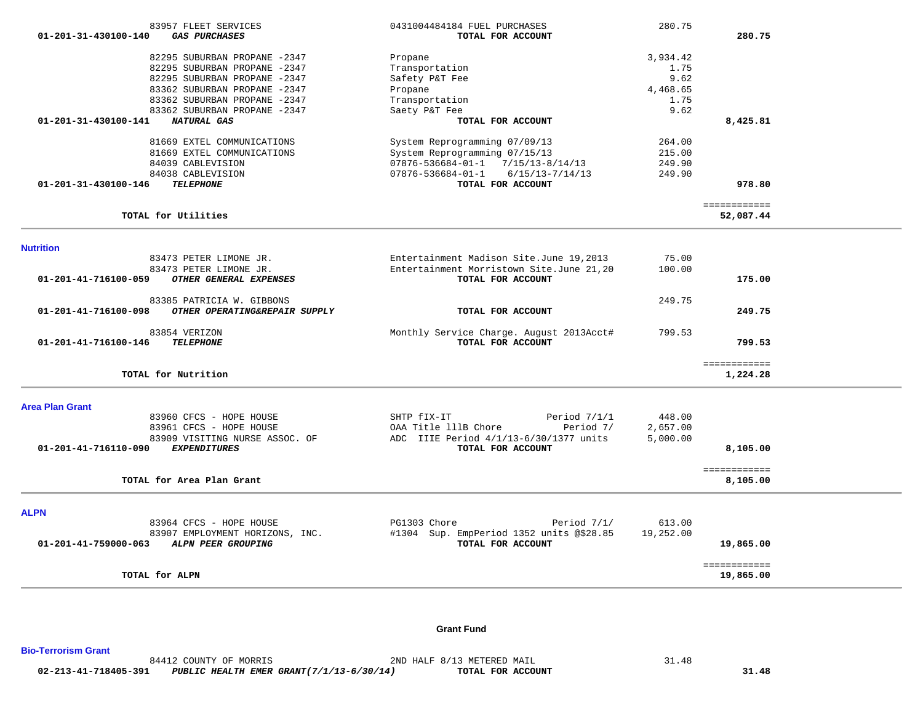| 83957 FLEET SERVICES                                   | 0431004484184 FUEL PURCHASES                  | 280.75    |                          |  |
|--------------------------------------------------------|-----------------------------------------------|-----------|--------------------------|--|
| $01 - 201 - 31 - 430100 - 140$<br><b>GAS PURCHASES</b> | TOTAL FOR ACCOUNT                             |           | 280.75                   |  |
|                                                        |                                               |           |                          |  |
| 82295 SUBURBAN PROPANE -2347                           | Propane                                       | 3,934.42  |                          |  |
| 82295 SUBURBAN PROPANE -2347                           | Transportation                                | 1.75      |                          |  |
| 82295 SUBURBAN PROPANE -2347                           | Safety P&T Fee                                | 9.62      |                          |  |
| 83362 SUBURBAN PROPANE -2347                           | Propane                                       | 4,468.65  |                          |  |
| 83362 SUBURBAN PROPANE -2347                           | Transportation                                | 1.75      |                          |  |
| 83362 SUBURBAN PROPANE -2347                           | Saety P&T Fee                                 | 9.62      |                          |  |
| 01-201-31-430100-141<br>NATURAL GAS                    | TOTAL FOR ACCOUNT                             |           | 8,425.81                 |  |
| 81669 EXTEL COMMUNICATIONS                             | System Reprogramming 07/09/13                 | 264.00    |                          |  |
| 81669 EXTEL COMMUNICATIONS                             | System Reprogramming 07/15/13                 | 215.00    |                          |  |
| 84039 CABLEVISION                                      | $07876 - 536684 - 01 - 1$ $7/15/13 - 8/14/13$ | 249.90    |                          |  |
| 84038 CABLEVISION                                      | 07876-536684-01-1<br>$6/15/13 - 7/14/13$      | 249.90    |                          |  |
| 01-201-31-430100-146<br><b>TELEPHONE</b>               | TOTAL FOR ACCOUNT                             |           | 978.80                   |  |
|                                                        |                                               |           |                          |  |
|                                                        |                                               |           | ============             |  |
| TOTAL for Utilities                                    |                                               |           | 52,087.44                |  |
|                                                        |                                               |           |                          |  |
| <b>Nutrition</b>                                       |                                               |           |                          |  |
| 83473 PETER LIMONE JR.                                 | Entertainment Madison Site.June 19,2013       | 75.00     |                          |  |
| 83473 PETER LIMONE JR.                                 | Entertainment Morristown Site.June 21,20      | 100.00    |                          |  |
| OTHER GENERAL EXPENSES<br>01-201-41-716100-059         | TOTAL FOR ACCOUNT                             |           | 175.00                   |  |
| 83385 PATRICIA W. GIBBONS                              |                                               | 249.75    |                          |  |
| 01-201-41-716100-098<br>OTHER OPERATING&REPAIR SUPPLY  | TOTAL FOR ACCOUNT                             |           | 249.75                   |  |
| 83854 VERIZON                                          | Monthly Service Charge. August 2013Acct#      | 799.53    |                          |  |
| <b>TELEPHONE</b><br>01-201-41-716100-146               | TOTAL FOR ACCOUNT                             |           | 799.53                   |  |
|                                                        |                                               |           |                          |  |
|                                                        |                                               |           | ============             |  |
| TOTAL for Nutrition                                    |                                               |           | 1,224.28                 |  |
| <b>Area Plan Grant</b>                                 |                                               |           |                          |  |
| 83960 CFCS - HOPE HOUSE                                | SHTP fIX-IT<br>Period $7/1/1$                 | 448.00    |                          |  |
| 83961 CFCS - HOPE HOUSE                                | OAA Title 111B Chore<br>Period 7/             | 2,657.00  |                          |  |
| 83909 VISITING NURSE ASSOC. OF                         | ADC IIIE Period 4/1/13-6/30/1377 units        | 5,000.00  |                          |  |
| <b>EXPENDITURES</b><br>01-201-41-716110-090            | TOTAL FOR ACCOUNT                             |           | 8,105.00                 |  |
|                                                        |                                               |           |                          |  |
| TOTAL for Area Plan Grant                              |                                               |           | ============<br>8,105.00 |  |
|                                                        |                                               |           |                          |  |
| <b>ALPN</b>                                            |                                               |           |                          |  |
| 83964 CFCS - HOPE HOUSE                                | PG1303 Chore<br>Period $7/1/$                 | 613.00    |                          |  |
| 83907 EMPLOYMENT HORIZONS, INC.                        | #1304 Sup. EmpPeriod 1352 units @\$28.85      | 19,252.00 |                          |  |
| 01-201-41-759000-063<br>ALPN PEER GROUPING             | TOTAL FOR ACCOUNT                             |           | 19,865.00                |  |
|                                                        |                                               |           |                          |  |
|                                                        |                                               |           | ============             |  |
| TOTAL for ALPN                                         |                                               |           | 19,865.00                |  |
|                                                        |                                               |           |                          |  |

#### **Grant Fund**

**Bio-Terrorism Grant**  84412 COUNTY OF MORRIS 6 2ND HALF 8/13 METERED MAIL 31.48  **02-213-41-718405-391** *PUBLIC HEALTH EMER GRANT(7/1/13-6/30/14)* **TOTAL FOR ACCOUNT 31.48**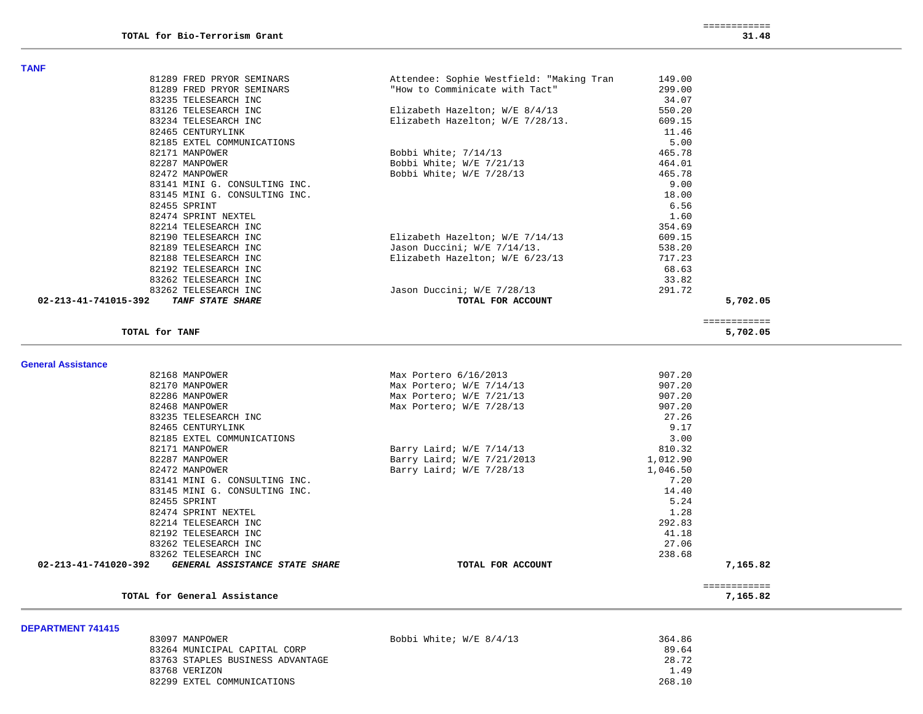82474 SPRINT NEXTEL

82214 TELESEARCH INC 82192 TELESEARCH INC

83262 TELESEARCH INC

TOTAL for General Assistance

1.28

292.83

41.18

238.68

| 81289 FRED PRYOR SEMINARS                       | Attendee: Sophie Westfield: "Making Tran | 149.00   |                          |  |
|-------------------------------------------------|------------------------------------------|----------|--------------------------|--|
| 81289 FRED PRYOR SEMINARS                       | "How to Comminicate with Tact"           | 299.00   |                          |  |
| 83235 TELESEARCH INC                            |                                          | 34.07    |                          |  |
| 83126 TELESEARCH INC                            | Elizabeth Hazelton; W/E 8/4/13           | 550.20   |                          |  |
| 83234 TELESEARCH INC                            | Elizabeth Hazelton; W/E 7/28/13.         | 609.15   |                          |  |
| 82465 CENTURYLINK                               |                                          | 11.46    |                          |  |
| 82185 EXTEL COMMUNICATIONS                      |                                          | 5.00     |                          |  |
| 82171 MANPOWER                                  | Bobbi White; 7/14/13                     | 465.78   |                          |  |
| 82287 MANPOWER                                  | Bobbi White; $W/E$ 7/21/13               | 464.01   |                          |  |
| 82472 MANPOWER                                  | Bobbi White; W/E 7/28/13                 | 465.78   |                          |  |
| 83141 MINI G. CONSULTING INC.                   |                                          | 9.00     |                          |  |
| 83145 MINI G. CONSULTING INC.                   |                                          | 18.00    |                          |  |
| 82455 SPRINT                                    |                                          | 6.56     |                          |  |
| 82474 SPRINT NEXTEL                             |                                          | 1.60     |                          |  |
| 82214 TELESEARCH INC                            |                                          | 354.69   |                          |  |
| 82190 TELESEARCH INC                            | Elizabeth Hazelton; W/E 7/14/13          | 609.15   |                          |  |
| 82189 TELESEARCH INC                            | Jason Duccini; W/E 7/14/13.              | 538.20   |                          |  |
| 82188 TELESEARCH INC                            | Elizabeth Hazelton; W/E 6/23/13          | 717.23   |                          |  |
| 82192 TELESEARCH INC                            |                                          | 68.63    |                          |  |
| 83262 TELESEARCH INC                            |                                          | 33.82    |                          |  |
| 83262 TELESEARCH INC                            | Jason Duccini; W/E 7/28/13               | 291.72   |                          |  |
| 02-213-41-741015-392<br><b>TANF STATE SHARE</b> | TOTAL FOR ACCOUNT                        |          | 5,702.05                 |  |
| TOTAL for TANF                                  |                                          |          | ============<br>5,702.05 |  |
|                                                 |                                          |          |                          |  |
| <b>General Assistance</b>                       |                                          |          |                          |  |
| 82168 MANPOWER                                  | Max Portero 6/16/2013                    | 907.20   |                          |  |
| 82170 MANPOWER                                  | Max Portero; W/E 7/14/13                 | 907.20   |                          |  |
| 82286 MANPOWER                                  | Max Portero; W/E 7/21/13                 | 907.20   |                          |  |
| 82468 MANPOWER                                  | Max Portero; W/E 7/28/13                 | 907.20   |                          |  |
| 83235 TELESEARCH INC                            |                                          | 27.26    |                          |  |
| 82465 CENTURYLINK                               |                                          | 9.17     |                          |  |
| 82185 EXTEL COMMUNICATIONS                      |                                          | 3.00     |                          |  |
| 82171 MANPOWER                                  | Barry Laird; W/E 7/14/13                 | 810.32   |                          |  |
| 82287 MANPOWER                                  | Barry Laird; W/E 7/21/2013               | 1,012.90 |                          |  |
| 82472 MANPOWER                                  | Barry Laird; W/E 7/28/13                 | 1,046.50 |                          |  |
| 83141 MINI G. CONSULTING INC.                   |                                          | 7.20     |                          |  |
| 83145 MINI G. CONSULTING INC.                   |                                          | 14.40    |                          |  |

**DEPARTMENT 741415** 

**TANF** 

| 83097 MANPOWER                   | Bobbi White; W/E 8/4/13 | 364.86 |
|----------------------------------|-------------------------|--------|
| 83264 MUNICIPAL CAPITAL CORP     |                         | 89.64  |
| 83763 STAPLES BUSINESS ADVANTAGE |                         | 28.72  |
| 83768 VERIZON                    |                         | 1.49   |
| 82299 EXTEL COMMUNICATIONS       |                         | 268.10 |

 **02-213-41-741020-392** *GENERAL ASSISTANCE STATE SHARE* **TOTAL FOR ACCOUNT 7,165.82**

============

82455 SPRINT 5.24

83262 TELESEARCH INC 27.06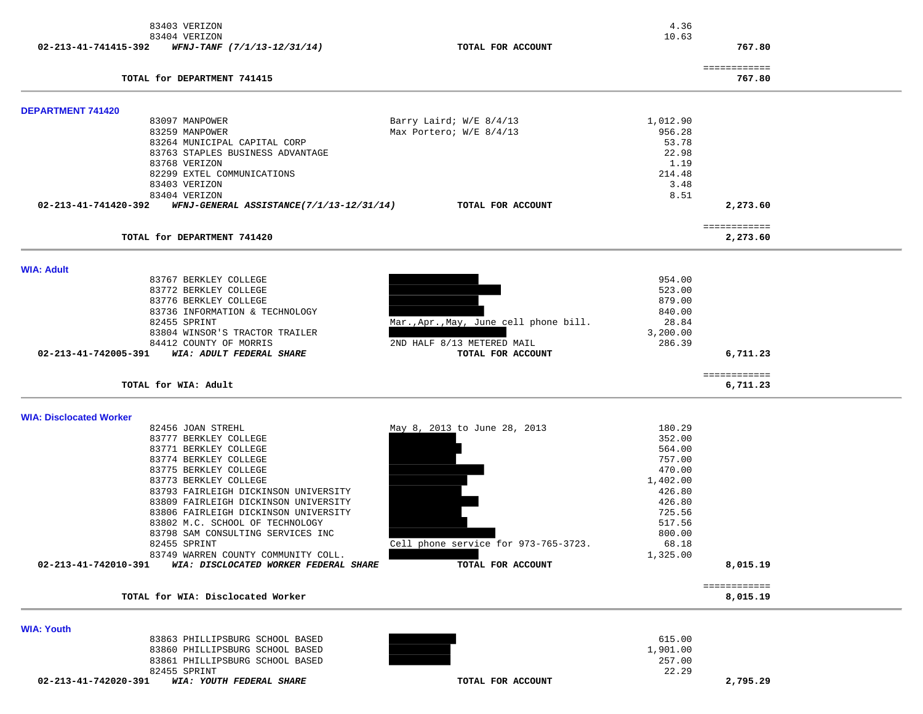|                                | 83403 VERIZON                                                 |                                        | 4.36               |                          |  |
|--------------------------------|---------------------------------------------------------------|----------------------------------------|--------------------|--------------------------|--|
| 02-213-41-741415-392           | 83404 VERIZON<br>WFNJ-TANF (7/1/13-12/31/14)                  | TOTAL FOR ACCOUNT                      | 10.63              | 767.80                   |  |
|                                | TOTAL for DEPARTMENT 741415                                   |                                        |                    | ============<br>767.80   |  |
|                                |                                                               |                                        |                    |                          |  |
| <b>DEPARTMENT 741420</b>       | 83097 MANPOWER                                                | Barry Laird; W/E 8/4/13                | 1,012.90           |                          |  |
|                                | 83259 MANPOWER                                                | Max Portero; W/E 8/4/13                | 956.28             |                          |  |
|                                | 83264 MUNICIPAL CAPITAL CORP                                  |                                        | 53.78              |                          |  |
|                                | 83763 STAPLES BUSINESS ADVANTAGE                              |                                        | 22.98              |                          |  |
|                                | 83768 VERIZON<br>82299 EXTEL COMMUNICATIONS                   |                                        | 1.19<br>214.48     |                          |  |
|                                | 83403 VERIZON                                                 |                                        | 3.48               |                          |  |
|                                | 83404 VERIZON                                                 |                                        | 8.51               |                          |  |
| 02-213-41-741420-392           | WFNJ-GENERAL ASSISTANCE(7/1/13-12/31/14)                      | TOTAL FOR ACCOUNT                      |                    | 2,273.60                 |  |
|                                | TOTAL for DEPARTMENT 741420                                   |                                        |                    | ============<br>2,273.60 |  |
|                                |                                                               |                                        |                    |                          |  |
| <b>WIA: Adult</b>              | 83767 BERKLEY COLLEGE                                         |                                        | 954.00             |                          |  |
|                                | 83772 BERKLEY COLLEGE                                         |                                        | 523.00             |                          |  |
|                                | 83776 BERKLEY COLLEGE                                         |                                        | 879.00             |                          |  |
|                                | 83736 INFORMATION & TECHNOLOGY                                |                                        | 840.00             |                          |  |
|                                | 82455 SPRINT<br>83804 WINSOR'S TRACTOR TRAILER                | Mar., Apr., May, June cell phone bill. | 28.84<br>3,200.00  |                          |  |
|                                | 84412 COUNTY OF MORRIS                                        | 2ND HALF 8/13 METERED MAIL             | 286.39             |                          |  |
| 02-213-41-742005-391           | WIA: ADULT FEDERAL SHARE                                      | TOTAL FOR ACCOUNT                      |                    | 6,711.23                 |  |
|                                | TOTAL for WIA: Adult                                          |                                        |                    | ============<br>6,711.23 |  |
|                                |                                                               |                                        |                    |                          |  |
| <b>WIA: Disclocated Worker</b> | 82456 JOAN STREHL                                             | May 8, 2013 to June 28, 2013           | 180.29             |                          |  |
|                                | 83777 BERKLEY COLLEGE                                         |                                        | 352.00             |                          |  |
|                                | 83771 BERKLEY COLLEGE                                         |                                        | 564.00             |                          |  |
|                                | 83774 BERKLEY COLLEGE                                         |                                        | 757.00             |                          |  |
|                                | 83775 BERKLEY COLLEGE                                         |                                        | 470.00             |                          |  |
|                                | 83773 BERKLEY COLLEGE<br>83793 FAIRLEIGH DICKINSON UNIVERSITY |                                        | 1,402.00<br>426.80 |                          |  |
|                                | 83809 FAIRLEIGH DICKINSON UNIVERSITY                          |                                        | 426.80             |                          |  |
|                                | 83806 FAIRLEIGH DICKINSON UNIVERSITY                          |                                        | 725.56             |                          |  |
|                                | 83802 M.C. SCHOOL OF TECHNOLOGY                               |                                        | 517.56             |                          |  |
|                                | 83798 SAM CONSULTING SERVICES INC<br>82455 SPRINT             | Cell phone service for 973-765-3723.   | 800.00<br>68.18    |                          |  |
|                                | 83749 WARREN COUNTY COMMUNITY COLL.                           |                                        | 1,325.00           |                          |  |
| 02-213-41-742010-391           | WIA: DISCLOCATED WORKER FEDERAL SHARE                         | TOTAL FOR ACCOUNT                      |                    | 8,015.19                 |  |
|                                | TOTAL for WIA: Disclocated Worker                             |                                        |                    | ============<br>8,015.19 |  |
|                                |                                                               |                                        |                    |                          |  |
| <b>WIA: Youth</b>              | 83863 PHILLIPSBURG SCHOOL BASED                               |                                        | 615.00             |                          |  |
|                                | 83860 PHILLIPSBURG SCHOOL BASED                               |                                        | 1,901.00           |                          |  |
|                                | 83861 PHILLIPSBURG SCHOOL BASED                               |                                        | 257.00             |                          |  |
|                                | 82455 SPRINT                                                  |                                        | 22.29              |                          |  |
| 02-213-41-742020-391           | WIA: YOUTH FEDERAL SHARE                                      | TOTAL FOR ACCOUNT                      |                    | 2,795.29                 |  |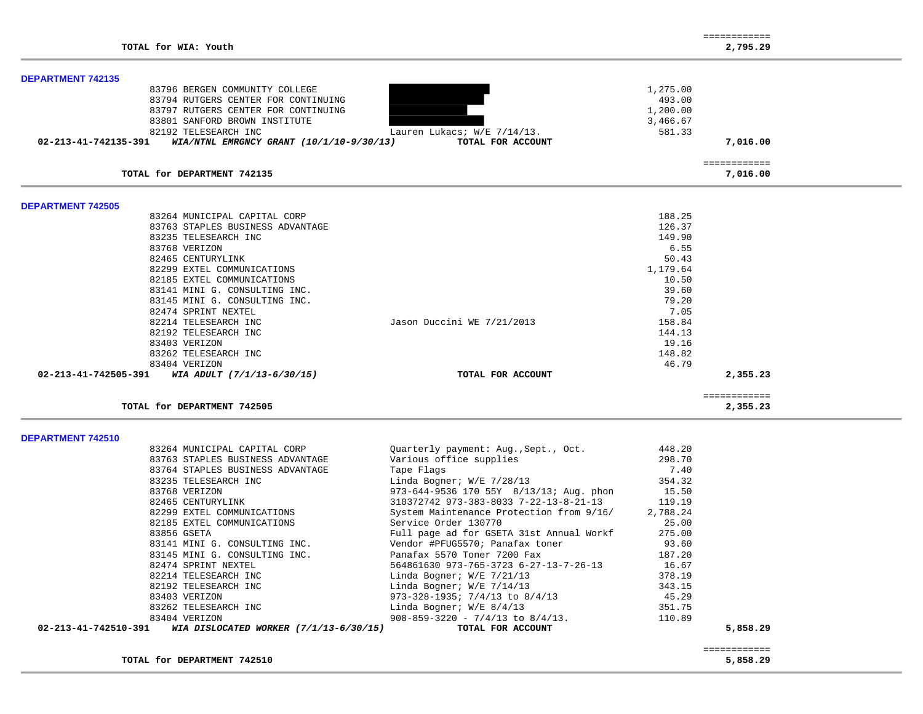|                          |                                          |                                         |          | ============ |
|--------------------------|------------------------------------------|-----------------------------------------|----------|--------------|
|                          | TOTAL for WIA: Youth                     |                                         |          | 2,795.29     |
| <b>DEPARTMENT 742135</b> |                                          |                                         |          |              |
|                          | 83796 BERGEN COMMUNITY COLLEGE           |                                         | 1,275.00 |              |
|                          | 83794 RUTGERS CENTER FOR CONTINUING      |                                         | 493.00   |              |
|                          | 83797 RUTGERS CENTER FOR CONTINUING      |                                         | 1,200.00 |              |
|                          | 83801 SANFORD BROWN INSTITUTE            |                                         | 3,466.67 |              |
|                          | 82192 TELESEARCH INC                     | Lauren Lukacs; W/E 7/14/13.             | 581.33   |              |
| 02-213-41-742135-391     | WIA/NTNL EMRGNCY GRANT (10/1/10-9/30/13) | TOTAL FOR ACCOUNT                       |          | 7,016.00     |
|                          |                                          |                                         |          |              |
|                          |                                          |                                         |          | ============ |
|                          | TOTAL for DEPARTMENT 742135              |                                         |          | 7,016.00     |
| <b>DEPARTMENT 742505</b> |                                          |                                         |          |              |
|                          | 83264 MUNICIPAL CAPITAL CORP             |                                         | 188.25   |              |
|                          | 83763 STAPLES BUSINESS ADVANTAGE         |                                         | 126.37   |              |
|                          | 83235 TELESEARCH INC                     |                                         | 149.90   |              |
|                          | 83768 VERIZON                            |                                         | 6.55     |              |
|                          | 82465 CENTURYLINK                        |                                         | 50.43    |              |
|                          | 82299 EXTEL COMMUNICATIONS               |                                         | 1,179.64 |              |
|                          | 82185 EXTEL COMMUNICATIONS               |                                         | 10.50    |              |
|                          | 83141 MINI G. CONSULTING INC.            |                                         | 39.60    |              |
|                          | 83145 MINI G. CONSULTING INC.            |                                         | 79.20    |              |
|                          | 82474 SPRINT NEXTEL                      |                                         | 7.05     |              |
|                          | 82214 TELESEARCH INC                     | Jason Duccini WE 7/21/2013              | 158.84   |              |
|                          | 82192 TELESEARCH INC                     |                                         | 144.13   |              |
|                          | 83403 VERIZON                            |                                         | 19.16    |              |
|                          | 83262 TELESEARCH INC                     |                                         | 148.82   |              |
|                          | 83404 VERIZON                            |                                         | 46.79    |              |
| 02-213-41-742505-391     | WIA ADULT (7/1/13-6/30/15)               | TOTAL FOR ACCOUNT                       |          | 2,355.23     |
|                          |                                          |                                         |          | ============ |
|                          | TOTAL for DEPARTMENT 742505              |                                         |          | 2,355.23     |
|                          |                                          |                                         |          |              |
| DEPARTMENT 742510        | 83264 MUNICIPAL CAPITAL CORP             | Quarterly payment: Aug., Sept., Oct.    | 448.20   |              |
|                          | 83763 STAPLES BUSINESS ADVANTAGE         | Various office supplies                 | 298.70   |              |
|                          |                                          |                                         |          |              |
|                          | 83764 STAPLES BUSINESS ADVANTAGE         | Tape Flags                              | 7.40     |              |
|                          | 83235 TELESEARCH INC                     | Linda Bogner; W/E 7/28/13               | 354.32   |              |
|                          | 83768 VERIZON                            | 973-644-9536 170 55Y 8/13/13; Aug. phon | 15.50    |              |

| 83404 VERIZON<br>02-213-41-742510-391 WIA DISLOCATED WORKER (7/1/13-6/30/15) | $908 - 859 - 3220 - 7/4/13$ to $8/4/13$ .<br>TOTAL FOR ACCOUNT | 110.89   | 5,858.29 |
|------------------------------------------------------------------------------|----------------------------------------------------------------|----------|----------|
| 83262 TELESEARCH INC                                                         | Linda Bogner; $W/E$ 8/4/13                                     | 351.75   |          |
| 83403 VERIZON                                                                | 973-328-1935; $7/4/13$ to 8/4/13                               | 45.29    |          |
| 82192 TELESEARCH INC                                                         | Linda Bogner; W/E 7/14/13                                      | 343.15   |          |
| 82214 TELESEARCH INC                                                         | Linda Bogner; W/E 7/21/13                                      | 378.19   |          |
| 82474 SPRINT NEXTEL                                                          | 564861630 973-765-3723 6-27-13-7-26-13                         | 16.67    |          |
| 83145 MINI G. CONSULTING INC.                                                | Panafax 5570 Toner 7200 Fax                                    | 187.20   |          |
| 83141 MINI G. CONSULTING INC.                                                | Vendor #PFUG5570; Panafax toner                                | 93.60    |          |
| 83856 GSETA                                                                  | Full page ad for GSETA 31st Annual Workf                       | 275.00   |          |
| 82185 EXTEL COMMUNICATIONS                                                   | Service Order 130770                                           | 25.00    |          |
| 82299 EXTEL COMMUNICATIONS                                                   | System Maintenance Protection from 9/16/                       | 2,788.24 |          |
| 82465 CENTURYLINK                                                            | $310372742$ 973-383-8033 7-22-13-8-21-13 119.19                |          |          |
| 83768 VERIZON                                                                | 973-644-9536 170 55Y 8/13/13; Aug. phon                        | 15.50    |          |
| OJAJJ IBBBBARCH INC                                                          | Lillud BoyHer, W/B //20/15                                     | 25.54    |          |

TOTAL for DEPARTMENT 742510

============

============<br>5,858.29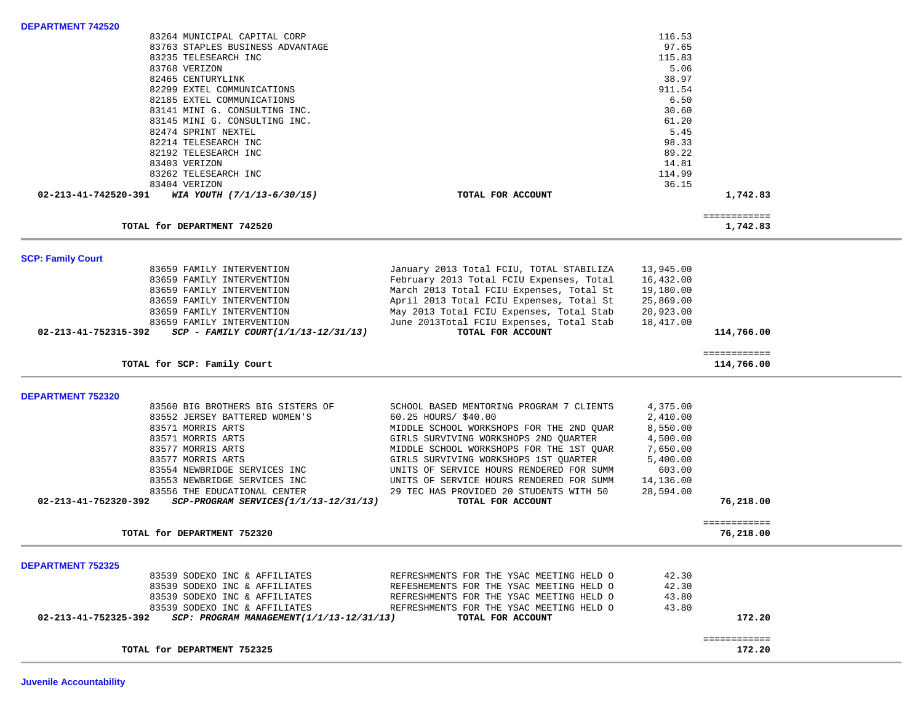| 83145 MINI G. CONSULTING INC.                                                       |                                                                  | 61.20                |                           |  |
|-------------------------------------------------------------------------------------|------------------------------------------------------------------|----------------------|---------------------------|--|
| 82474 SPRINT NEXTEL                                                                 |                                                                  | 5.45                 |                           |  |
| 82214 TELESEARCH INC                                                                |                                                                  | 98.33                |                           |  |
| 82192 TELESEARCH INC                                                                |                                                                  | 89.22                |                           |  |
| 83403 VERIZON                                                                       |                                                                  | 14.81                |                           |  |
| 83262 TELESEARCH INC                                                                |                                                                  | 114.99               |                           |  |
| 83404 VERIZON                                                                       |                                                                  | 36.15                |                           |  |
| 02-213-41-742520-391 WIA YOUTH (7/1/13-6/30/15)                                     | TOTAL FOR ACCOUNT                                                |                      | 1,742.83                  |  |
| TOTAL for DEPARTMENT 742520                                                         |                                                                  |                      | ============<br>1,742.83  |  |
| <b>SCP: Family Court</b>                                                            |                                                                  |                      |                           |  |
| 83659 FAMILY INTERVENTION                                                           | January 2013 Total FCIU, TOTAL STABILIZA                         | 13,945.00            |                           |  |
| 83659 FAMILY INTERVENTION                                                           | February 2013 Total FCIU Expenses, Total                         | 16,432.00            |                           |  |
| 83659 FAMILY INTERVENTION                                                           | March 2013 Total FCIU Expenses, Total St                         | 19,180.00            |                           |  |
| 83659 FAMILY INTERVENTION                                                           | April 2013 Total FCIU Expenses, Total St                         | 25,869.00            |                           |  |
| 83659 FAMILY INTERVENTION                                                           | May 2013 Total FCIU Expenses, Total Stab                         | 20,923.00            |                           |  |
| 83659 FAMILY INTERVENTION                                                           | June 2013Total FCIU Expenses, Total Stab                         | 18,417.00            |                           |  |
| $02 - 213 - 41 - 752315 - 392$ SCP - FAMILY COURT(1/1/13-12/31/13)                  | TOTAL FOR ACCOUNT                                                |                      | 114,766.00                |  |
|                                                                                     |                                                                  |                      | ============              |  |
| TOTAL for SCP: Family Court                                                         |                                                                  |                      | 114,766.00                |  |
|                                                                                     |                                                                  |                      |                           |  |
|                                                                                     |                                                                  |                      |                           |  |
|                                                                                     |                                                                  |                      |                           |  |
| 83560 BIG BROTHERS BIG SISTERS OF                                                   | SCHOOL BASED MENTORING PROGRAM 7 CLIENTS                         | 4,375.00<br>2,410.00 |                           |  |
| 83552 JERSEY BATTERED WOMEN'S<br>83571 MORRIS ARTS                                  | 60.25 HOURS/ \$40.00<br>MIDDLE SCHOOL WORKSHOPS FOR THE 2ND OUAR | 8,550.00             |                           |  |
| 83571 MORRIS ARTS                                                                   | GIRLS SURVIVING WORKSHOPS 2ND QUARTER                            | 4,500.00             |                           |  |
| 83577 MORRIS ARTS                                                                   | MIDDLE SCHOOL WORKSHOPS FOR THE 1ST QUAR                         | 7,650.00             |                           |  |
| 83577 MORRIS ARTS                                                                   | GIRLS SURVIVING WORKSHOPS 1ST QUARTER                            | 5,400.00             |                           |  |
| 83554 NEWBRIDGE SERVICES INC                                                        | UNITS OF SERVICE HOURS RENDERED FOR SUMM                         | 603.00               |                           |  |
| 83553 NEWBRIDGE SERVICES INC                                                        | UNITS OF SERVICE HOURS RENDERED FOR SUMM                         | 14,136.00            |                           |  |
| 83556 THE EDUCATIONAL CENTER                                                        | 29 TEC HAS PROVIDED 20 STUDENTS WITH 50                          | 28,594.00            |                           |  |
| 02-213-41-752320-392<br>SCP-PROGRAM SERVICES(1/1/13-12/31/13)                       | TOTAL FOR ACCOUNT                                                |                      | 76,218.00                 |  |
| TOTAL for DEPARTMENT 752320                                                         |                                                                  |                      | ============<br>76,218.00 |  |
|                                                                                     |                                                                  |                      |                           |  |
| 83539 SODEXO INC & AFFILIATES                                                       | REFRESHMENTS FOR THE YSAC MEETING HELD O                         | 42.30                |                           |  |
| 83539 SODEXO INC & AFFILIATES                                                       | REFESHEMENTS FOR THE YSAC MEETING HELD O                         | 42.30                |                           |  |
| 83539 SODEXO INC & AFFILIATES                                                       | REFRESHMENTS FOR THE YSAC MEETING HELD O                         | 43.80                |                           |  |
| 83539 SODEXO INC & AFFILIATES                                                       | REFRESHMENTS FOR THE YSAC MEETING HELD O                         | 43.80                |                           |  |
| SCP: PROGRAM MANAGEMENT(1/1/13-12/31/13)<br>02-213-41-752325-392                    | TOTAL FOR ACCOUNT                                                |                      | 172.20                    |  |
| <b>DEPARTMENT 752320</b><br><b>DEPARTMENT 752325</b><br>TOTAL for DEPARTMENT 752325 |                                                                  |                      | ============<br>172.20    |  |

83264 MUNICIPAL CAPITAL CORP 116.53

97.65

5.06

38.97

911.54

 $6.50$ <br> $30.60$ 

115.83

**Juvenile Accountability** 

**DEPARTMENT 742520** 

83763 STAPLES BUSINESS ADVANTAGE

83235 TELESEARCH INC

82299 EXTEL COMMUNICATIONS

82185 EXTEL COMMUNICATIONS

83141 MINI G. CONSULTING INC.

82465 CENTURYLINK

83768 VERIZON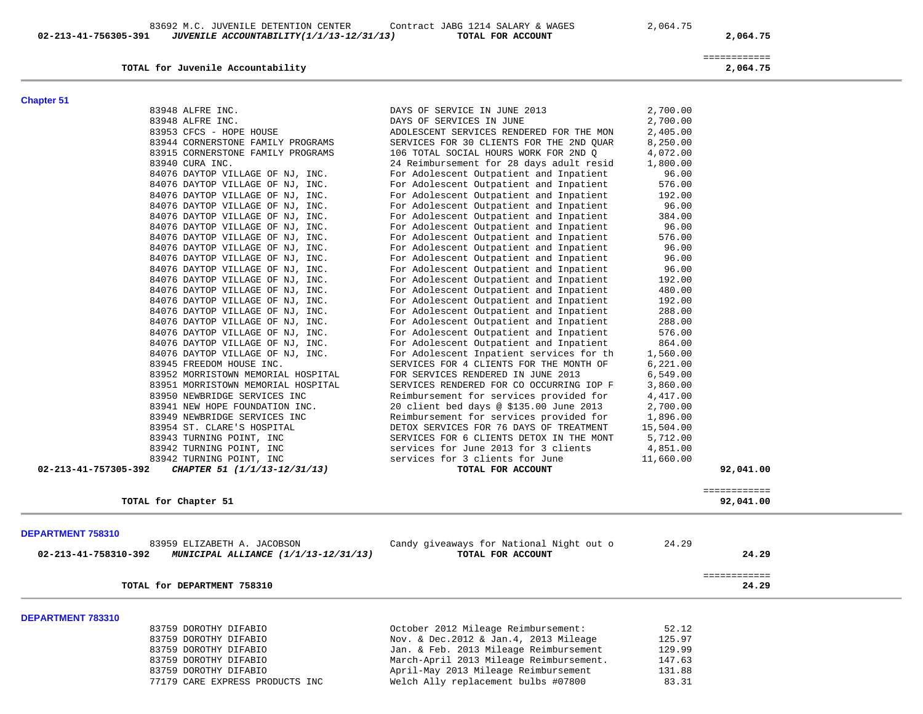83692 M.C. JUVENILE DETENTION CENTER Contract JABG 1214 SALARY & WAGES 2,064.75  **02-213-41-756305-391** *JUVENILE ACCOUNTABILITY(1/1/13-12/31/13)* **TOTAL FOR ACCOUNT 2,064.75**

**TOTAL for Juvenile Accountability 2,064.75**

TOTAL for DEPARTMENT 758310

 ============ 2,064.75

24.29

# **Chapter 51**

| <b>Chapter 51</b>    |                                    |                                          |           |              |
|----------------------|------------------------------------|------------------------------------------|-----------|--------------|
|                      | 83948 ALFRE INC.                   | DAYS OF SERVICE IN JUNE 2013             | 2,700.00  |              |
|                      | 83948 ALFRE INC.                   | DAYS OF SERVICES IN JUNE                 | 2,700.00  |              |
|                      | 83953 CFCS - HOPE HOUSE            | ADOLESCENT SERVICES RENDERED FOR THE MON | 2,405.00  |              |
|                      | 83944 CORNERSTONE FAMILY PROGRAMS  | SERVICES FOR 30 CLIENTS FOR THE 2ND QUAR | 8,250.00  |              |
|                      | 83915 CORNERSTONE FAMILY PROGRAMS  | 106 TOTAL SOCIAL HOURS WORK FOR 2ND Q    | 4,072.00  |              |
|                      | 83940 CURA INC.                    | 24 Reimbursement for 28 days adult resid | 1,800.00  |              |
|                      | 84076 DAYTOP VILLAGE OF NJ, INC.   | For Adolescent Outpatient and Inpatient  | 96.00     |              |
|                      | 84076 DAYTOP VILLAGE OF NJ, INC.   | For Adolescent Outpatient and Inpatient  | 576.00    |              |
|                      | 84076 DAYTOP VILLAGE OF NJ, INC.   | For Adolescent Outpatient and Inpatient  | 192.00    |              |
|                      | 84076 DAYTOP VILLAGE OF NJ, INC.   | For Adolescent Outpatient and Inpatient  | 96.00     |              |
|                      | 84076 DAYTOP VILLAGE OF NJ, INC.   | For Adolescent Outpatient and Inpatient  | 384.00    |              |
|                      | 84076 DAYTOP VILLAGE OF NJ, INC.   | For Adolescent Outpatient and Inpatient  | 96.00     |              |
|                      | 84076 DAYTOP VILLAGE OF NJ, INC.   | For Adolescent Outpatient and Inpatient  | 576.00    |              |
|                      | 84076 DAYTOP VILLAGE OF NJ, INC.   | For Adolescent Outpatient and Inpatient  | 96.00     |              |
|                      | 84076 DAYTOP VILLAGE OF NJ, INC.   | For Adolescent Outpatient and Inpatient  | 96.00     |              |
|                      | 84076 DAYTOP VILLAGE OF NJ, INC.   | For Adolescent Outpatient and Inpatient  | 96.00     |              |
|                      | 84076 DAYTOP VILLAGE OF NJ, INC.   | For Adolescent Outpatient and Inpatient  | 192.00    |              |
|                      | 84076 DAYTOP VILLAGE OF NJ, INC.   | For Adolescent Outpatient and Inpatient  | 480.00    |              |
|                      | 84076 DAYTOP VILLAGE OF NJ, INC.   | For Adolescent Outpatient and Inpatient  | 192.00    |              |
|                      | 84076 DAYTOP VILLAGE OF NJ, INC.   | For Adolescent Outpatient and Inpatient  | 288.00    |              |
|                      | 84076 DAYTOP VILLAGE OF NJ, INC.   | For Adolescent Outpatient and Inpatient  | 288.00    |              |
|                      | 84076 DAYTOP VILLAGE OF NJ, INC.   | For Adolescent Outpatient and Inpatient  | 576.00    |              |
|                      | 84076 DAYTOP VILLAGE OF NJ, INC.   | For Adolescent Outpatient and Inpatient  | 864.00    |              |
|                      | 84076 DAYTOP VILLAGE OF NJ, INC.   | For Adolescent Inpatient services for th | 1,560.00  |              |
|                      | 83945 FREEDOM HOUSE INC.           | SERVICES FOR 4 CLIENTS FOR THE MONTH OF  | 6,221.00  |              |
|                      | 83952 MORRISTOWN MEMORIAL HOSPITAL | FOR SERVICES RENDERED IN JUNE 2013       | 6,549.00  |              |
|                      | 83951 MORRISTOWN MEMORIAL HOSPITAL | SERVICES RENDERED FOR CO OCCURRING IOP F | 3,860.00  |              |
|                      | 83950 NEWBRIDGE SERVICES INC       | Reimbursement for services provided for  | 4,417.00  |              |
|                      | 83941 NEW HOPE FOUNDATION INC.     | 20 client bed days @ \$135.00 June 2013  | 2,700.00  |              |
|                      | 83949 NEWBRIDGE SERVICES INC       | Reimbursement for services provided for  | 1,896.00  |              |
|                      | 83954 ST. CLARE'S HOSPITAL         | DETOX SERVICES FOR 76 DAYS OF TREATMENT  | 15,504.00 |              |
|                      | 83943 TURNING POINT, INC           | SERVICES FOR 6 CLIENTS DETOX IN THE MONT | 5,712.00  |              |
|                      | 83942 TURNING POINT, INC           | services for June 2013 for 3 clients     | 4,851.00  |              |
|                      | 83942 TURNING POINT, INC           | services for 3 clients for June          | 11,660.00 |              |
| 02-213-41-757305-392 | CHAPTER 51 (1/1/13-12/31/13)       | TOTAL FOR ACCOUNT                        |           | 92,041.00    |
|                      |                                    |                                          |           | ============ |
|                      | TOTAL for Chapter 51               |                                          |           | 92,041.00    |

## **DEPARTMENT 783310**

| 83759 DOROTHY DIFABIO           | October 2012 Mileage Reimbursement:     | 52.12  |
|---------------------------------|-----------------------------------------|--------|
| 83759 DOROTHY DIFABIO           | Nov. & Dec.2012 & Jan.4, 2013 Mileage   | 125.97 |
| 83759 DOROTHY DIFABIO           | Jan. & Feb. 2013 Mileage Reimbursement  | 129.99 |
| 83759 DOROTHY DIFABIO           | March-April 2013 Mileage Reimbursement. | 147.63 |
| 83759 DOROTHY DIFABIO           | April-May 2013 Mileage Reimbursement    | 131.88 |
| 77179 CARE EXPRESS PRODUCTS INC | Welch Ally replacement bulbs #07800     | 83.31  |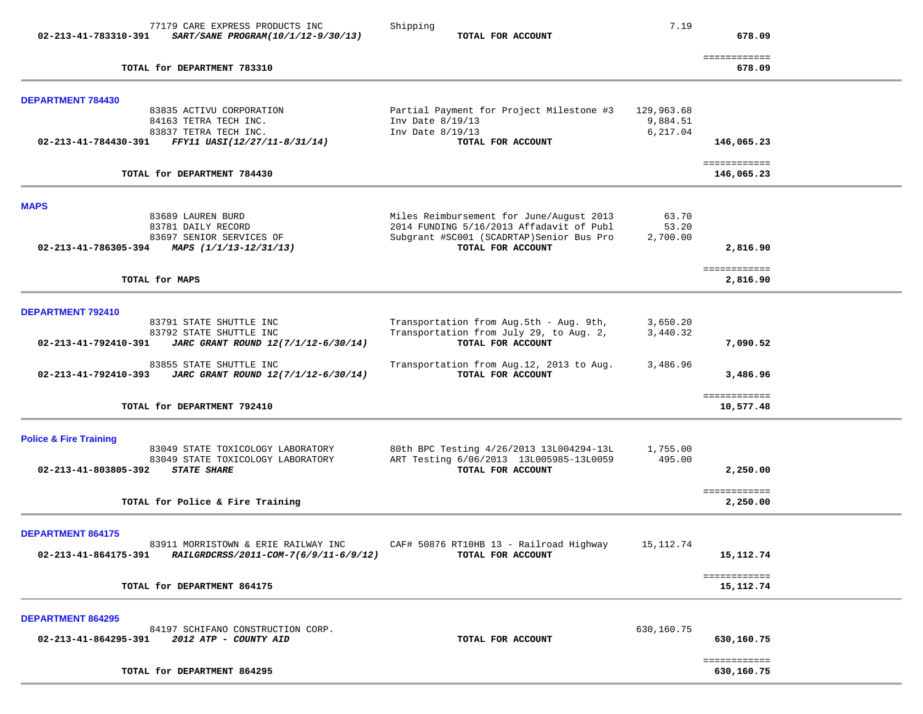| 02-213-41-783310-391                                                     | 77179 CARE EXPRESS PRODUCTS INC<br>SART/SANE PROGRAM(10/1/12-9/30/13)                                                           | Shipping<br>TOTAL FOR ACCOUNT                                                                                                                          | 7.19                               | 678.09                      |  |
|--------------------------------------------------------------------------|---------------------------------------------------------------------------------------------------------------------------------|--------------------------------------------------------------------------------------------------------------------------------------------------------|------------------------------------|-----------------------------|--|
|                                                                          | TOTAL for DEPARTMENT 783310                                                                                                     |                                                                                                                                                        |                                    | ============<br>678.09      |  |
| <b>DEPARTMENT 784430</b>                                                 |                                                                                                                                 |                                                                                                                                                        |                                    |                             |  |
|                                                                          | 83835 ACTIVU CORPORATION<br>84163 TETRA TECH INC.<br>83837 TETRA TECH INC.<br>02-213-41-784430-391 FFY11 UASI(12/27/11-8/31/14) | Partial Payment for Project Milestone #3<br>Inv Date $8/19/13$<br>Inv Date $8/19/13$<br>TOTAL FOR ACCOUNT                                              | 129,963.68<br>9,884.51<br>6,217.04 | 146,065.23                  |  |
|                                                                          | TOTAL for DEPARTMENT 784430                                                                                                     |                                                                                                                                                        |                                    | ============<br>146,065.23  |  |
|                                                                          |                                                                                                                                 |                                                                                                                                                        |                                    |                             |  |
| <b>MAPS</b><br>02-213-41-786305-394 MAPS $(1/1/13-12/31/13)$             | 83689 LAUREN BURD<br>83781 DAILY RECORD<br>83697 SENIOR SERVICES OF                                                             | Miles Reimbursement for June/August 2013<br>2014 FUNDING 5/16/2013 Affadavit of Publ<br>Subgrant #SC001 (SCADRTAP) Senior Bus Pro<br>TOTAL FOR ACCOUNT | 63.70<br>53.20<br>2,700.00         | 2,816.90                    |  |
| TOTAL for MAPS                                                           |                                                                                                                                 |                                                                                                                                                        |                                    | ============<br>2,816.90    |  |
| DEPARTMENT 792410<br>02-213-41-792410-391                                | 83791 STATE SHUTTLE INC<br>83792 STATE SHUTTLE INC<br>JARC GRANT ROUND 12(7/1/12-6/30/14)                                       | Transportation from Aug.5th - Aug. 9th,<br>Transportation from July 29, to Aug. 2,<br>TOTAL FOR ACCOUNT                                                | 3,650.20<br>3,440.32               | 7,090.52                    |  |
| 02-213-41-792410-393                                                     | 83855 STATE SHUTTLE INC<br>JARC GRANT ROUND 12(7/1/12-6/30/14)                                                                  | Transportation from Aug.12, 2013 to Aug.<br>TOTAL FOR ACCOUNT                                                                                          | 3,486.96                           | 3,486.96                    |  |
|                                                                          | TOTAL for DEPARTMENT 792410                                                                                                     |                                                                                                                                                        |                                    | ============<br>10,577.48   |  |
| <b>Police &amp; Fire Training</b><br>02-213-41-803805-392                | 83049 STATE TOXICOLOGY LABORATORY<br>83049 STATE TOXICOLOGY LABORATORY<br><b>STATE SHARE</b>                                    | 80th BPC Testing 4/26/2013 13L004294-13L<br>ART Testing 6/06/2013 13L005985-13L0059<br>TOTAL FOR ACCOUNT                                               | 1,755.00<br>495.00                 | 2,250.00<br>============    |  |
|                                                                          | TOTAL for Police & Fire Training                                                                                                |                                                                                                                                                        |                                    | 2,250.00                    |  |
| <b>DEPARTMENT 864175</b><br>02-213-41-864175-391                         | 83911 MORRISTOWN & ERIE RAILWAY INC<br>RAILGRDCRSS/2011-COM-7(6/9/11-6/9/12)                                                    | CAF# 50876 RT10HB 13 - Railroad Highway<br>TOTAL FOR ACCOUNT                                                                                           | 15,112.74                          | 15,112.74                   |  |
|                                                                          | TOTAL for DEPARTMENT 864175                                                                                                     |                                                                                                                                                        |                                    | ============<br>15, 112. 74 |  |
| <b>DEPARTMENT 864295</b><br>02-213-41-864295-391   2012 ATP - COUNTY AID | 84197 SCHIFANO CONSTRUCTION CORP.                                                                                               | TOTAL FOR ACCOUNT                                                                                                                                      | 630,160.75                         | 630,160.75                  |  |
|                                                                          | TOTAL for DEPARTMENT 864295                                                                                                     |                                                                                                                                                        |                                    | ============<br>630,160.75  |  |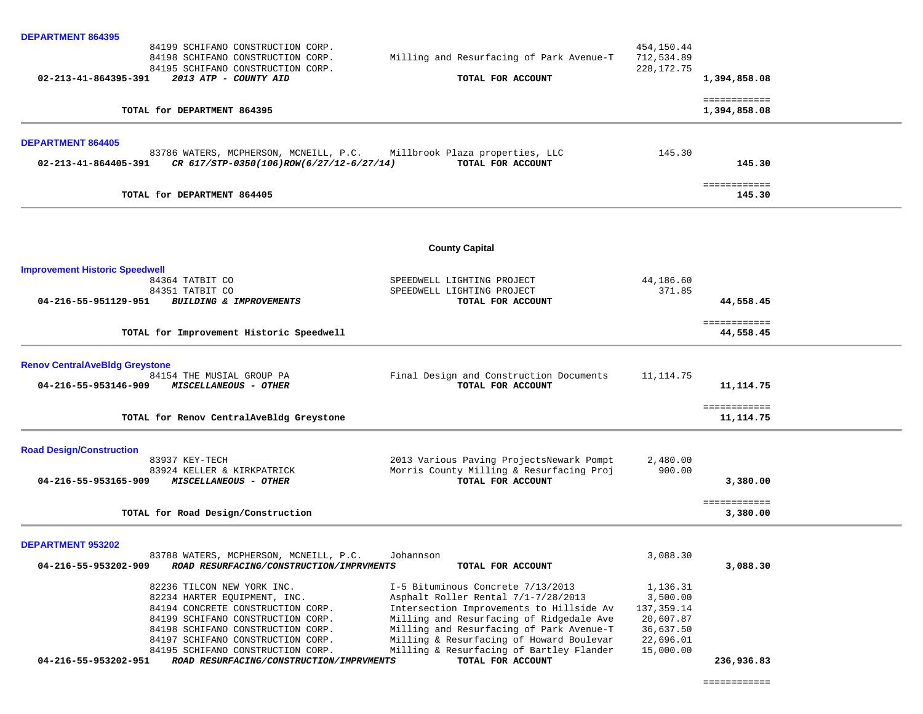| <b>DEPARTMENT 864395</b>                                           |                                          |              |                              |  |
|--------------------------------------------------------------------|------------------------------------------|--------------|------------------------------|--|
| 84199 SCHIFANO CONSTRUCTION CORP.                                  |                                          | 454,150.44   |                              |  |
| 84198 SCHIFANO CONSTRUCTION CORP.                                  | Milling and Resurfacing of Park Avenue-T | 712,534.89   |                              |  |
| 84195 SCHIFANO CONSTRUCTION CORP.                                  |                                          | 228, 172. 75 |                              |  |
| 02-213-41-864395-391<br>2013 ATP - COUNTY AID                      | TOTAL FOR ACCOUNT                        |              | 1,394,858.08                 |  |
| TOTAL for DEPARTMENT 864395                                        |                                          |              | ============<br>1,394,858.08 |  |
|                                                                    |                                          |              |                              |  |
| <b>DEPARTMENT 864405</b><br>83786 WATERS, MCPHERSON, MCNEILL, P.C. | Millbrook Plaza properties, LLC          | 145.30       |                              |  |
| CR 617/STP-0350(106)ROW(6/27/12-6/27/14)<br>02-213-41-864405-391   | TOTAL FOR ACCOUNT                        |              | 145.30                       |  |
|                                                                    |                                          |              |                              |  |
|                                                                    |                                          |              | ============                 |  |
| TOTAL for DEPARTMENT 864405                                        |                                          |              | 145.30                       |  |
|                                                                    |                                          |              |                              |  |
|                                                                    | <b>County Capital</b>                    |              |                              |  |
| <b>Improvement Historic Speedwell</b>                              |                                          |              |                              |  |
| 84364 TATBIT CO                                                    | SPEEDWELL LIGHTING PROJECT               | 44,186.60    |                              |  |
| 84351 TATBIT CO                                                    | SPEEDWELL LIGHTING PROJECT               | 371.85       |                              |  |
| 04-216-55-951129-951<br>BUILDING & IMPROVEMENTS                    | TOTAL FOR ACCOUNT                        |              | 44,558.45                    |  |
|                                                                    |                                          |              | ============                 |  |
| TOTAL for Improvement Historic Speedwell                           |                                          |              | 44,558.45                    |  |
| <b>Renov CentralAveBldg Greystone</b>                              |                                          |              |                              |  |
| 84154 THE MUSIAL GROUP PA                                          | Final Design and Construction Documents  | 11, 114.75   |                              |  |
| 04-216-55-953146-909<br><i>MISCELLANEOUS - OTHER</i>               | TOTAL FOR ACCOUNT                        |              | 11, 114.75                   |  |
|                                                                    |                                          |              | ============                 |  |
| TOTAL for Renov CentralAveBldg Greystone                           |                                          |              | 11, 114.75                   |  |
| <b>Road Design/Construction</b>                                    |                                          |              |                              |  |
| 83937 KEY-TECH                                                     | 2013 Various Paving ProjectsNewark Pompt | 2,480.00     |                              |  |
| 83924 KELLER & KIRKPATRICK                                         | Morris County Milling & Resurfacing Proj | 900.00       |                              |  |
| 04-216-55-953165-909<br>MISCELLANEOUS - OTHER                      | TOTAL FOR ACCOUNT                        |              | 3,380.00                     |  |
|                                                                    |                                          |              | ============                 |  |
| TOTAL for Road Design/Construction                                 |                                          |              | 3,380.00                     |  |
| DEPARTMENT 953202                                                  |                                          |              |                              |  |
| 83788 WATERS, MCPHERSON, MCNEILL, P.C.                             | Johannson                                | 3,088.30     |                              |  |
| 04-216-55-953202-909<br>ROAD RESURFACING/CONSTRUCTION/IMPRVMENTS   | TOTAL FOR ACCOUNT                        |              | 3,088.30                     |  |
| 82236 TILCON NEW YORK INC.                                         | I-5 Bituminous Concrete 7/13/2013        | 1,136.31     |                              |  |
| 82234 HARTER EQUIPMENT, INC.                                       | Asphalt Roller Rental 7/1-7/28/2013      | 3,500.00     |                              |  |
| 84194 CONCRETE CONSTRUCTION CORP.                                  | Intersection Improvements to Hillside Av | 137,359.14   |                              |  |
| 84199 SCHIFANO CONSTRUCTION CORP.                                  | Milling and Resurfacing of Ridgedale Ave | 20,607.87    |                              |  |
| 84198 SCHIFANO CONSTRUCTION CORP.                                  | Milling and Resurfacing of Park Avenue-T | 36,637.50    |                              |  |
| 84197 SCHIFANO CONSTRUCTION CORP.                                  | Milling & Resurfacing of Howard Boulevar | 22,696.01    |                              |  |
| 84195 SCHIFANO CONSTRUCTION CORP.                                  | Milling & Resurfacing of Bartley Flander | 15,000.00    |                              |  |
| 04-216-55-953202-951<br>ROAD RESURFACING/CONSTRUCTION/IMPRVMENTS   | TOTAL FOR ACCOUNT                        |              | 236,936.83                   |  |

============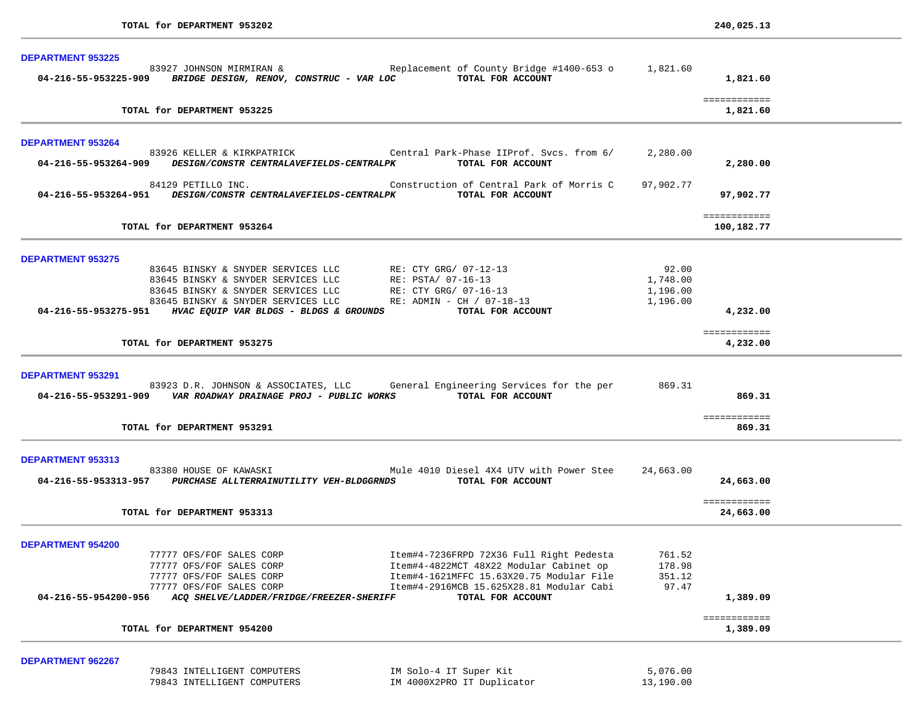| <b>DEPARTMENT 953225</b>                                                                                     |                                                                                                                                                                             |                                           |                            |  |
|--------------------------------------------------------------------------------------------------------------|-----------------------------------------------------------------------------------------------------------------------------------------------------------------------------|-------------------------------------------|----------------------------|--|
| 83927 JOHNSON MIRMIRAN &<br>04-216-55-953225-909 BRIDGE DESIGN, RENOV, CONSTRUC - VAR LOC TOTAL FOR ACCOUNT  | Replacement of County Bridge #1400-653 o 1,821.60                                                                                                                           |                                           | 1,821.60                   |  |
| TOTAL for DEPARTMENT 953225                                                                                  |                                                                                                                                                                             |                                           | ============<br>1,821.60   |  |
| <b>DEPARTMENT 953264</b>                                                                                     |                                                                                                                                                                             |                                           |                            |  |
| 04-216-55-953264-909 DESIGN/CONSTR CENTRALAVEFIELDS-CENTRALPK                                                | 83926 KELLER & KIRKPATRICK Central Park-Phase IIProf. Svcs. from 6/<br>TOTAL FOR ACCOUNT                                                                                    | 2,280.00                                  | 2,280.00                   |  |
| 84129 PETILLO INC.<br>04-216-55-953264-951 DESIGN/CONSTR CENTRALAVEFIELDS-CENTRALPK                          | Construction of Central Park of Morris C<br>TOTAL FOR ACCOUNT                                                                                                               | 97,902.77                                 | 97,902.77                  |  |
| TOTAL for DEPARTMENT 953264                                                                                  |                                                                                                                                                                             |                                           | ============<br>100,182.77 |  |
| <b>DEPARTMENT 953275</b>                                                                                     |                                                                                                                                                                             |                                           |                            |  |
|                                                                                                              | 83645 BINSKY & SNYDER SERVICES LLC RE: CTY GRG/ 07-12-<br>83645 BINSKY & SNYDER SERVICES LLC RE: PSTA/ 07-16-13<br>RE: CTY GRG/ 07-12-13<br>RE: ADMIN - CH / 07-18-13       | 92.00<br>1,748.00<br>1,196.00<br>1,196.00 |                            |  |
| 04-216-55-953275-951 HVAC EQUIP VAR BLDGS - BLDGS & GROUNDS                                                  | TOTAL FOR ACCOUNT                                                                                                                                                           |                                           | 4,232.00                   |  |
| TOTAL for DEPARTMENT 953275                                                                                  |                                                                                                                                                                             |                                           | ============<br>4,232.00   |  |
| <b>DEPARTMENT 953291</b><br>04-216-55-953291-909 VAR ROADWAY DRAINAGE PROJ - PUBLIC WORKS TOTAL FOR ACCOUNT  | 83923 D.R. JOHNSON & ASSOCIATES, LLC General Engineering Services for the per 869.31                                                                                        |                                           | 869.31                     |  |
| TOTAL for DEPARTMENT 953291                                                                                  |                                                                                                                                                                             |                                           | ============<br>869.31     |  |
| <b>DEPARTMENT 953313</b>                                                                                     |                                                                                                                                                                             |                                           |                            |  |
| 83380 HOUSE OF KAWASKI<br>04-216-55-953313-957 PURCHASE ALLTERRAINUTILITY VEH-BLDGGRNDS TOTAL FOR ACCOUNT    | Mule 4010 Diesel 4X4 UTV with Power Stee                                                                                                                                    | 24,663.00                                 | 24,663.00                  |  |
| TOTAL for DEPARTMENT 953313                                                                                  |                                                                                                                                                                             |                                           | ============<br>24,663.00  |  |
| <b>DEPARTMENT 954200</b>                                                                                     |                                                                                                                                                                             |                                           |                            |  |
| 77777 OFS/FOF SALES CORP<br>77777 OFS/FOF SALES CORP<br>77777 OFS/FOF SALES CORP<br>77777 OFS/FOF SALES CORP | Item#4-7236FRPD 72X36 Full Right Pedesta<br>Item#4-4822MCT 48X22 Modular Cabinet op<br>Item#4-1621MFFC 15.63X20.75 Modular File<br>Item#4-2916MCB 15.625X28.81 Modular Cabi | 761.52<br>178.98<br>351.12<br>97.47       |                            |  |
| 04-216-55-954200-956<br>ACQ SHELVE/LADDER/FRIDGE/FREEZER-SHERIFF                                             | TOTAL FOR ACCOUNT                                                                                                                                                           |                                           | 1,389.09                   |  |
| TOTAL for DEPARTMENT 954200                                                                                  |                                                                                                                                                                             |                                           | ============<br>1,389.09   |  |
| <b>DEPARTMENT 962267</b>                                                                                     |                                                                                                                                                                             |                                           |                            |  |
| 79843 INTELLIGENT COMPUTERS<br>79843 INTELLIGENT COMPUTERS                                                   | IM Solo-4 IT Super Kit<br>IM 4000X2PRO IT Duplicator                                                                                                                        | 5,076.00<br>13,190.00                     |                            |  |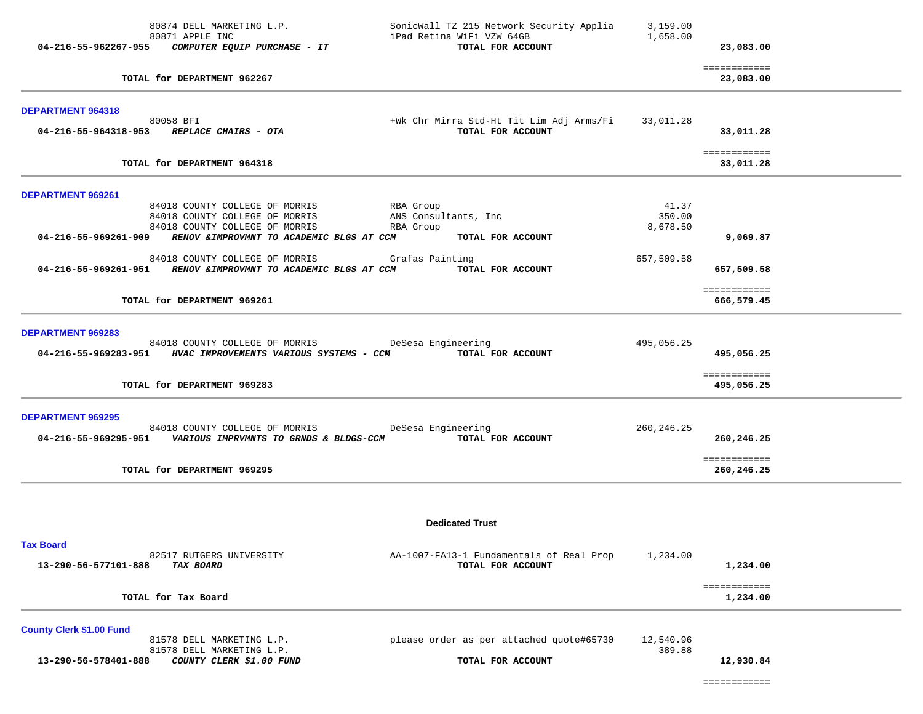| 04-216-55-962267-955            | 80874 DELL MARKETING L.P.<br>80871 APPLE INC<br>COMPUTER EQUIP PURCHASE - IT                                      | SonicWall TZ 215 Network Security Applia<br>iPad Retina WiFi VZW 64GB<br>TOTAL FOR ACCOUNT | 3,159.00<br>1,658.00        | 23,083.00                  |  |
|---------------------------------|-------------------------------------------------------------------------------------------------------------------|--------------------------------------------------------------------------------------------|-----------------------------|----------------------------|--|
|                                 | TOTAL for DEPARTMENT 962267                                                                                       |                                                                                            |                             | ============<br>23,083.00  |  |
| DEPARTMENT 964318               |                                                                                                                   |                                                                                            |                             |                            |  |
|                                 | 80058 BFI<br>04-216-55-964318-953 REPLACE CHAIRS - OTA                                                            | +Wk Chr Mirra Std-Ht Tit Lim Adj Arms/Fi 33,011.28<br>TOTAL FOR ACCOUNT                    |                             | 33,011.28                  |  |
|                                 | TOTAL for DEPARTMENT 964318                                                                                       |                                                                                            |                             | ============<br>33,011.28  |  |
| DEPARTMENT 969261               |                                                                                                                   |                                                                                            |                             |                            |  |
|                                 | 84018 COUNTY COLLEGE OF MORRIS<br>84018 COUNTY COLLEGE OF MORRIS<br>84018 COUNTY COLLEGE OF MORRIS                | RBA Group<br>ANS Consultants, Inc<br>RBA Group                                             | 41.37<br>350.00<br>8,678.50 |                            |  |
|                                 | 04-216-55-969261-909 RENOV & IMPROVMNT TO ACADEMIC BLGS AT CCM                                                    | TOTAL FOR ACCOUNT                                                                          |                             | 9,069.87                   |  |
|                                 | 84018 COUNTY COLLEGE OF MORRIS<br>04-216-55-969261-951 RENOV & IMPROVMNT TO ACADEMIC BLGS AT CCM                  | Grafas Painting<br>TOTAL FOR ACCOUNT                                                       | 657,509.58                  | 657,509.58                 |  |
|                                 | TOTAL for DEPARTMENT 969261                                                                                       |                                                                                            |                             | ============<br>666,579.45 |  |
| <b>DEPARTMENT 969283</b>        | 84018 COUNTY COLLEGE OF MORRIS DeSesa Engineering<br>04-216-55-969283-951 HVAC IMPROVEMENTS VARIOUS SYSTEMS - CCM | TOTAL FOR ACCOUNT                                                                          | 495,056.25                  | 495,056.25                 |  |
|                                 | TOTAL for DEPARTMENT 969283                                                                                       |                                                                                            |                             | ============<br>495,056.25 |  |
| <b>DEPARTMENT 969295</b>        | 84018 COUNTY COLLEGE OF MORRIS<br>04-216-55-969295-951    VARIOUS IMPRVMNTS TO GRNDS & BLDGS-CCM                  | DeSesa Engineering<br>TOTAL FOR ACCOUNT                                                    | 260, 246. 25                | 260,246.25                 |  |
|                                 | TOTAL for DEPARTMENT 969295                                                                                       |                                                                                            | ============<br>260,246.25  |                            |  |
|                                 |                                                                                                                   |                                                                                            |                             |                            |  |
| <b>Tax Board</b>                |                                                                                                                   | <b>Dedicated Trust</b>                                                                     |                             |                            |  |
| 13-290-56-577101-888            | 82517 RUTGERS UNIVERSITY<br><b>TAX BOARD</b>                                                                      | AA-1007-FA13-1 Fundamentals of Real Prop<br>TOTAL FOR ACCOUNT                              | 1,234.00                    | 1,234.00                   |  |
|                                 | TOTAL for Tax Board                                                                                               |                                                                                            |                             | ============<br>1,234.00   |  |
| <b>County Clerk \$1.00 Fund</b> |                                                                                                                   |                                                                                            |                             |                            |  |
| 13-290-56-578401-888            | 81578 DELL MARKETING L.P.<br>81578 DELL MARKETING L.P.<br>COUNTY CLERK \$1.00 FUND                                | please order as per attached quote#65730<br>TOTAL FOR ACCOUNT                              | 12,540.96<br>389.88         |                            |  |
|                                 |                                                                                                                   |                                                                                            |                             | 12,930.84                  |  |